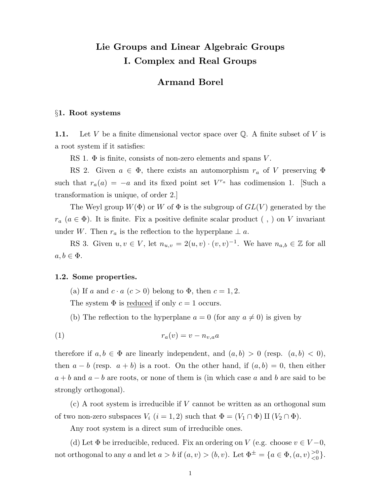# Lie Groups and Linear Algebraic Groups I. Complex and Real Groups

## Armand Borel

#### §1. Root systems

1.1. Let V be a finite dimensional vector space over  $\mathbb{Q}$ . A finite subset of V is a root system if it satisfies:

RS 1.  $\Phi$  is finite, consists of non-zero elements and spans V.

RS 2. Given  $a \in \Phi$ , there exists an automorphism  $r_a$  of V preserving  $\Phi$ such that  $r_a(a) = -a$  and its fixed point set  $V^{r_a}$  has codimension 1. [Such a transformation is unique, of order 2.]

The Weyl group  $W(\Phi)$  or W of  $\Phi$  is the subgroup of  $GL(V)$  generated by the  $r_a$  ( $a \in \Phi$ ). It is finite. Fix a positive definite scalar product (,) on V invariant under W. Then  $r_a$  is the reflection to the hyperplane  $\perp a$ .

RS 3. Given  $u, v \in V$ , let  $n_{u,v} = 2(u, v) \cdot (v, v)^{-1}$ . We have  $n_{a,b} \in \mathbb{Z}$  for all  $a, b \in \Phi$ .

#### 1.2. Some properties.

(a) If a and  $c \cdot a$   $(c > 0)$  belong to  $\Phi$ , then  $c = 1, 2$ .

The system  $\Phi$  is reduced if only  $c = 1$  occurs.

(b) The reflection to the hyperplane  $a = 0$  (for any  $a \neq 0$ ) is given by

$$
(1) \t\t\t\t r_a(v) = v - n_{v,a}a
$$

therefore if  $a, b \in \Phi$  are linearly independent, and  $(a, b) > 0$  (resp.  $(a, b) < 0$ ), then  $a - b$  (resp.  $a + b$ ) is a root. On the other hand, if  $(a, b) = 0$ , then either  $a + b$  and  $a - b$  are roots, or none of them is (in which case a and b are said to be strongly orthogonal).

(c) A root system is irreducible if V cannot be written as an orthogonal sum of two non-zero subspaces  $V_i$   $(i = 1, 2)$  such that  $\Phi = (V_1 \cap \Phi) \amalg (V_2 \cap \Phi)$ .

Any root system is a direct sum of irreducible ones.

(d) Let  $\Phi$  be irreducible, reduced. Fix an ordering on V (e.g. choose  $v \in V - 0$ , not orthogonal to any a and let  $a > b$  if  $(a, v) > (b, v)$ . Let  $\Phi^{\pm} = \{a \in \Phi, (a, v) \frac{>0}{<0}$  $\begin{matrix} >0 \\ <0 \end{matrix}$ .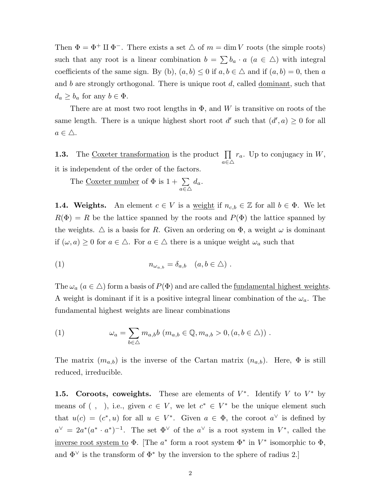Then  $\Phi = \Phi^+ \amalg \Phi^-$ . There exists a set  $\triangle$  of  $m = \dim V$  roots (the simple roots) such that any root is a linear combination  $b = \sum b_a \cdot a$   $(a \in \triangle)$  with integral coefficients of the same sign. By (b),  $(a, b) \le 0$  if  $a, b \in \triangle$  and if  $(a, b) = 0$ , then a and b are strongly orthogonal. There is unique root  $d$ , called dominant, such that  $d_a \geq b_a$  for any  $b \in \Phi$ .

There are at most two root lengths in  $\Phi$ , and W is transitive on roots of the same length. There is a unique highest short root d' such that  $(d', a) \geq 0$  for all  $a \in \triangle$ .

**1.3.** The Coxeter transformation is the product  $\prod$  $a \in \triangle$  $r_a$ . Up to conjugacy in W, it is independent of the order of the factors.

The <u>Coxeter number</u> of  $\Phi$  is  $1 + \sum$  $a \in \triangle$  $d_a$ .

**1.4. Weights.** An element  $c \in V$  is a <u>weight</u> if  $n_{c,b} \in \mathbb{Z}$  for all  $b \in \Phi$ . We let  $R(\Phi) = R$  be the lattice spanned by the roots and  $P(\Phi)$  the lattice spanned by the weights.  $\Delta$  is a basis for R. Given an ordering on  $\Phi$ , a weight  $\omega$  is dominant if  $(\omega, a) \geq 0$  for  $a \in \Delta$ . For  $a \in \Delta$  there is a unique weight  $\omega_a$  such that

(1) 
$$
n_{\omega_{a,b}} = \delta_{a,b} \quad (a,b \in \triangle) .
$$

The  $\omega_a$   $(a \in \Delta)$  form a basis of  $P(\Phi)$  and are called the <u>fundamental highest weights</u>. A weight is dominant if it is a positive integral linear combination of the  $\omega_a$ . The fundamental highest weights are linear combinations

(1) 
$$
\omega_a = \sum_{b \in \triangle} m_{a,b} b \ (m_{a,b} \in \mathbb{Q}, m_{a,b} > 0, (a, b \in \triangle)) .
$$

The matrix  $(m_{a,b})$  is the inverse of the Cartan matrix  $(n_{a,b})$ . Here,  $\Phi$  is still reduced, irreducible.

**1.5.** Coroots, coweights. These are elements of  $V^*$ . Identify V to  $V^*$  by means of  $( , )$ , i.e., given  $c \in V$ , we let  $c^* \in V^*$  be the unique element such that  $u(c) = (c^*, u)$  for all  $u \in V^*$ . Given  $a \in \Phi$ , the coroot  $a^{\vee}$  is defined by  $a^{\vee} = 2a^*(a^* \cdot a^*)^{-1}$ . The set  $\Phi^{\vee}$  of the  $a^{\vee}$  is a root system in  $V^*$ , called the inverse root system to  $\Phi$ . [The  $a^*$  form a root system  $\Phi^*$  in  $V^*$  isomorphic to  $\Phi$ , and  $\Phi^{\vee}$  is the transform of  $\Phi^*$  by the inversion to the sphere of radius 2.]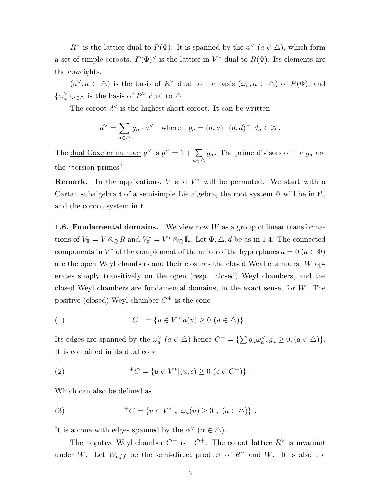$R^{\vee}$  is the lattice dual to  $P(\Phi)$ . It is spanned by the  $a^{\vee}$   $(a \in \Delta)$ , which form a set of simple coroots.  $P(\Phi)^{\vee}$  is the lattice in  $V^*$  dual to  $R(\Phi)$ . Its elements are the coweights.

 $(a^{\vee}, a \in \Delta)$  is the basis of  $R^{\vee}$  dual to the basis  $(\omega_a, a \in \Delta)$  of  $P(\Phi)$ , and  $\{\omega_a^{\vee}\}_{a\in\Delta}$  is the basis of  $P^{\vee}$  dual to  $\Delta$ .

The coroot  $d^{\vee}$  is the highest short coroot. It can be written

$$
d^{\vee} = \sum_{a \in \triangle} g_a \cdot a^{\vee}
$$
 where  $g_a = (a, a) \cdot (d, d)^{-1} d_a \in \mathbb{Z}$ .

The <u>dual Coxeter number</u>  $g^{\vee}$  is  $g^{\vee} = 1 + \sum$  $a \in \triangle$  $g_a$ . The prime divisors of the  $g_a$  are the "torsion primes".

**Remark.** In the applications,  $V$  and  $V^*$  will be permuted. We start with a Cartan subalgebra t of a semisimple Lie algebra, the root system  $\Phi$  will be in  $\mathfrak{t}^*$ , and the coroot system in t.

**1.6. Fundamental domains.** We view now  $W$  as a group of linear transformations of  $V_{\mathbb{R}} = V \otimes_{\mathbb{Q}} R$  and  $V_{\mathbb{R}}^* = V^* \otimes_{\mathbb{Q}} \mathbb{R}$ . Let  $\Phi, \triangle, d$  be as in 1.4. The connected components in  $V^*$  of the complement of the union of the hyperplanes  $a = 0$   $(a \in \Phi)$ are the open Weyl chambers and their closures the closed Weyl chambers. W operates simply transitively on the open (resp. closed) Weyl chambers, and the closed Weyl chambers are fundamental domains, in the exact sense, for  $W$ . The positive (closed) Weyl chamber  $C^+$  is the cone

(1) 
$$
C^+ = \{u \in V^* | a(u) \ge 0 \ (a \in \triangle) \}.
$$

Its edges are spanned by the  $\omega_a^{\vee}$   $(a \in \triangle)$  hence  $C^+ = {\{\sum g_a \omega_a^{\vee}, g_a \ge 0, (a \in \triangle) \}}.$ It is contained in its dual cone

(2) 
$$
{}^{+}C = \{ u \in V^* | (u, c) \ge 0 \ (c \in C^+) \} .
$$

Which can also be defined as

(3) 
$$
{}^{+}C = \{u \in V^* \; , \; \omega_a(u) \ge 0 \; , \; (a \in \triangle) \} .
$$

It is a cone with edges spanned by the  $\alpha^{\vee}$   $(\alpha \in \Delta)$ .

The <u>negative Weyl chamber</u>  $C^-$  is  $-C^+$ . The coroot lattice  $R^{\vee}$  is invariant under W. Let  $W_{aff}$  be the semi-direct product of  $R^{\vee}$  and W. It is also the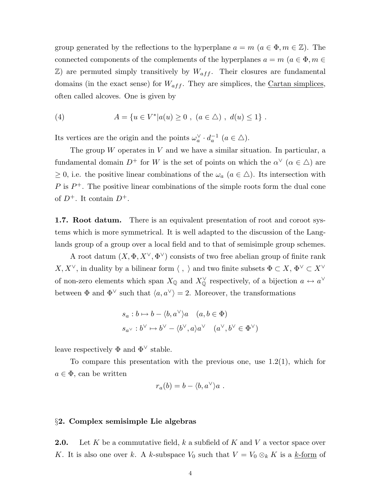group generated by the reflections to the hyperplane  $a = m \ (a \in \Phi, m \in \mathbb{Z})$ . The connected components of the complements of the hyperplanes  $a = m$  ( $a \in \Phi, m \in \mathbb{R}$ )  $\mathbb{Z}$ ) are permuted simply transitively by  $W_{aff}$ . Their closures are fundamental domains (in the exact sense) for  $W_{aff}$ . They are simplices, the Cartan simplices, often called alcoves. One is given by

(4) 
$$
A = \{u \in V^* | a(u) \ge 0 , (a \in \triangle) , d(u) \le 1 \}.
$$

Its vertices are the origin and the points  $\omega_a^{\vee} \cdot d_a^{-1}$   $(a \in \triangle)$ .

The group  $W$  operates in  $V$  and we have a similar situation. In particular, a fundamental domain  $D^+$  for W is the set of points on which the  $\alpha^{\vee}$   $(\alpha \in \Delta)$  are  $\geq 0$ , i.e. the positive linear combinations of the  $\omega_a$   $(a \in \Delta)$ . Its intersection with  $P$  is  $P^+$ . The positive linear combinations of the simple roots form the dual cone of  $D^+$ . It contain  $D^+$ .

1.7. Root datum. There is an equivalent presentation of root and coroot systems which is more symmetrical. It is well adapted to the discussion of the Langlands group of a group over a local field and to that of semisimple group schemes.

A root datum  $(X, \Phi, X^{\vee}, \Phi^{\vee})$  consists of two free abelian group of finite rank  $X, X^\vee$ , in duality by a bilinear form  $\langle \ , \ \rangle$  and two finite subsets  $\Phi \subset X,$   $\Phi^\vee \subset X^\vee$ of non-zero elements which span  $X_{\mathbb{Q}}$  and  $X_{\mathbb{Q}}^{\vee}$  respectively, of a bijection  $a \leftrightarrow a^{\vee}$ between  $\Phi$  and  $\Phi^{\vee}$  such that  $\langle a, a^{\vee} \rangle = 2$ . Moreover, the transformations

$$
s_a : b \mapsto b - \langle b, a^\vee \rangle a \quad (a, b \in \Phi)
$$
  

$$
s_{a^\vee} : b^\vee \mapsto b^\vee - \langle b^\vee, a \rangle a^\vee \quad (a^\vee, b^\vee \in \Phi^\vee)
$$

leave respectively  $\Phi$  and  $\Phi^{\vee}$  stable.

To compare this presentation with the previous one, use  $1.2(1)$ , which for  $a \in \Phi$ , can be written

$$
r_a(b) = b - \langle b, a^\vee \rangle a \ .
$$

## §2. Complex semisimple Lie algebras

**2.0.** Let K be a commutative field, k a subfield of K and V a vector space over K. It is also one over k. A k-subspace  $V_0$  such that  $V = V_0 \otimes_k K$  is a k-form of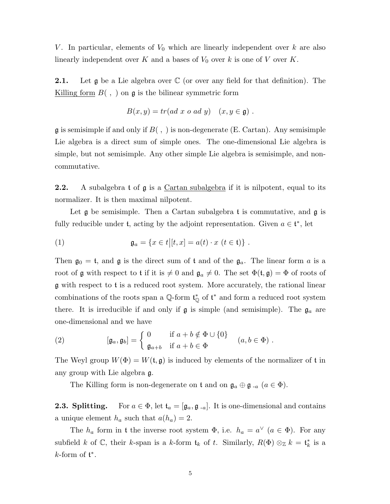V. In particular, elements of  $V_0$  which are linearly independent over k are also linearly independent over K and a bases of  $V_0$  over k is one of V over K.

**2.1.** Let  $\mathfrak g$  be a Lie algebra over  $\mathbb C$  (or over any field for that definition). The Killing form  $B($ ,  $)$  on  $\mathfrak g$  is the bilinear symmetric form

$$
B(x, y) = tr(ad\ x\ o\ ad\ y)\quad (x, y \in \mathfrak{g})\ .
$$

 $\mathfrak g$  is semisimple if and only if  $B($ ,  $)$  is non-degenerate (E. Cartan). Any semisimple Lie algebra is a direct sum of simple ones. The one-dimensional Lie algebra is simple, but not semisimple. Any other simple Lie algebra is semisimple, and noncommutative.

**2.2.** A subalgebra  $t$  of  $\mathfrak g$  is a Cartan subalgebra if it is nilpotent, equal to its normalizer. It is then maximal nilpotent.

Let  $\mathfrak g$  be semisimple. Then a Cartan subalgebra t is commutative, and  $\mathfrak g$  is fully reducible under  $\mathfrak{t}$ , acting by the adjoint representation. Given  $a \in \mathfrak{t}^*$ , let

(1) 
$$
\mathfrak{g}_a = \{x \in t | [t, x] = a(t) \cdot x \ (t \in \mathfrak{t})\}.
$$

Then  $\mathfrak{g}_0 = \mathfrak{t}$ , and  $\mathfrak{g}$  is the direct sum of  $\mathfrak{t}$  and of the  $\mathfrak{g}_a$ . The linear form  $a$  is a root of g with respect to t if it is  $\neq 0$  and  $\mathfrak{g}_a \neq 0$ . The set  $\Phi(\mathfrak{t}, \mathfrak{g}) = \Phi$  of roots of g with respect to t is a reduced root system. More accurately, the rational linear combinations of the roots span a  $\mathbb{Q}$ -form  $\mathfrak{t}^*_{\mathbb{Q}}$  of  $\mathfrak{t}^*$  and form a reduced root system there. It is irreducible if and only if  $\mathfrak g$  is simple (and semisimple). The  $\mathfrak g_a$  are one-dimensional and we have

(2) 
$$
[\mathfrak{g}_a, \mathfrak{g}_b] = \begin{cases} 0 & \text{if } a+b \notin \Phi \cup \{0\} \\ \mathfrak{g}_{a+b} & \text{if } a+b \in \Phi \end{cases} (a, b \in \Phi).
$$

The Weyl group  $W(\Phi) = W(\mathfrak{t}, \mathfrak{g})$  is induced by elements of the normalizer of t in any group with Lie algebra g.

The Killing form is non-degenerate on t and on  $\mathfrak{g}_a \oplus \mathfrak{g}_{-a}$   $(a \in \Phi)$ .

**2.3. Splitting.** For  $a \in \Phi$ , let  $\mathfrak{t}_a = [\mathfrak{g}_a, \mathfrak{g}_{-a}]$ . It is one-dimensional and contains a unique element  $h_a$  such that  $a(h_a) = 2$ .

The  $h_a$  form in t the inverse root system  $\Phi$ , i.e.  $h_a = a^{\vee}$   $(a \in \Phi)$ . For any subfield k of  $\mathbb{C}$ , their k-span is a k-form  $\mathfrak{t}_k$  of t. Similarly,  $R(\Phi) \otimes_{\mathbb{Z}} k = \mathfrak{t}_k^*$  is a  $k$ -form of  $\mathfrak{t}^*$ .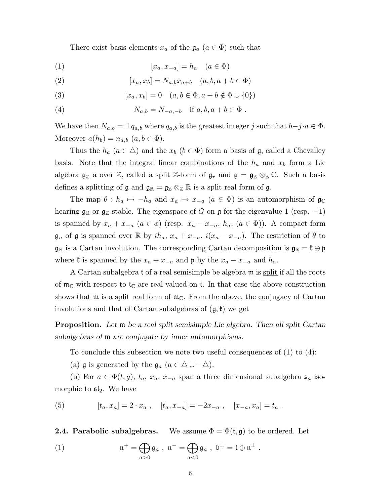There exist basis elements  $x_a$  of the  $\mathfrak{g}_a$   $(a \in \Phi)$  such that

$$
(1) \t\t\t [x_a, x_{-a}] = h_a \t (a \in \Phi)
$$

(2) 
$$
[x_a, x_b] = N_{a,b} x_{a+b} \quad (a, b, a+b \in \Phi)
$$

(3) 
$$
[x_a, x_b] = 0 \quad (a, b \in \Phi, a + b \notin \Phi \cup \{0\})
$$

(4) 
$$
N_{a,b} = N_{-a,-b}
$$
 if  $a, b, a + b \in \Phi$ .

We have then  $N_{a,b} = \pm q_{a,b}$  where  $q_{a,b}$  is the greatest integer j such that  $b-j \cdot a \in \Phi$ . Moreover  $a(h_b) = n_{a,b}$   $(a, b \in \Phi)$ .

Thus the  $h_a$   $(a \in \Delta)$  and the  $x_b$   $(b \in \Phi)$  form a basis of  $\mathfrak{g}$ , called a Chevalley basis. Note that the integral linear combinations of the  $h_a$  and  $x_b$  form a Lie algebra  $\mathfrak{g}_\mathbb{Z}$  a over  $\mathbb{Z}$ , called a split  $\mathbb{Z}$ -form of  $\mathfrak{g}_r$  and  $\mathfrak{g} = \mathfrak{g}_\mathbb{Z} \otimes_{\mathbb{Z}} \mathbb{C}$ . Such a basis defines a splitting of  $\mathfrak{g}$  and  $\mathfrak{g}_{\mathbb{R}} = \mathfrak{g}_{\mathbb{Z}} \otimes_{\mathbb{Z}} \mathbb{R}$  is a split real form of  $\mathfrak{g}$ .

The map  $\theta : h_a \mapsto -h_a$  and  $x_a \mapsto x_{-a}$   $(a \in \Phi)$  is an automorphism of  $\mathfrak{g}_{\mathbb{C}}$ hearing  $\mathfrak{g}_\mathbb{R}$  or  $\mathfrak{g}_\mathbb{Z}$  stable. The eigenspace of G on  $\mathfrak{g}$  for the eigenvalue 1 (resp. -1) is spanned by  $x_a + x_{-a}$   $(a \in \phi)$  (resp.  $x_a - x_{-a}$ ,  $h_a$ ,  $(a \in \Phi)$ ). A compact form  $\mathfrak{g}_u$  of  $\mathfrak g$  is spanned over R by  $ih_a, x_a + x_{-a}, i(x_a - x_{-a})$ . The restriction of  $\theta$  to  $\mathfrak{g}_{\mathbb{R}}$  is a Cartan involution. The corresponding Cartan decomposition is  $\mathfrak{g}_{\mathbb{R}} = \mathfrak{k} \oplus \mathfrak{p}$ where  $\mathfrak{k}$  is spanned by the  $x_a + x_{-a}$  and  $\mathfrak{p}$  by the  $x_a - x_{-a}$  and  $h_a$ .

A Cartan subalgebra t of a real semisimple be algebra  $m$  is split if all the roots of  $m_{\mathbb{C}}$  with respect to  $t_{\mathbb{C}}$  are real valued on t. In that case the above construction shows that  $\mathfrak{m}$  is a split real form of  $\mathfrak{m}_{\mathbb{C}}$ . From the above, the conjugacy of Cartan involutions and that of Cartan subalgebras of  $(g, \mathfrak{k})$  we get

Proposition. Let m be a real split semisimple Lie algebra. Then all split Cartan subalgebras of m are conjugate by inner automorphisms.

To conclude this subsection we note two useful consequences of (1) to (4):

(a) **g** is generated by the  $\mathfrak{g}_a$   $(a \in \Delta \cup -\Delta)$ .

(b) For  $a \in \Phi(t, g)$ ,  $t_a$ ,  $x_a$ ,  $x_{-a}$  span a three dimensional subalgebra  $\mathfrak{s}_a$  isomorphic to  $\mathfrak{sl}_2$ . We have

(5) 
$$
[t_a, x_a] = 2 \cdot x_a , \quad [t_a, x_{-a}] = -2x_{-a} , \quad [x_{-a}, x_a] = t_a .
$$

**2.4. Parabolic subalgebras.** We assume  $\Phi = \Phi(\mathfrak{t}, \mathfrak{g})$  to be ordered. Let

(1) 
$$
\mathfrak{n}^+ = \bigoplus_{a>0} \mathfrak{g}_a , \ \mathfrak{n}^- = \bigoplus_{a<0} \mathfrak{g}_a , \ \mathfrak{b}^\pm = \mathfrak{t} \oplus \mathfrak{n}^\pm .
$$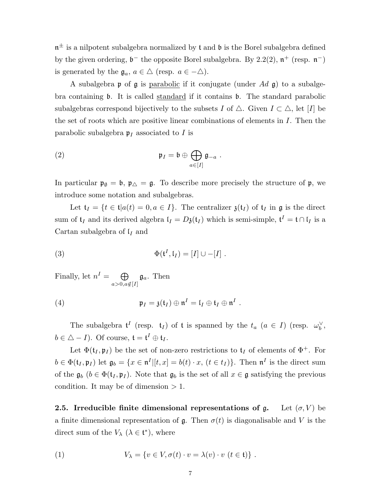$\mathfrak{n}^{\pm}$  is a nilpotent subalgebra normalized by  $\mathfrak{t}$  and  $\mathfrak{b}$  is the Borel subalgebra defined by the given ordering,  $\mathfrak{b}^-$  the opposite Borel subalgebra. By 2.2(2),  $\mathfrak{n}^+$  (resp.  $\mathfrak{n}^-$ ) is generated by the  $\mathfrak{g}_a, a \in \Delta$  (resp.  $a \in -\Delta$ ).

A subalgebra  $\mathfrak p$  of  $\mathfrak g$  is parabolic if it conjugate (under Ad  $\mathfrak g$ ) to a subalgebra containing b. It is called standard if it contains b. The standard parabolic subalgebras correspond bijectively to the subsets I of  $\triangle$ . Given  $I \subset \triangle$ , let [I] be the set of roots which are positive linear combinations of elements in  $I$ . Then the parabolic subalgebra  $\mathfrak{p}_I$  associated to I is

(2) 
$$
\mathfrak{p}_I = \mathfrak{b} \oplus \bigoplus_{a \in [I]} \mathfrak{g}_{-a} .
$$

In particular  $\mathfrak{p}_{\emptyset} = \mathfrak{b}$ ,  $\mathfrak{p}_{\triangle} = \mathfrak{g}$ . To describe more precisely the structure of  $\mathfrak{p}$ , we introduce some notation and subalgebras.

Let  $\mathfrak{t}_I = \{t \in \mathfrak{t} | a(t) = 0, a \in I\}$ . The centralizer  $\mathfrak{z}(\mathfrak{t}_I)$  of  $\mathfrak{t}_I$  in  $\mathfrak{g}$  is the direct sum of  $t_I$  and its derived algebra  $I_I = D_3(t_I)$  which is semi-simple,  $t^I = t \cap I_I$  is a Cartan subalgebra of  $\mathfrak{l}_I$  and

(3) 
$$
\Phi(\mathfrak{t}^I, \mathfrak{l}_I) = [I] \cup -[I].
$$

Finally, let  $n^I = \bigoplus$  $a>0, a \notin [I]$  $\mathfrak{g}_a$ . Then

(4) 
$$
\mathfrak{p}_I = \mathfrak{z}(\mathfrak{t}_I) \oplus \mathfrak{n}^I = \mathfrak{l}_I \oplus \mathfrak{t}_I \oplus \mathfrak{n}^I.
$$

The subalgebra  $\mathfrak{t}^I$  (resp.  $\mathfrak{t}_I$ ) of  $\mathfrak{t}$  is spanned by the  $t_a$   $(a \in I)$  (resp.  $\omega_b^{\vee}$ ,  $b \in \Delta - I$ ). Of course,  $\mathfrak{t} = \mathfrak{t}^I \oplus \mathfrak{t}_I$ .

Let  $\Phi(\mathfrak{t}_I, \mathfrak{p}_I)$  be the set of non-zero restrictions to  $\mathfrak{t}_I$  of elements of  $\Phi^+$ . For  $b \in \Phi(\mathfrak{t}_I, \mathfrak{p}_I)$  let  $\mathfrak{g}_b = \{x \in \mathfrak{n}^I | [t, x] = b(t) \cdot x, (t \in t_I)\}\.$  Then  $\mathfrak{n}^I$  is the direct sum of the  $\mathfrak{g}_b$   $(b \in \Phi(\mathfrak{t}_I, \mathfrak{p}_I))$ . Note that  $\mathfrak{g}_b$  is the set of all  $x \in \mathfrak{g}$  satisfying the previous condition. It may be of dimension  $> 1$ .

**2.5.** Irreducible finite dimensional representations of g. Let  $(\sigma, V)$  be a finite dimensional representation of  $\mathfrak{g}$ . Then  $\sigma(t)$  is diagonalisable and V is the direct sum of the  $V_{\lambda}$  ( $\lambda \in \mathfrak{t}^*$ ), where

(1) 
$$
V_{\lambda} = \{v \in V, \sigma(t) \cdot v = \lambda(v) \cdot v \ (t \in \mathfrak{t})\}.
$$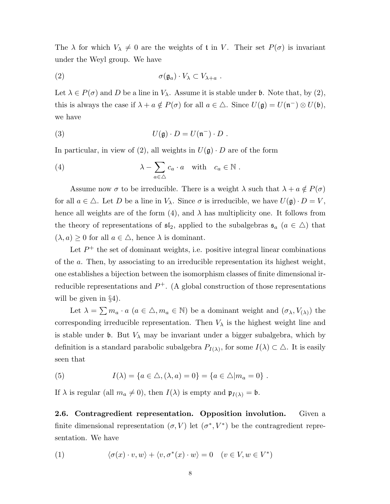The  $\lambda$  for which  $V_{\lambda} \neq 0$  are the weights of t in V. Their set  $P(\sigma)$  is invariant under the Weyl group. We have

(2) 
$$
\sigma(\mathfrak{g}_a) \cdot V_\lambda \subset V_{\lambda+a} .
$$

Let  $\lambda \in P(\sigma)$  and D be a line in  $V_{\lambda}$ . Assume it is stable under b. Note that, by (2), this is always the case if  $\lambda + a \notin P(\sigma)$  for all  $a \in \Delta$ . Since  $U(\mathfrak{g}) = U(\mathfrak{n}^-) \otimes U(\mathfrak{b})$ , we have

(3) 
$$
U(\mathfrak{g}) \cdot D = U(\mathfrak{n}^-) \cdot D .
$$

In particular, in view of (2), all weights in  $U(\mathfrak{g}) \cdot D$  are of the form

(4) 
$$
\lambda - \sum_{a \in \triangle} c_a \cdot a \quad \text{with} \quad c_a \in \mathbb{N} .
$$

Assume now  $\sigma$  to be irreducible. There is a weight  $\lambda$  such that  $\lambda + a \notin P(\sigma)$ for all  $a \in \Delta$ . Let D be a line in  $V_{\lambda}$ . Since  $\sigma$  is irreducible, we have  $U(\mathfrak{g}) \cdot D = V$ , hence all weights are of the form (4), and  $\lambda$  has multiplicity one. It follows from the theory of representations of  $\mathfrak{sl}_2$ , applied to the subalgebras  $\mathfrak{s}_a$   $(a \in \Delta)$  that  $(\lambda, a) \geq 0$  for all  $a \in \Delta$ , hence  $\lambda$  is dominant.

Let  $P^+$  the set of dominant weights, i.e. positive integral linear combinations of the a. Then, by associating to an irreducible representation its highest weight, one establishes a bijection between the isomorphism classes of finite dimensional irreducible representations and  $P^+$ . (A global construction of those representations will be given in §4).

Let  $\lambda = \sum m_a \cdot a$   $(a \in \Delta, m_a \in \mathbb{N})$  be a dominant weight and  $(\sigma_\lambda, V_{(\lambda)})$  the corresponding irreducible representation. Then  $V_{\lambda}$  is the highest weight line and is stable under b. But  $V_{\lambda}$  may be invariant under a bigger subalgebra, which by definition is a standard parabolic subalgebra  $P_{I(\lambda)}$ , for some  $I(\lambda) \subset \Delta$ . It is easily seen that

(5) 
$$
I(\lambda) = \{a \in \triangle, (\lambda, a) = 0\} = \{a \in \triangle | m_a = 0\}.
$$

If  $\lambda$  is regular (all  $m_a \neq 0$ ), then  $I(\lambda)$  is empty and  $\mathfrak{p}_{I(\lambda)} = \mathfrak{b}$ .

2.6. Contragredient representation. Opposition involution. Given a finite dimensional representation  $(\sigma, V)$  let  $(\sigma^*, V^*)$  be the contragredient representation. We have

(1) 
$$
\langle \sigma(x) \cdot v, w \rangle + \langle v, \sigma^*(x) \cdot w \rangle = 0 \quad (v \in V, w \in V^*)
$$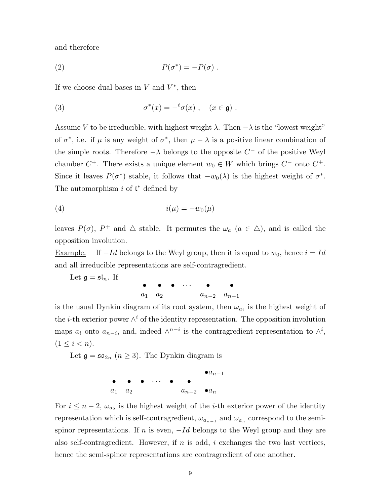and therefore

(2) 
$$
P(\sigma^*) = -P(\sigma) .
$$

If we choose dual bases in  $V$  and  $V^*$ , then

(3) 
$$
\sigma^*(x) = -^t \sigma(x) , \quad (x \in \mathfrak{g}) .
$$

Assume V to be irreducible, with highest weight  $\lambda$ . Then  $-\lambda$  is the "lowest weight" of  $\sigma^*$ , i.e. if  $\mu$  is any weight of  $\sigma^*$ , then  $\mu - \lambda$  is a positive linear combination of the simple roots. Therefore  $-\lambda$  belongs to the opposite  $C^-$  of the positive Weyl chamber  $C^+$ . There exists a unique element  $w_0 \in W$  which brings  $C^-$  onto  $C^+$ . Since it leaves  $P(\sigma^*)$  stable, it follows that  $-w_0(\lambda)$  is the highest weight of  $\sigma^*$ . The automorphism  $i$  of  $\mathfrak{t}^*$  defined by

$$
(4) \qquad \qquad i(\mu) = -w_0(\mu)
$$

leaves  $P(\sigma)$ ,  $P^+$  and  $\triangle$  stable. It permutes the  $\omega_a$   $(a \in \triangle)$ , and is called the opposition involution.

<u>Example.</u> If  $-Id$  belongs to the Weyl group, then it is equal to  $w_0$ , hence  $i = Id$ and all irreducible representations are self-contragredient.

Let  $\mathfrak{g} = \mathfrak{sl}_n$ . If  $\bullet$   $\bullet$   $\bullet$   $\cdots$   $\bullet$   $\bullet$  $a_1 \quad a_2 \quad a_{n-2} \quad a_{n-1}$ 

is the usual Dynkin diagram of its root system, then  $\omega_{a_i}$  is the highest weight of the *i*-th exterior power  $\wedge^i$  of the identity representation. The opposition involution maps  $a_i$  onto  $a_{n-i}$ , and, indeed  $\wedge^{n-i}$  is the contragredient representation to  $\wedge^i$ ,  $(1 \leq i < n).$ 

Let  $\mathfrak{g} = \mathfrak{so}_{2n}$   $(n \geq 3)$ . The Dynkin diagram is

$$
\begin{array}{ccccccc}\n\bullet & \bullet & \bullet & \cdots & \bullet & \bullet \\
a_1 & a_2 & & & a_{n-2} & \bullet a_n\n\end{array}
$$

For  $i \leq n-2$ ,  $\omega_{a_2}$  is the highest weight of the *i*-th exterior power of the identity representation which is self-contragredient,  $\omega_{a_{n-1}}$  and  $\omega_{a_n}$  correspond to the semispinor representations. If n is even,  $-Id$  belongs to the Weyl group and they are also self-contragredient. However, if  $n$  is odd,  $i$  exchanges the two last vertices, hence the semi-spinor representations are contragredient of one another.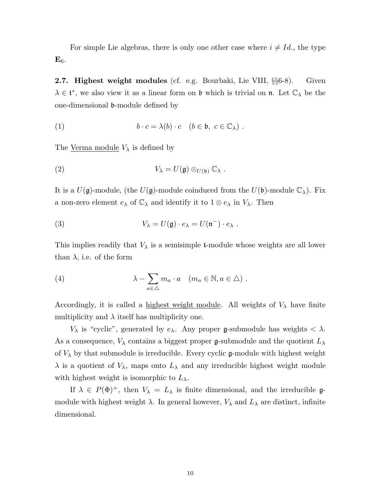For simple Lie algebras, there is only one other case where  $i \neq Id$ , the type  $\mathbf{E}_6$ .

2.7. Highest weight modules (cf. e.g. Bourbaki, Lie VIII, §§6-8). Given  $\lambda \in \mathfrak{t}^*$ , we also view it as a linear form on  $\mathfrak{b}$  which is trivial on  $\mathfrak{n}$ . Let  $\mathbb{C}_{\lambda}$  be the one-dimensional b-module defined by

(1) 
$$
b \cdot c = \lambda(b) \cdot c \quad (b \in \mathfrak{b}, \ c \in \mathbb{C}_{\lambda}) .
$$

The <u>Verma module</u>  $V_{\lambda}$  is defined by

(2) 
$$
V_{\lambda} = U(\mathfrak{g}) \otimes_{U(\mathfrak{b})} \mathbb{C}_{\lambda} .
$$

It is a  $U(\mathfrak{g})$ -module, (the  $U(\mathfrak{g})$ -module coinduced from the  $U(\mathfrak{b})$ -module  $\mathbb{C}_{\lambda}$ ). Fix a non-zero element  $e_{\lambda}$  of  $\mathbb{C}_{\lambda}$  and identify it to  $1 \otimes e_{\lambda}$  in  $V_{\lambda}$ . Then

(3) 
$$
V_{\lambda} = U(\mathfrak{g}) \cdot e_{\lambda} = U(\mathfrak{n}^-) \cdot e_{\lambda} .
$$

This implies readily that  $V_{\lambda}$  is a semisimple **t**-module whose weights are all lower than  $\lambda$ , i.e. of the form

(4) 
$$
\lambda - \sum_{a \in \triangle} m_a \cdot a \quad (m_a \in \mathbb{N}, a \in \triangle) .
$$

Accordingly, it is called a highest weight module. All weights of  $V_{\lambda}$  have finite multiplicity and  $\lambda$  itself has multiplicity one.

 $V_{\lambda}$  is "cyclic", generated by  $e_{\lambda}$ . Any proper g-submodule has weights  $\langle \lambda \rangle$ . As a consequence,  $V_{\lambda}$  contains a biggest proper g-submodule and the quotient  $L_{\lambda}$ of  $V_{\lambda}$  by that submodule is irreducible. Every cyclic  $\mathfrak{g}\text{-module with highest weight}$  $\lambda$  is a quotient of  $V_{\lambda}$ , maps onto  $L_{\lambda}$  and any irreducible highest weight module with highest weight is isomorphic to  $L_{\lambda}$ .

If  $\lambda \in P(\Phi)^+$ , then  $V_{\lambda} = L_{\lambda}$  is finite dimensional, and the irreducible  $\mathfrak{g}$ module with highest weight  $\lambda$ . In general however,  $V_{\lambda}$  and  $L_{\lambda}$  are distinct, infinite dimensional.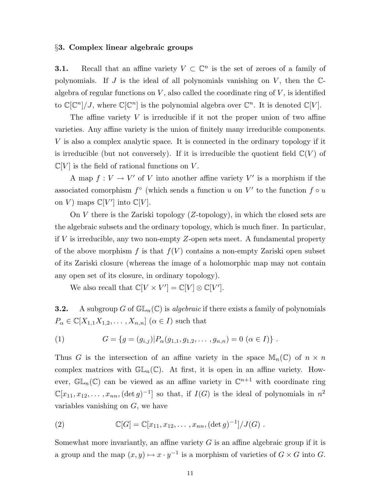#### §3. Complex linear algebraic groups

**3.1.** Recall that an affine variety  $V \subset \mathbb{C}^n$  is the set of zeroes of a family of polynomials. If  $J$  is the ideal of all polynomials vanishing on  $V$ , then the  $\mathbb{C}$ algebra of regular functions on  $V$ , also called the coordinate ring of  $V$ , is identified to  $\mathbb{C}[\mathbb{C}^n]/J$ , where  $\mathbb{C}[\mathbb{C}^n]$  is the polynomial algebra over  $\mathbb{C}^n$ . It is denoted  $\mathbb{C}[V]$ .

The affine variety  $V$  is irreducible if it not the proper union of two affine varieties. Any affine variety is the union of finitely many irreducible components. V is also a complex analytic space. It is connected in the ordinary topology if it is irreducible (but not conversely). If it is irreducible the quotient field  $\mathbb{C}(V)$  of  $\mathbb{C}[V]$  is the field of rational functions on V.

A map  $f: V \to V'$  of V into another affine variety V' is a morphism if the associated comorphism  $f^{\circ}$  (which sends a function u on V' to the function  $f \circ u$ on V) maps  $\mathbb{C}[V']$  into  $\mathbb{C}[V]$ .

On V there is the Zariski topology  $(Z$ -topology), in which the closed sets are the algebraic subsets and the ordinary topology, which is much finer. In particular, if  $V$  is irreducible, any two non-empty  $Z$ -open sets meet. A fundamental property of the above morphism f is that  $f(V)$  contains a non-empty Zariski open subset of its Zariski closure (whereas the image of a holomorphic map may not contain any open set of its closure, in ordinary topology).

We also recall that  $\mathbb{C}[V \times V'] = \mathbb{C}[V] \otimes \mathbb{C}[V']$ .

**3.2.** A subgroup G of  $GL_n(\mathbb{C})$  is *algebraic* if there exists a family of polynomials  $P_{\alpha} \in \mathbb{C}[X_{1,1}X_{1,2},\ldots,X_{n,n}]$   $(\alpha \in I)$  such that

(1) 
$$
G = \{g = (g_{i,j}) | P_{\alpha}(g_{1,1}, g_{1,2}, \dots, g_{n,n}) = 0 \; (\alpha \in I) \}.
$$

Thus G is the intersection of an affine variety in the space  $\mathbb{M}_n(\mathbb{C})$  of  $n \times n$ complex matrices with  $\mathbb{GL}_n(\mathbb{C})$ . At first, it is open in an affine variety. However,  $\mathbb{GL}_n(\mathbb{C})$  can be viewed as an affine variety in  $\mathbb{C}^{n+1}$  with coordinate ring  $\mathbb{C}[x_{11}, x_{12}, \ldots, x_{nn}, (\det g)^{-1}]$  so that, if  $I(G)$  is the ideal of polynomials in  $n^2$ variables vanishing on  $G$ , we have

(2) 
$$
\mathbb{C}[G] = \mathbb{C}[x_{11}, x_{12}, \dots, x_{nn}, (\det g)^{-1}]/J(G) .
$$

Somewhat more invariantly, an affine variety  $G$  is an affine algebraic group if it is a group and the map  $(x, y) \mapsto x \cdot y^{-1}$  is a morphism of varieties of  $G \times G$  into  $G$ .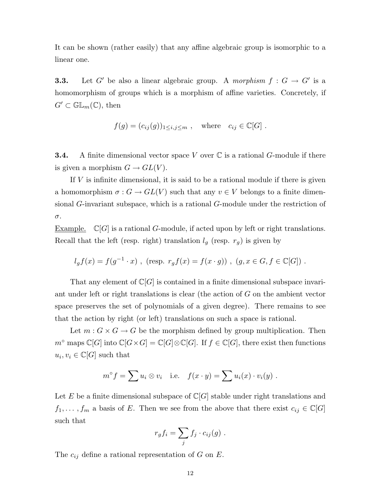It can be shown (rather easily) that any affine algebraic group is isomorphic to a linear one.

**3.3.** Let G' be also a linear algebraic group. A morphism  $f : G \to G'$  is a homomorphism of groups which is a morphism of affine varieties. Concretely, if  $G' \subset \mathbb{GL}_m(\mathbb{C}),$  then

$$
f(g) = (c_{ij}(g))_{1 \le i,j \le m} , \quad \text{where} \quad c_{ij} \in \mathbb{C}[G] .
$$

**3.4.** A finite dimensional vector space V over  $\mathbb C$  is a rational G-module if there is given a morphism  $G \to GL(V)$ .

If  $V$  is infinite dimensional, it is said to be a rational module if there is given a homomorphism  $\sigma : G \to GL(V)$  such that any  $v \in V$  belongs to a finite dimensional G-invariant subspace, which is a rational G-module under the restriction of σ.

Example.  $\mathbb{C}[G]$  is a rational G-module, if acted upon by left or right translations. Recall that the left (resp. right) translation  $l_g$  (resp.  $r_g$ ) is given by

$$
l_g f(x) = f(g^{-1} \cdot x)
$$
, (resp.  $r_g f(x) = f(x \cdot g)$ ),  $(g, x \in G, f \in \mathbb{C}[G])$ .

That any element of  $\mathbb{C}[G]$  is contained in a finite dimensional subspace invariant under left or right translations is clear (the action of G on the ambient vector space preserves the set of polynomials of a given degree). There remains to see that the action by right (or left) translations on such a space is rational.

Let  $m: G \times G \to G$  be the morphism defined by group multiplication. Then  $m^{\circ}$  maps  $\mathbb{C}[G]$  into  $\mathbb{C}[G\times G] = \mathbb{C}[G]\otimes \mathbb{C}[G]$ . If  $f \in \mathbb{C}[G]$ , there exist then functions  $u_i, v_i \in \mathbb{C}[G]$  such that

$$
m^{\circ} f = \sum u_i \otimes v_i
$$
 i.e.  $f(x \cdot y) = \sum u_i(x) \cdot v_i(y)$ .

Let E be a finite dimensional subspace of  $\mathbb{C}[G]$  stable under right translations and  $f_1, \ldots, f_m$  a basis of E. Then we see from the above that there exist  $c_{ij} \in \mathbb{C}[G]$ such that

$$
r_g f_i = \sum_j f_j \cdot c_{ij}(g) .
$$

The  $c_{ij}$  define a rational representation of G on E.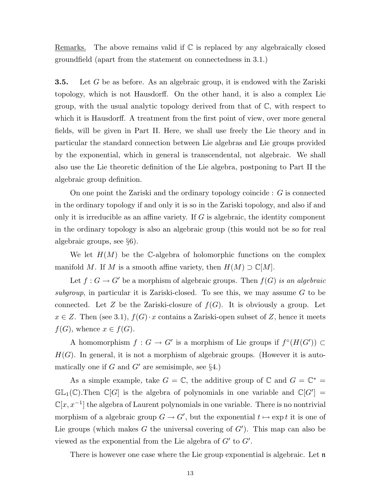Remarks. The above remains valid if  $\mathbb C$  is replaced by any algebraically closed groundfield (apart from the statement on connectedness in 3.1.)

**3.5.** Let G be as before. As an algebraic group, it is endowed with the Zariski topology, which is not Hausdorff. On the other hand, it is also a complex Lie group, with the usual analytic topology derived from that of  $\mathbb{C}$ , with respect to which it is Hausdorff. A treatment from the first point of view, over more general fields, will be given in Part II. Here, we shall use freely the Lie theory and in particular the standard connection between Lie algebras and Lie groups provided by the exponential, which in general is transcendental, not algebraic. We shall also use the Lie theoretic definition of the Lie algebra, postponing to Part II the algebraic group definition.

On one point the Zariski and the ordinary topology coincide : G is connected in the ordinary topology if and only it is so in the Zariski topology, and also if and only it is irreducible as an affine variety. If  $G$  is algebraic, the identity component in the ordinary topology is also an algebraic group (this would not be so for real algebraic groups, see §6).

We let  $H(M)$  be the C-algebra of holomorphic functions on the complex manifold M. If M is a smooth affine variety, then  $H(M) \supset \mathbb{C}[M]$ .

Let  $f: G \to G'$  be a morphism of algebraic groups. Then  $f(G)$  is an algebraic subgroup, in particular it is Zariski-closed. To see this, we may assume  $G$  to be connected. Let Z be the Zariski-closure of  $f(G)$ . It is obviously a group. Let  $x \in Z$ . Then (see 3.1),  $f(G) \cdot x$  contains a Zariski-open subset of Z, hence it meets  $f(G)$ , whence  $x \in f(G)$ .

A homomorphism  $f: G \to G'$  is a morphism of Lie groups if  $f^{\circ}(H(G')) \subset$  $H(G)$ . In general, it is not a morphism of algebraic groups. (However it is automatically one if  $G$  and  $G'$  are semisimple, see  $\S 4$ .)

As a simple example, take  $G = \mathbb{C}$ , the additive group of  $\mathbb{C}$  and  $G = \mathbb{C}^* =$  $\mathbb{GL}_1(\mathbb{C})$ . Then  $\mathbb{C}[G]$  is the algebra of polynomials in one variable and  $\mathbb{C}[G'] =$  $\mathbb{C}[x, x^{-1}]$  the algebra of Laurent polynomials in one variable. There is no nontrivial morphism of a algebraic group  $G \to G'$ , but the exponential  $t \mapsto \exp t$  it is one of Lie groups (which makes  $G$  the universal covering of  $G'$ ). This map can also be viewed as the exponential from the Lie algebra of  $G'$  to  $G'$ .

There is however one case where the Lie group exponential is algebraic. Let  $\mathfrak n$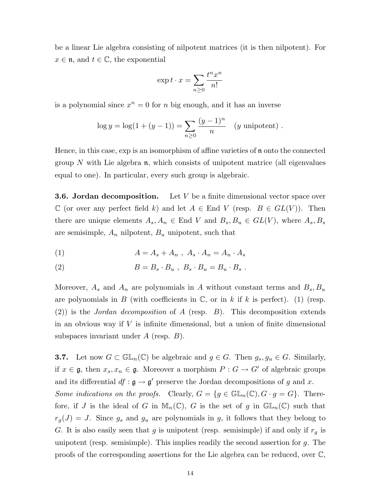be a linear Lie algebra consisting of nilpotent matrices (it is then nilpotent). For  $x \in \mathfrak{n}$ , and  $t \in \mathbb{C}$ , the exponential

$$
\exp t \cdot x = \sum_{n \ge 0} \frac{t^n x^n}{n!}
$$

is a polynomial since  $x^n = 0$  for n big enough, and it has an inverse

$$
\log y = \log(1 + (y - 1)) = \sum_{n \ge 0} \frac{(y - 1)^n}{n} \quad (y \text{ unipotent}) .
$$

Hence, in this case, exp is an isomorphism of affine varieties of n onto the connected group N with Lie algebra  $\mathfrak n$ , which consists of unipotent matrice (all eigenvalues equal to one). In particular, every such group is algebraic.

**3.6. Jordan decomposition.** Let  $V$  be a finite dimensional vector space over  $\mathbb C$  (or over any perfect field k) and let  $A \in \mathbb{R}$  V (resp.  $B \in GL(V)$ ). Then there are unique elements  $A_s, A_n \in \text{End } V$  and  $B_s, B_u \in GL(V)$ , where  $A_s, B_s$ are semisimple,  $A_n$  nilpotent,  $B_u$  unipotent, such that

$$
(1) \qquad \qquad A = A_s + A_n \ , \ A_s \cdot A_n = A_n \cdot A_s
$$

(2) 
$$
B=B_s \cdot B_u , B_s \cdot B_u = B_u \cdot B_s .
$$

Moreover,  $A_s$  and  $A_n$  are polynomials in A without constant terms and  $B_s$ ,  $B_u$ are polynomials in B (with coefficients in  $\mathbb{C}$ , or in k if k is perfect). (1) (resp. (2)) is the *Jordan decomposition* of A (resp.  $B$ ). This decomposition extends in an obvious way if  $V$  is infinite dimensional, but a union of finite dimensional subspaces invariant under  $A$  (resp.  $B$ ).

**3.7.** Let now  $G \subset \mathbb{GL}_n(\mathbb{C})$  be algebraic and  $g \in G$ . Then  $g_s, g_u \in G$ . Similarly, if  $x \in \mathfrak{g}$ , then  $x_s, x_n \in \mathfrak{g}$ . Moreover a morphism  $P : G \to G'$  of algebraic groups and its differential  $df : \mathfrak{g} \to \mathfrak{g}'$  preserve the Jordan decompositions of g and x. Some indications on the proofs. Clearly,  $G = \{g \in \mathbb{GL}_n(\mathbb{C}), G \cdot g = G\}$ . Therefore, if J is the ideal of G in  $\mathbb{M}_n(\mathbb{C})$ , G is the set of g in  $\mathbb{GL}_n(\mathbb{C})$  such that  $r_g(J) = J$ . Since  $g_s$  and  $g_u$  are polynomials in g, it follows that they belong to G. It is also easily seen that g is unipotent (resp. semisimple) if and only if  $r_g$  is unipotent (resp. semisimple). This implies readily the second assertion for  $g$ . The proofs of the corresponding assertions for the Lie algebra can be reduced, over C,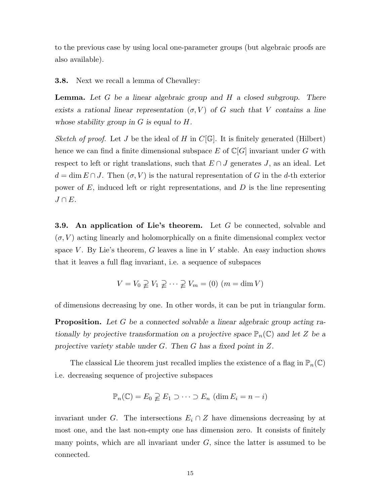to the previous case by using local one-parameter groups (but algebraic proofs are also available).

3.8. Next we recall a lemma of Chevalley:

**Lemma.** Let  $G$  be a linear algebraic group and  $H$  a closed subgroup. There exists a rational linear representation  $(\sigma, V)$  of G such that V contains a line whose stability group in  $G$  is equal to  $H$ .

Sketch of proof. Let J be the ideal of H in  $C[\mathbb{G}]$ . It is finitely generated (Hilbert) hence we can find a finite dimensional subspace E of  $\mathbb{C}[G]$  invariant under G with respect to left or right translations, such that  $E \cap J$  generates J, as an ideal. Let  $d = \dim E \cap J$ . Then  $(\sigma, V)$  is the natural representation of G in the d-th exterior power of  $E$ , induced left or right representations, and  $D$  is the line representing  $J \cap E$ .

**3.9.** An application of Lie's theorem. Let  $G$  be connected, solvable and  $(\sigma, V)$  acting linearly and holomorphically on a finite dimensional complex vector space V. By Lie's theorem, G leaves a line in V stable. An easy induction shows that it leaves a full flag invariant, i.e. a sequence of subspaces

$$
V = V_0 \supsetneq V_1 \supsetneq \cdots \supsetneq V_m = (0) \ (m = \dim V)
$$

of dimensions decreasing by one. In other words, it can be put in triangular form.

**Proposition.** Let G be a connected solvable a linear algebraic group acting rationally by projective transformation on a projective space  $\mathbb{P}_n(\mathbb{C})$  and let Z be a projective variety stable under G. Then G has a fixed point in Z.

The classical Lie theorem just recalled implies the existence of a flag in  $\mathbb{P}_n(\mathbb{C})$ i.e. decreasing sequence of projective subspaces

$$
\mathbb{P}_n(\mathbb{C}) = E_0 \supsetneq E_1 \supset \cdots \supset E_n \ (\dim E_i = n - i)
$$

invariant under G. The intersections  $E_i \cap Z$  have dimensions decreasing by at most one, and the last non-empty one has dimension zero. It consists of finitely many points, which are all invariant under  $G$ , since the latter is assumed to be connected.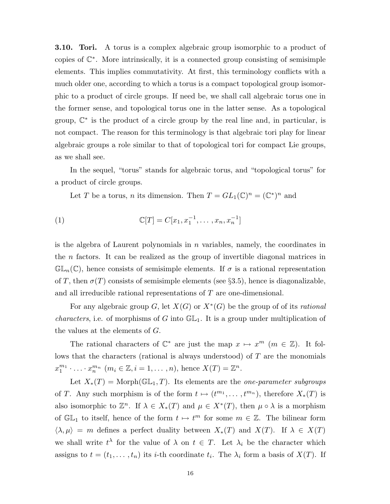3.10. Tori. A torus is a complex algebraic group isomorphic to a product of copies of C ∗ . More intrinsically, it is a connected group consisting of semisimple elements. This implies commutativity. At first, this terminology conflicts with a much older one, according to which a torus is a compact topological group isomorphic to a product of circle groups. If need be, we shall call algebraic torus one in the former sense, and topological torus one in the latter sense. As a topological group,  $\mathbb{C}^*$  is the product of a circle group by the real line and, in particular, is not compact. The reason for this terminology is that algebraic tori play for linear algebraic groups a role similar to that of topological tori for compact Lie groups, as we shall see.

In the sequel, "torus" stands for algebraic torus, and "topological torus" for a product of circle groups.

Let T be a torus, n its dimension. Then  $T = GL_1(\mathbb{C})^n = (\mathbb{C}^*)^n$  and

(1) 
$$
\mathbb{C}[T] = C[x_1, x_1^{-1}, \dots, x_n, x_n^{-1}]
$$

is the algebra of Laurent polynomials in  $n$  variables, namely, the coordinates in the n factors. It can be realized as the group of invertible diagonal matrices in  $\mathbb{GL}_n(\mathbb{C})$ , hence consists of semisimple elements. If  $\sigma$  is a rational representation of T, then  $\sigma(T)$  consists of semisimple elements (see §3.5), hence is diagonalizable, and all irreducible rational representations of T are one-dimensional.

For any algebraic group G, let  $X(G)$  or  $X^*(G)$  be the group of of its rational *characters*, i.e. of morphisms of G into  $GL_1$ . It is a group under multiplication of the values at the elements of G.

The rational characters of  $\mathbb{C}^*$  are just the map  $x \mapsto x^m$   $(m \in \mathbb{Z})$ . It follows that the characters (rational is always understood) of T are the monomials  $x_1^{m_1} \cdot \ldots \cdot x_n^{m_n}$   $(m_i \in \mathbb{Z}, i = 1, \ldots, n)$ , hence  $X(T) = \mathbb{Z}^n$ .

Let  $X_*(T) = \text{Morph}(\mathbb{GL}_1, T)$ . Its elements are the *one-parameter subgroups* of T. Any such morphism is of the form  $t \mapsto (t^{m_1}, \ldots, t^{m_n})$ , therefore  $X_*(T)$  is also isomorphic to  $\mathbb{Z}^n$ . If  $\lambda \in X_*(T)$  and  $\mu \in X^*(T)$ , then  $\mu \circ \lambda$  is a morphism of  $\mathbb{GL}_1$  to itself, hence of the form  $t \mapsto t^m$  for some  $m \in \mathbb{Z}$ . The bilinear form  $\langle \lambda, \mu \rangle = m$  defines a perfect duality between  $X_*(T)$  and  $X(T)$ . If  $\lambda \in X(T)$ we shall write  $t^{\lambda}$  for the value of  $\lambda$  on  $t \in T$ . Let  $\lambda_i$  be the character which assigns to  $t = (t_1, \ldots, t_n)$  its *i*-th coordinate  $t_i$ . The  $\lambda_i$  form a basis of  $X(T)$ . If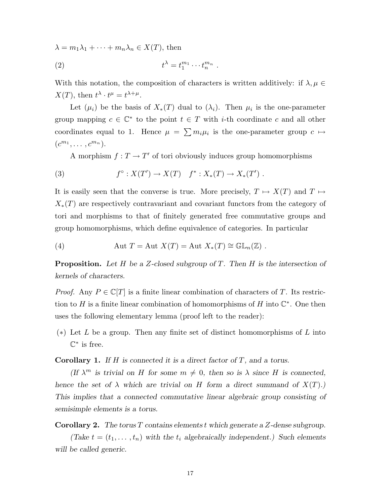$\lambda = m_1 \lambda_1 + \cdots + m_n \lambda_n \in X(T)$ , then

$$
(2) \t t^{\lambda} = t_1^{m_1} \cdots t_n^{m_n} .
$$

With this notation, the composition of characters is written additively: if  $\lambda, \mu \in$  $X(T)$ , then  $t^{\lambda} \cdot t^{\mu} = t^{\lambda + \mu}$ .

Let  $(\mu_i)$  be the basis of  $X_*(T)$  dual to  $(\lambda_i)$ . Then  $\mu_i$  is the one-parameter group mapping  $c \in \mathbb{C}^*$  to the point  $t \in T$  with *i*-th coordinate c and all other coordinates equal to 1. Hence  $\mu = \sum m_i \mu_i$  is the one-parameter group  $c \mapsto$  $(c^{m_1}, \ldots, c^{m_n}).$ 

A morphism  $f: T \to T'$  of tori obviously induces group homomorphisms

(3) 
$$
f^{\circ}: X(T') \to X(T) \quad f^*: X_*(T) \to X_*(T')
$$
.

It is easily seen that the converse is true. More precisely,  $T \mapsto X(T)$  and  $T \mapsto$  $X_*(T)$  are respectively contravariant and covariant functors from the category of tori and morphisms to that of finitely generated free commutative groups and group homomorphisms, which define equivalence of categories. In particular

(4) 
$$
\text{Aut } T = \text{Aut } X(T) = \text{Aut } X_*(T) \cong \mathbb{GL}_n(\mathbb{Z}) .
$$

**Proposition.** Let H be a Z-closed subgroup of T. Then H is the intersection of kernels of characters.

*Proof.* Any  $P \in \mathbb{C}[T]$  is a finite linear combination of characters of T. Its restriction to H is a finite linear combination of homomorphisms of H into  $\mathbb{C}^*$ . One then uses the following elementary lemma (proof left to the reader):

 $(*)$  Let L be a group. Then any finite set of distinct homomorphisms of L into  $\mathbb{C}^*$  is free.

**Corollary 1.** If  $H$  is connected it is a direct factor of  $T$ , and a torus.

(If  $\lambda^m$  is trivial on H for some  $m \neq 0$ , then so is  $\lambda$  since H is connected, hence the set of  $\lambda$  which are trivial on H form a direct summand of  $X(T)$ .) This implies that a connected commutative linear algebraic group consisting of semisimple elements is a torus.

Corollary 2. The torus T contains elements t which generate a Z-dense subgroup.

(Take  $t = (t_1, \ldots, t_n)$  with the  $t_i$  algebraically independent.) Such elements will be called generic.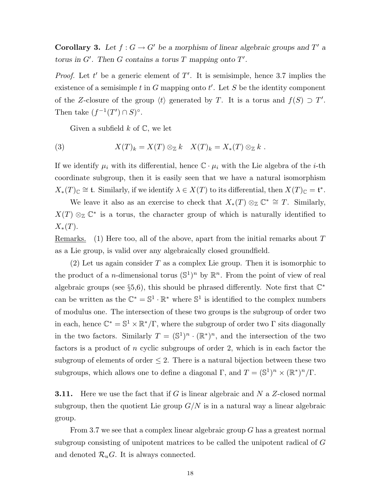**Corollary 3.** Let  $f: G \to G'$  be a morphism of linear algebraic groups and T' a torus in  $G'$ . Then G contains a torus T mapping onto  $T'$ .

*Proof.* Let t' be a generic element of  $T'$ . It is semisimple, hence 3.7 implies the existence of a semisimple  $t$  in  $G$  mapping onto  $t'$ . Let  $S$  be the identity component of the Z-closure of the group  $\langle t \rangle$  generated by T. It is a torus and  $f(S) \supset T'$ . Then take  $(f^{-1}(T') \cap S)^\circ$ .

Given a subfield  $k$  of  $\mathbb{C}$ , we let

(3) 
$$
X(T)_k = X(T) \otimes_{\mathbb{Z}} k \quad X(T)_k = X_*(T) \otimes_{\mathbb{Z}} k .
$$

If we identify  $\mu_i$  with its differential, hence  $\mathbb{C} \cdot \mu_i$  with the Lie algebra of the *i*-th coordinate subgroup, then it is easily seen that we have a natural isomorphism  $X_*(T)_\mathbb{C} \cong \mathfrak{t}$ . Similarly, if we identify  $\lambda \in X(T)$  to its differential, then  $X(T)_\mathbb{C} = \mathfrak{t}^*$ .

We leave it also as an exercise to check that  $X_*(T) \otimes_{\mathbb{Z}} \mathbb{C}^* \cong T$ . Similarly,  $X(T) \otimes_{\mathbb{Z}} \mathbb{C}^*$  is a torus, the character group of which is naturally identified to  $X_*(T).$ 

Remarks. (1) Here too, all of the above, apart from the initial remarks about  $T$ as a Lie group, is valid over any algebraically closed groundfield.

(2) Let us again consider T as a complex Lie group. Then it is isomorphic to the product of a *n*-dimensional torus  $(\mathbb{S}^1)^n$  by  $\mathbb{R}^n$ . From the point of view of real algebraic groups (see §5,6), this should be phrased differently. Note first that  $\mathbb{C}^*$ can be written as the  $\mathbb{C}^* = \mathbb{S}^1 \cdot \mathbb{R}^*$  where  $\mathbb{S}^1$  is identified to the complex numbers of modulus one. The intersection of these two groups is the subgroup of order two in each, hence  $\mathbb{C}^* = \mathbb{S}^1 \times \mathbb{R}^* / \Gamma$ , where the subgroup of order two  $\Gamma$  sits diagonally in the two factors. Similarly  $T = (\mathbb{S}^1)^n \cdot (\mathbb{R}^*)^n$ , and the intersection of the two factors is a product of n cyclic subgroups of order 2, which is in each factor the subgroup of elements of order  $\leq$  2. There is a natural bijection between these two subgroups, which allows one to define a diagonal  $\Gamma$ , and  $T = (\mathbb{S}^1)^n \times (\mathbb{R}^*)^n / \Gamma$ .

**3.11.** Here we use the fact that if G is linear algebraic and N a  $Z$ -closed normal subgroup, then the quotient Lie group  $G/N$  is in a natural way a linear algebraic group.

From 3.7 we see that a complex linear algebraic group  $G$  has a greatest normal subgroup consisting of unipotent matrices to be called the unipotent radical of G and denoted  $\mathcal{R}_u$ G. It is always connected.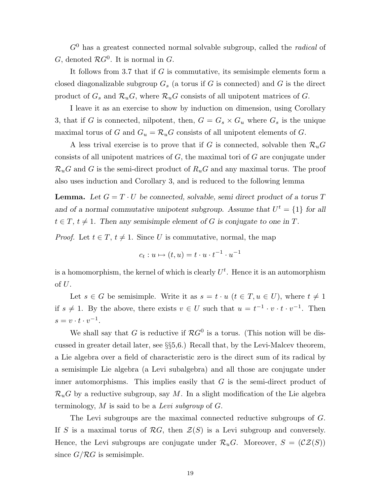$G<sup>0</sup>$  has a greatest connected normal solvable subgroup, called the *radical* of G, denoted  $\mathcal{R}G^0$ . It is normal in G.

It follows from 3.7 that if G is commutative, its semisimple elements form a closed diagonalizable subgroup  $G_s$  (a torus if G is connected) and G is the direct product of  $G_s$  and  $\mathcal{R}_u G$ , where  $\mathcal{R}_u G$  consists of all unipotent matrices of G.

I leave it as an exercise to show by induction on dimension, using Corollary 3, that if G is connected, nilpotent, then,  $G = G_s \times G_u$  where  $G_s$  is the unique maximal torus of G and  $G_u = \mathcal{R}_u G$  consists of all unipotent elements of G.

A less trival exercise is to prove that if G is connected, solvable then  $\mathcal{R}_u$ G consists of all unipotent matrices of  $G$ , the maximal tori of  $G$  are conjugate under  $\mathcal{R}_u$ G and G is the semi-direct product of  $R_u$ G and any maximal torus. The proof also uses induction and Corollary 3, and is reduced to the following lemma

**Lemma.** Let  $G = T \cdot U$  be connected, solvable, semi-direct product of a torus T and of a normal commutative unipotent subgroup. Assume that  $U^t = \{1\}$  for all  $t \in T$ ,  $t \neq 1$ . Then any semisimple element of G is conjugate to one in T.

*Proof.* Let  $t \in T$ ,  $t \neq 1$ . Since U is commutative, normal, the map

$$
c_t: u \mapsto (t, u) = t \cdot u \cdot t^{-1} \cdot u^{-1}
$$

is a homomorphism, the kernel of which is clearly  $U^t$ . Hence it is an automorphism of  $\cal U.$ 

Let  $s \in G$  be semisimple. Write it as  $s = t \cdot u$   $(t \in T, u \in U)$ , where  $t \neq 1$ if  $s \neq 1$ . By the above, there exists  $v \in U$  such that  $u = t^{-1} \cdot v \cdot t \cdot v^{-1}$ . Then  $s = v \cdot t \cdot v^{-1}.$ 

We shall say that G is reductive if  $\mathcal{R}G^0$  is a torus. (This notion will be discussed in greater detail later, see §§5,6.) Recall that, by the Levi-Malcev theorem, a Lie algebra over a field of characteristic zero is the direct sum of its radical by a semisimple Lie algebra (a Levi subalgebra) and all those are conjugate under inner automorphisms. This implies easily that G is the semi-direct product of  $\mathcal{R}_u$ G by a reductive subgroup, say M. In a slight modification of the Lie algebra terminology,  $M$  is said to be a Levi subgroup of  $G$ .

The Levi subgroups are the maximal connected reductive subgroups of G. If S is a maximal torus of RG, then  $\mathcal{Z}(S)$  is a Levi subgroup and conversely. Hence, the Levi subgroups are conjugate under  $\mathcal{R}_uG$ . Moreover,  $S = (\mathcal{CZ}(S))$ since  $G/RG$  is semisimple.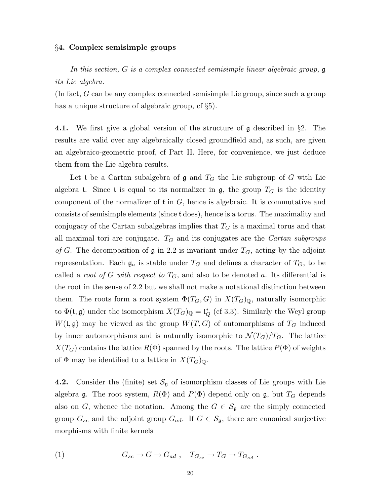#### §4. Complex semisimple groups

In this section, G is a complex connected semisimple linear algebraic group, g its Lie algebra.

(In fact, G can be any complex connected semisimple Lie group, since such a group has a unique structure of algebraic group, cf §5).

4.1. We first give a global version of the structure of g described in §2. The results are valid over any algebraically closed groundfield and, as such, are given an algebraico-geometric proof, cf Part II. Here, for convenience, we just deduce them from the Lie algebra results.

Let t be a Cartan subalgebra of  $\mathfrak g$  and  $T_G$  the Lie subgroup of G with Lie algebra t. Since t is equal to its normalizer in  $\mathfrak{g}$ , the group  $T_G$  is the identity component of the normalizer of  $t$  in  $G$ , hence is algebraic. It is commutative and consists of semisimple elements (since t does), hence is a torus. The maximality and conjugacy of the Cartan subalgebras implies that  $T_G$  is a maximal torus and that all maximal tori are conjugate.  $T_G$  and its conjugates are the *Cartan subgroups* of G. The decomposition of  $\mathfrak g$  in 2.2 is invariant under  $T_G$ , acting by the adjoint representation. Each  $\mathfrak{g}_a$  is stable under  $T_G$  and defines a character of  $T_G$ , to be called a *root of G with respect to*  $T_G$ , and also to be denoted a. Its differential is the root in the sense of 2.2 but we shall not make a notational distinction between them. The roots form a root system  $\Phi(T_G, G)$  in  $X(T_G)_{\mathbb{Q}}$ , naturally isomorphic to  $\Phi(\mathfrak{t}, \mathfrak{g})$  under the isomorphism  $X(T_G)_{\mathbb{Q}} = \mathfrak{t}^*_{Q}$  (cf 3.3). Similarly the Weyl group  $W(\mathfrak{t},\mathfrak{g})$  may be viewed as the group  $W(T,G)$  of automorphisms of  $T_G$  induced by inner automorphisms and is naturally isomorphic to  $\mathcal{N}(T_G)/T_G$ . The lattice  $X(T_G)$  contains the lattice  $R(\Phi)$  spanned by the roots. The lattice  $P(\Phi)$  of weights of  $\Phi$  may be identified to a lattice in  $X(T_G)_{\mathbb{Q}}$ .

**4.2.** Consider the (finite) set  $\mathcal{S}_{\mathfrak{g}}$  of isomorphism classes of Lie groups with Lie algebra  $\mathfrak g$ . The root system,  $R(\Phi)$  and  $P(\Phi)$  depend only on  $\mathfrak g$ , but  $T_G$  depends also on G, whence the notation. Among the  $G \in \mathcal{S}_{\mathfrak{g}}$  are the simply connected group  $G_{sc}$  and the adjoint group  $G_{ad}$ . If  $G \in \mathcal{S}_{g}$ , there are canonical surjective morphisms with finite kernels

(1) 
$$
G_{sc} \to G \to G_{ad} , \quad T_{G_{sc}} \to T_G \to T_{G_{ad}} .
$$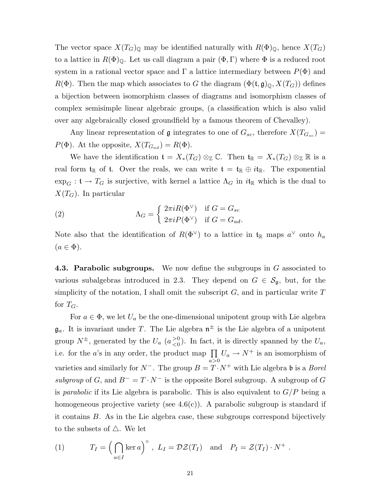The vector space  $X(T_G)_{\mathbb{Q}}$  may be identified naturally with  $R(\Phi)_{\mathbb{Q}}$ , hence  $X(T_G)$ to a lattice in  $R(\Phi)_{\mathbb{Q}}$ . Let us call diagram a pair  $(\Phi, \Gamma)$  where  $\Phi$  is a reduced root system in a rational vector space and  $\Gamma$  a lattice intermediary between  $P(\Phi)$  and  $R(\Phi)$ . Then the map which associates to G the diagram  $(\Phi(\mathfrak{t},\mathfrak{g})_{\mathbb{Q}}, X(T_G))$  defines a bijection between isomorphism classes of diagrams and isomorphism classes of complex semisimple linear algebraic groups, (a classification which is also valid over any algebraically closed groundfield by a famous theorem of Chevalley).

Any linear representation of  $\mathfrak g$  integrates to one of  $G_{sc}$ , therefore  $X(T_{G_{sc}})$  =  $P(\Phi)$ . At the opposite,  $X(T_{G_{ad}}) = R(\Phi)$ .

We have the identification  $\mathfrak{t} = X_*(T_G) \otimes_{\mathbb{Z}} \mathbb{C}$ . Then  $\mathfrak{t}_{\mathbb{R}} = X_*(T_G) \otimes_{\mathbb{Z}} \mathbb{R}$  is a real form  $t_{\mathbb{R}}$  of t. Over the reals, we can write  $t = t_{\mathbb{R}} \oplus i t_{\mathbb{R}}$ . The exponential  $\exp_G : \mathfrak{t} \to T_G$  is surjective, with kernel a lattice  $\Lambda_G$  in  $i\mathfrak{t}_\mathbb{R}$  which is the dual to  $X(T_G)$ . In particular

(2) 
$$
\Lambda_G = \begin{cases} 2\pi i R(\Phi^{\vee}) & \text{if } G = G_{sc} \\ 2\pi i P(\Phi^{\vee}) & \text{if } G = G_{ad}. \end{cases}
$$

Note also that the identification of  $R(\Phi^{\vee})$  to a lattice in  $\mathfrak{t}_{\mathbb{R}}$  maps  $a^{\vee}$  onto  $h_a$  $(a \in \Phi).$ 

4.3. Parabolic subgroups. We now define the subgroups in G associated to various subalgebras introduced in 2.3. They depend on  $G \in \mathcal{S}_{\mathfrak{g}}$ , but, for the simplicity of the notation, I shall omit the subscript  $G$ , and in particular write  $T$ for  $T_G$ .

For  $a \in \Phi$ , we let  $U_a$  be the one-dimensional unipotent group with Lie algebra  $\mathfrak{g}_a$ . It is invariant under T. The Lie algebra  $\mathfrak{n}^{\pm}$  is the Lie algebra of a unipotent group  $N^{\pm}$ , generated by the  $U_a$  ( $a_{\leq 0}^{>0}$  $\binom{>0}{<0}$ . In fact, it is directly spanned by the  $U_a$ , i.e. for the a's in any order, the product map  $\prod$  $\prod_{a>0} U_a \to N^+$  is an isomorphism of varieties and similarly for  $N^-$ . The group  $B = T \cdot N^+$  with Lie algebra b is a *Borel* subgroup of G, and  $B^- = T \cdot N^-$  is the opposite Borel subgroup. A subgroup of G is *parabolic* if its Lie algebra is parabolic. This is also equivalent to  $G/P$  being a homogeneous projective variety (see  $4.6(c)$ ). A parabolic subgroup is standard if it contains B. As in the Lie algebra case, these subgroups correspond bijectively to the subsets of  $\triangle$ . We let

(1) 
$$
T_I = \left(\bigcap_{a \in I} \ker a\right)^{\circ}, L_I = \mathcal{DZ}(T_I) \text{ and } P_I = \mathcal{Z}(T_I) \cdot N^+.
$$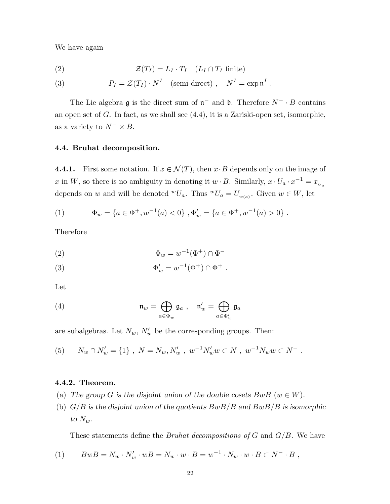We have again

(2) 
$$
\mathcal{Z}(T_I) = L_I \cdot T_I \quad (L_I \cap T_I \text{ finite})
$$

(3) 
$$
P_I = \mathcal{Z}(T_I) \cdot N^I \quad \text{(semi-direction)}, \quad N^I = \exp \mathfrak{n}^I.
$$

The Lie algebra  $\mathfrak g$  is the direct sum of  $\mathfrak n^-$  and  $\mathfrak b$ . Therefore  $N^- \cdot B$  contains an open set of G. In fact, as we shall see (4.4), it is a Zariski-open set, isomorphic, as a variety to  $N^{-} \times B$ .

#### 4.4. Bruhat decomposition.

4.4.1. First some notation. If  $x \in \mathcal{N}(T)$ , then  $x \cdot B$  depends only on the image of x in W, so there is no ambiguity in denoting it  $w \cdot B$ . Similarly,  $x \cdot U_a \cdot x^{-1} = x_{U_a}$ depends on w and will be denoted  ${}^wU_a$ . Thus  ${}^wU_a = U_{w(a)}$ . Given  $w \in W$ , let

(1) 
$$
\Phi_w = \{a \in \Phi^+, w^{-1}(a) < 0\}, \Phi'_w = \{a \in \Phi^+, w^{-1}(a) > 0\}.
$$

Therefore

$$
\Phi_w = w^{-1}(\Phi^+) \cap \Phi^-
$$

(3) 
$$
\Phi'_{w} = w^{-1}(\Phi^{+}) \cap \Phi^{+} .
$$

Let

(4) 
$$
\mathfrak{n}_w = \bigoplus_{a \in \Phi_w} \mathfrak{g}_a , \quad \mathfrak{n}'_w = \bigoplus_{a \in \Phi'_w} \mathfrak{g}_a
$$

are subalgebras. Let  $N_w$ ,  $N'_w$  be the corresponding groups. Then:

(5) 
$$
N_w \cap N'_w = \{1\}, \ N = N_w, N'_w, w^{-1}N'_w w \subset N, w^{-1}N_w w \subset N^-.
$$

## 4.4.2. Theorem.

- (a) The group G is the disjoint union of the double cosets  $BwB$  ( $w \in W$ ).
- (b)  $G/B$  is the disjoint union of the quotients  $BwB/B$  and  $BwB/B$  is isomorphic to  $N_w$ .

These statements define the *Bruhat decompositions of*  $G$  and  $G/B$ . We have

(1) 
$$
BwB = N_w \cdot N'_w \cdot wB = N_w \cdot w \cdot B = w^{-1} \cdot N_w \cdot w \cdot B \subset N^- \cdot B,
$$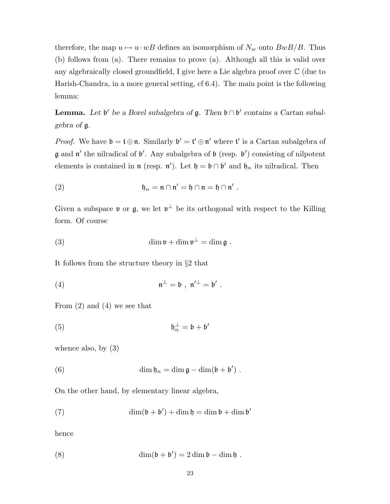therefore, the map  $u \mapsto u \cdot wB$  defines an isomorphism of  $N_w$  onto  $BwB/B$ . Thus (b) follows from (a). There remains to prove (a). Although all this is valid over any algebraically closed groundfield, I give here a Lie algebra proof over C (due to Harish-Chandra, in a more general setting, cf 6.4). The main point is the following lemma:

**Lemma.** Let  $\mathfrak{b}'$  be a Borel subalgebra of  $\mathfrak{g}$ . Then  $\mathfrak{b} \cap \mathfrak{b}'$  contains a Cartan subalgebra of g.

*Proof.* We have  $\mathfrak{b} = \mathfrak{t} \oplus \mathfrak{n}$ . Similarly  $\mathfrak{b}' = \mathfrak{t}' \oplus \mathfrak{n}'$  where  $\mathfrak{t}'$  is a Cartan subalgebra of  $\mathfrak g$  and  $\mathfrak n'$  the nilradical of  $\mathfrak b'$ . Any subalgebra of  $\mathfrak b$  (resp.  $\mathfrak b'$ ) consisting of nilpotent elements is contained in  $\mathfrak{n}$  (resp.  $\mathfrak{n}'$ ). Let  $\mathfrak{h} = \mathfrak{b} \cap \mathfrak{b}'$  and  $\mathfrak{h}_n$  its nilradical. Then

(2) 
$$
\mathfrak{h}_n = \mathfrak{n} \cap \mathfrak{n}' = \mathfrak{h} \cap \mathfrak{n} = \mathfrak{h} \cap \mathfrak{n}'.
$$

Given a subspace  $\mathfrak v$  or  $\mathfrak g$ , we let  $\mathfrak v^{\perp}$  be its orthogonal with respect to the Killing form. Of course

(3) 
$$
\dim \mathfrak{v} + \dim \mathfrak{v}^{\perp} = \dim \mathfrak{g}.
$$

It follows from the structure theory in §2 that

(4) 
$$
\mathfrak{n}^{\perp} = \mathfrak{b} , \mathfrak{n}'^{\perp} = \mathfrak{b}' .
$$

From (2) and (4) we see that

$$
\mathfrak{h}_n^{\perp} = \mathfrak{b} + \mathfrak{b}'
$$

whence also, by (3)

(6) 
$$
\dim \mathfrak{h}_n = \dim \mathfrak{g} - \dim(\mathfrak{b} + \mathfrak{b}')
$$

On the other hand, by elementary linear algebra,

(7) 
$$
\dim(\mathfrak{b} + \mathfrak{b}') + \dim \mathfrak{h} = \dim \mathfrak{b} + \dim \mathfrak{b}'
$$

hence

(8) 
$$
\dim(\mathfrak{b} + \mathfrak{b}') = 2 \dim \mathfrak{b} - \dim \mathfrak{h}.
$$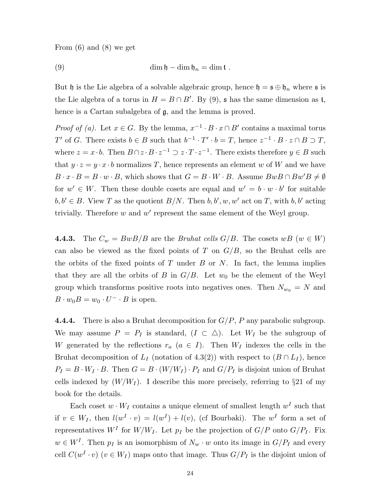From (6) and (8) we get

(9) 
$$
\dim \mathfrak{h} - \dim \mathfrak{h}_n = \dim \mathfrak{t} .
$$

But h is the Lie algebra of a solvable algebraic group, hence  $\mathfrak{h} = \mathfrak{s} \oplus \mathfrak{h}_n$  where  $\mathfrak{s}$  is the Lie algebra of a torus in  $H = B \cap B'$ . By (9), s has the same dimension as t, hence is a Cartan subalgebra of g, and the lemma is proved.

*Proof of (a)*. Let  $x \in G$ . By the lemma,  $x^{-1} \cdot B \cdot x \cap B'$  contains a maximal torus T' of G. There exists  $b \in B$  such that  $b^{-1} \cdot T' \cdot b = T$ , hence  $z^{-1} \cdot B \cdot z \cap B \supset T$ , where  $z = x \cdot b$ . Then  $B \cap z \cdot B \cdot z^{-1} \supset z \cdot T \cdot z^{-1}$ . There exists therefore  $y \in B$  such that  $y \cdot z = y \cdot x \cdot b$  normalizes T, hence represents an element w of W and we have  $B \cdot x \cdot B = B \cdot w \cdot B$ , which shows that  $G = B \cdot W \cdot B$ . Assume  $BwB \cap Bw'B \neq \emptyset$ for  $w' \in W$ . Then these double cosets are equal and  $w' = b \cdot w \cdot b'$  for suitable  $b, b' \in B$ . View T as the quotient  $B/N$ . Then  $b, b', w, w'$  act on T, with  $b, b'$  acting trivially. Therefore  $w$  and  $w'$  represent the same element of the Weyl group.

**4.4.3.** The  $C_w = BwB/B$  are the *Bruhat cells G/B*. The cosets  $wB(w \in W)$ can also be viewed as the fixed points of T on  $G/B$ , so the Bruhat cells are the orbits of the fixed points of  $T$  under  $B$  or  $N$ . In fact, the lemma implies that they are all the orbits of B in  $G/B$ . Let  $w_0$  be the element of the Weyl group which transforms positive roots into negatives ones. Then  $N_{w_0} = N$  and  $B \cdot w_0 B = w_0 \cdot U^- \cdot B$  is open.

4.4.4. There is also a Bruhat decomposition for  $G/P$ , P any parabolic subgroup. We may assume  $P = P_I$  is standard,  $(I \subset \triangle)$ . Let  $W_I$  be the subgroup of W generated by the reflections  $r_a$  ( $a \in I$ ). Then  $W_I$  indexes the cells in the Bruhat decomposition of  $L_I$  (notation of 4.3(2)) with respect to  $(B \cap L_I)$ , hence  $P_I = B \cdot W_I \cdot B$ . Then  $G = B \cdot (W/W_I) \cdot P_I$  and  $G/P_I$  is disjoint union of Bruhat cells indexed by  $(W/W_I)$ . I describe this more precisely, referring to §21 of my book for the details.

Each coset  $w \cdot W_I$  contains a unique element of smallest length  $w^I$  such that if  $v \in W_I$ , then  $l(w^I \cdot v) = l(w^I) + l(v)$ , (cf Bourbaki). The  $w^I$  form a set of representatives  $W^I$  for  $W/W_I$ . Let  $p_I$  be the projection of  $G/P$  onto  $G/P_I$ . Fix  $w \in W<sup>I</sup>$ . Then  $p_I$  is an isomorphism of  $N_w \cdot w$  onto its image in  $G/P_I$  and every cell  $C(w^I \cdot v)$   $(v \in W_I)$  maps onto that image. Thus  $G/P_I$  is the disjoint union of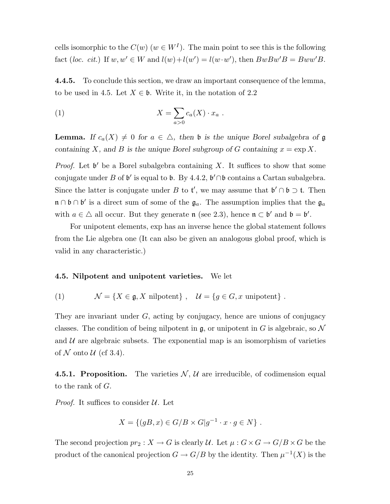cells isomorphic to the  $C(w)$   $(w \in W^I)$ . The main point to see this is the following fact (loc. cit.) If  $w, w' \in W$  and  $l(w) + l(w') = l(w \cdot w')$ , then  $BwBw'B = Bww'B$ .

4.4.5. To conclude this section, we draw an important consequence of the lemma, to be used in 4.5. Let  $X \in \mathfrak{b}$ . Write it, in the notation of 2.2

(1) 
$$
X = \sum_{a>0} c_a(X) \cdot x_a .
$$

**Lemma.** If  $c_a(X) \neq 0$  for  $a \in \Delta$ , then b is the unique Borel subalgebra of g containing X, and B is the unique Borel subgroup of G containing  $x = \exp X$ .

*Proof.* Let  $\mathfrak{b}'$  be a Borel subalgebra containing X. It suffices to show that some conjugate under B of  $\mathfrak{b}'$  is equal to  $\mathfrak{b}$ . By 4.4.2,  $\mathfrak{b}' \cap \mathfrak{b}$  contains a Cartan subalgebra. Since the latter is conjugate under B to  $\mathfrak{t}'$ , we may assume that  $\mathfrak{b}' \cap \mathfrak{b} \supset \mathfrak{t}$ . Then  $\mathfrak{n} \cap \mathfrak{b} \cap \mathfrak{b}'$  is a direct sum of some of the  $\mathfrak{g}_a$ . The assumption implies that the  $\mathfrak{g}_a$ with  $a \in \Delta$  all occur. But they generate  $\mathfrak{n}$  (see 2.3), hence  $\mathfrak{n} \subset \mathfrak{b}'$  and  $\mathfrak{b} = \mathfrak{b}'$ .

For unipotent elements, exp has an inverse hence the global statement follows from the Lie algebra one (It can also be given an analogous global proof, which is valid in any characteristic.)

#### 4.5. Nilpotent and unipotent varieties. We let

(1) 
$$
\mathcal{N} = \{X \in \mathfrak{g}, X \text{ nilpotent}\}, \quad \mathcal{U} = \{g \in G, x \text{ unipotent}\}.
$$

They are invariant under  $G$ , acting by conjugacy, hence are unions of conjugacy classes. The condition of being nilpotent in  $\mathfrak{g}$ , or unipotent in G is algebraic, so N and  $\mathcal U$  are algebraic subsets. The exponential map is an isomorphism of varieties of  $N$  onto  $U$  (cf 3.4).

**4.5.1. Proposition.** The varieties  $N$ ,  $U$  are irreducible, of codimension equal to the rank of G.

*Proof.* It suffices to consider  $U$ . Let

$$
X = \{(gB, x) \in G/B \times G | g^{-1} \cdot x \cdot g \in N \} .
$$

The second projection  $pr_2 : X \to G$  is clearly U. Let  $\mu : G \times G \to G/B \times G$  be the product of the canonical projection  $G \to G/B$  by the identity. Then  $\mu^{-1}(X)$  is the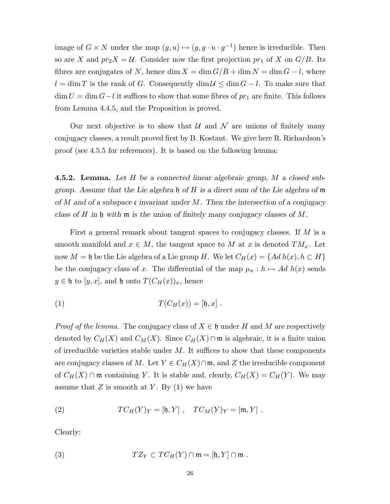image of  $G \times N$  under the map  $(g, u) \mapsto (g, g \cdot u \cdot g^{-1})$  hence is irreducible. Then so are X and  $pr_2X = U$ . Consider now the first projection  $pr_1$  of X on  $G/B$ . Its fibres are conjugates of N, hence dim  $X = \dim G/B + \dim N = \dim G - l$ , where  $l = \dim T$  is the rank of G. Consequently  $\dim U \leq \dim G - l$ . To make sure that  $\dim U = \dim G - l$  it suffices to show that some fibres of  $pr_1$  are finite. This follows from Lemma 4.4.5, and the Proposition is proved.

Our next objective is to show that  $\mathcal U$  and  $\mathcal N$  are unions of finitely many conjugacy classes, a result proved first by B. Kostant. We give here R. Richardson's proof (see 4.5.5 for references). It is based on the following lemma:

**4.5.2. Lemma.** Let H be a connected linear algebraic group, M a closed subgroup. Assume that the Lie algebra  $\mathfrak h$  of H is a direct sum of the Lie algebra of  $\mathfrak m$ of M and of a subspace c invariant under M. Then the intersection of a conjugacy class of H in h with  $\mathfrak m$  is the union of finitely many conjugacy classes of M.

First a general remark about tangent spaces to conjugacy classes. If  $M$  is a smooth manifold and  $x \in M$ , the tangent space to M at x is denoted  $TM_x$ . Let now  $M = \mathfrak{h}$  be the Lie algebra of a Lie group H. We let  $C_H(x) = \{Ad h(x), h \subset H\}$ be the conjugacy class of x. The differential of the map  $\mu_x : h \mapsto Ad \; h(x)$  sends  $y \in \mathfrak{h}$  to  $[y, x]$ , and  $\mathfrak{h}$  onto  $T(C_H(x))_x$ , hence

(1) 
$$
T(C_H(x)) = [\mathfrak{h}, x].
$$

*Proof of the lemma.* The conjugacy class of  $X \in \mathfrak{h}$  under H and M are respectively denoted by  $C_H(X)$  and  $C_M(X)$ . Since  $C_H(X) \cap \mathfrak{m}$  is algebraic, it is a finite union of irreducible varieties stable under  $M$ . It suffices to show that these components are conjugacy classes of M. Let  $Y \in C_H(X) \cap \mathfrak{m}$ , and Z the irreducible component of  $C_H(X) \cap \mathfrak{m}$  containing Y. It is stable and, clearly,  $C_H(X) = C_H(Y)$ . We may assume that  $Z$  is smooth at  $Y$ . By  $(1)$  we have

(2) 
$$
TC_H(Y)_Y = [\mathfrak{h}, Y], TC_M(Y)_Y = [\mathfrak{m}, Y].
$$

Clearly:

(3) 
$$
TZ_Y \subset TC_H(Y) \cap \mathfrak{m} = [\mathfrak{h}, Y] \cap \mathfrak{m}.
$$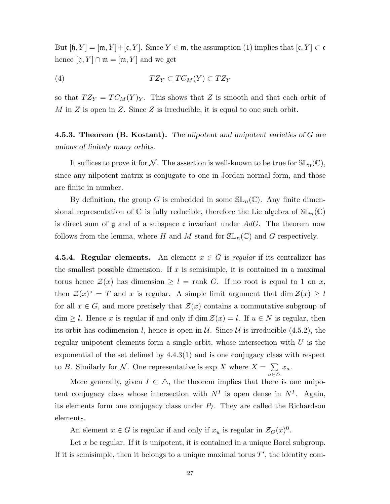But  $[\mathfrak{h}, Y] = [\mathfrak{m}, Y] + [\mathfrak{c}, Y]$ . Since  $Y \in \mathfrak{m}$ , the assumption (1) implies that  $[\mathfrak{c}, Y] \subset \mathfrak{c}$ hence  $[\mathfrak{h}, Y] \cap \mathfrak{m} = [\mathfrak{m}, Y]$  and we get

$$
(4) \hspace{3.1em} T Z_Y \subset T C_M(Y) \subset T Z_Y
$$

so that  $TZ_Y = TC_M(Y)_Y$ . This shows that Z is smooth and that each orbit of  $M$  in  $Z$  is open in  $Z$ . Since  $Z$  is irreducible, it is equal to one such orbit.

**4.5.3. Theorem (B. Kostant).** The nilpotent and unipotent varieties of  $G$  are unions of finitely many orbits.

It suffices to prove it for N. The assertion is well-known to be true for  $SL_n(\mathbb{C}),$ since any nilpotent matrix is conjugate to one in Jordan normal form, and those are finite in number.

By definition, the group G is embedded in some  $SL_n(\mathbb{C})$ . Any finite dimensional representation of G is fully reducible, therefore the Lie algebra of  $SL_n(\mathbb{C})$ is direct sum of  $\mathfrak g$  and of a subspace c invariant under AdG. The theorem now follows from the lemma, where H and M stand for  $SL_n(\mathbb{C})$  and G respectively.

**4.5.4. Regular elements.** An element  $x \in G$  is regular if its centralizer has the smallest possible dimension. If  $x$  is semisimple, it is contained in a maximal torus hence  $\mathcal{Z}(x)$  has dimension  $\geq l = \text{rank } G$ . If no root is equal to 1 on x, then  $\mathcal{Z}(x)^\circ = T$  and x is regular. A simple limit argument that dim  $\mathcal{Z}(x) \geq l$ for all  $x \in G$ , and more precisely that  $\mathcal{Z}(x)$  contains a commutative subgroup of  $\dim \geq l$ . Hence x is regular if and only if  $\dim \mathcal{Z}(x) = l$ . If  $u \in N$  is regular, then its orbit has codimension l, hence is open in  $\mathcal U$ . Since  $\mathcal U$  is irreducible (4.5.2), the regular unipotent elements form a single orbit, whose intersection with  $U$  is the exponential of the set defined by 4.4.3(1) and is one conjugacy class with respect to B. Similarly for N. One representative is  $\exp X$  where  $X = \sum_{n=1}^{\infty} X_n$  $a \in \triangle$  $x_a$ .

More generally, given  $I \subset \Delta$ , the theorem implies that there is one unipotent conjugacy class whose intersection with  $N<sup>I</sup>$  is open dense in  $N<sup>I</sup>$ . Again, its elements form one conjugacy class under  $P_I$ . They are called the Richardson elements.

An element  $x \in G$  is regular if and only if  $x_u$  is regular in  $\mathcal{Z}_G(x)^0$ .

Let x be regular. If it is unipotent, it is contained in a unique Borel subgroup. If it is semisimple, then it belongs to a unique maximal torus  $T'$ , the identity com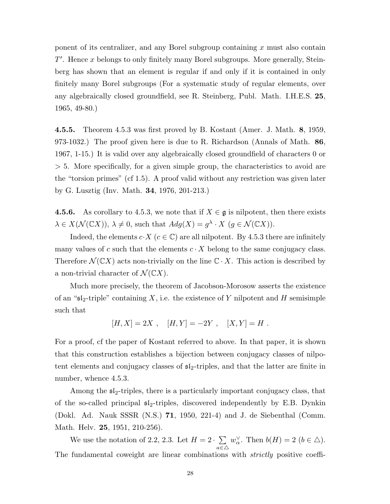ponent of its centralizer, and any Borel subgroup containing  $x$  must also contain  $T'$ . Hence x belongs to only finitely many Borel subgroups. More generally, Steinberg has shown that an element is regular if and only if it is contained in only finitely many Borel subgroups (For a systematic study of regular elements, over any algebraically closed groundfield, see R. Steinberg, Publ. Math. I.H.E.S. 25, 1965, 49-80.)

4.5.5. Theorem 4.5.3 was first proved by B. Kostant (Amer. J. Math. 8, 1959, 973-1032.) The proof given here is due to R. Richardson (Annals of Math. 86, 1967, 1-15.) It is valid over any algebraically closed groundfield of characters 0 or > 5. More specifically, for a given simple group, the characteristics to avoid are the "torsion primes" (cf 1.5). A proof valid without any restriction was given later by G. Lusztig (Inv. Math. 34, 1976, 201-213.)

**4.5.6.** As corollary to 4.5.3, we note that if  $X \in \mathfrak{g}$  is nilpotent, then there exists  $\lambda \in X(\mathcal{N}(\mathbb{C}X)), \lambda \neq 0$ , such that  $Adg(X) = g^{\lambda} \cdot X$   $(g \in \mathcal{N}(\mathbb{C}X)).$ 

Indeed, the elements  $c \cdot X$  ( $c \in \mathbb{C}$ ) are all nilpotent. By 4.5.3 there are infinitely many values of c such that the elements  $c \cdot X$  belong to the same conjugacy class. Therefore  $\mathcal{N}(\mathbb{C}X)$  acts non-trivially on the line  $\mathbb{C}\cdot X$ . This action is described by a non-trivial character of  $\mathcal{N}(\mathbb{C}X)$ .

Much more precisely, the theorem of Jacobson-Morosow asserts the existence of an " $\mathfrak{sl}_2$ -triple" containing X, i.e. the existence of Y nilpotent and H semisimple such that

$$
[H, X] = 2X , [H, Y] = -2Y , [X, Y] = H .
$$

For a proof, cf the paper of Kostant referred to above. In that paper, it is shown that this construction establishes a bijection between conjugacy classes of nilpotent elements and conjugacy classes of  $\mathfrak{sl}_2$ -triples, and that the latter are finite in number, whence 4.5.3.

Among the sl2-triples, there is a particularly important conjugacy class, that of the so-called principal  $\mathfrak{sl}_2$ -triples, discovered independently by E.B. Dynkin (Dokl. Ad. Nauk SSSR (N.S.) 71, 1950, 221-4) and J. de Siebenthal (Comm. Math. Helv. 25, 1951, 210-256).

We use the notation of 2.2, 2.3. Let  $H = 2 \cdot \sum_{n=1}^{\infty}$  $a \in \triangle$  $w_\alpha^{\vee}$ . Then  $b(H) = 2$   $(b \in \triangle)$ . The fundamental coweight are linear combinations with *strictly* positive coeffi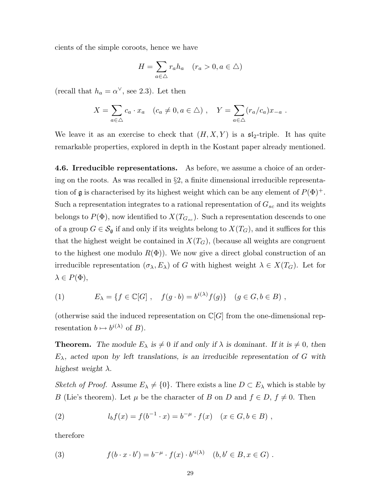cients of the simple coroots, hence we have

$$
H = \sum_{a \in \triangle} r_a h_a \quad (r_a > 0, a \in \triangle)
$$

(recall that  $h_a = \alpha^{\vee}$ , see 2.3). Let then

$$
X = \sum_{a \in \Delta} c_a \cdot x_a \quad (c_a \neq 0, a \in \Delta) , \quad Y = \sum_{a \in \Delta} (r_a/c_a) x_{-a} .
$$

We leave it as an exercise to check that  $(H, X, Y)$  is a  $\mathfrak{sl}_2$ -triple. It has quite remarkable properties, explored in depth in the Kostant paper already mentioned.

4.6. Irreducible representations. As before, we assume a choice of an ordering on the roots. As was recalled in  $\S2$ , a finite dimensional irreducible representation of  $\mathfrak g$  is characterised by its highest weight which can be any element of  $P(\Phi)^+$ . Such a representation integrates to a rational representation of  $G_{sc}$  and its weights belongs to  $P(\Phi)$ , now identified to  $X(T_{G_{sc}})$ . Such a representation descends to one of a group  $G \in \mathcal{S}_{\mathfrak{g}}$  if and only if its weights belong to  $X(T_G)$ , and it suffices for this that the highest weight be contained in  $X(T_G)$ , (because all weights are congruent to the highest one modulo  $R(\Phi)$ ). We now give a direct global construction of an irreducible representation  $(\sigma_{\lambda}, E_{\lambda})$  of G with highest weight  $\lambda \in X(T_G)$ . Let for  $\lambda \in P(\Phi),$ 

(1) 
$$
E_{\lambda} = \{ f \in \mathbb{C}[G], \quad f(g \cdot b) = b^{i(\lambda)} f(g) \} \quad (g \in G, b \in B),
$$

(otherwise said the induced representation on  $\mathbb{C}[G]$  from the one-dimensional representation  $b \mapsto b^{i(\lambda)}$  of  $B$ ).

**Theorem.** The module  $E_{\lambda}$  is  $\neq 0$  if and only if  $\lambda$  is dominant. If it is  $\neq 0$ , then  $E_{\lambda}$ , acted upon by left translations, is an irreducible representation of G with highest weight  $\lambda$ .

Sketch of Proof. Assume  $E_{\lambda} \neq \{0\}$ . There exists a line  $D \subset E_{\lambda}$  which is stable by B (Lie's theorem). Let  $\mu$  be the character of B on D and  $f \in D$ ,  $f \neq 0$ . Then

(2) 
$$
l_b f(x) = f(b^{-1} \cdot x) = b^{-\mu} \cdot f(x) \quad (x \in G, b \in B) ,
$$

therefore

(3) 
$$
f(b \cdot x \cdot b') = b^{-\mu} \cdot f(x) \cdot b'^{i(\lambda)} \quad (b, b' \in B, x \in G).
$$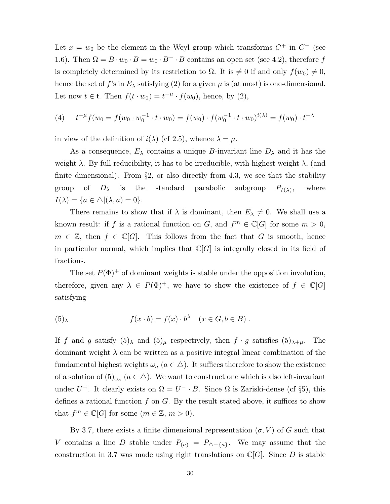Let  $x = w_0$  be the element in the Weyl group which transforms  $C^+$  in  $C^-$  (see 1.6). Then  $\Omega = B \cdot w_0 \cdot B = w_0 \cdot B^- \cdot B$  contains an open set (see 4.2), therefore f is completely determined by its restriction to  $\Omega$ . It is  $\neq 0$  if and only  $f(w_0) \neq 0$ , hence the set of f's in  $E_{\lambda}$  satisfying (2) for a given  $\mu$  is (at most) is one-dimensional. Let now  $t \in \mathfrak{t}$ . Then  $f(t \cdot w_0) = t^{-\mu} \cdot f(w_0)$ , hence, by (2),

(4) 
$$
t^{-\mu} f(w_0 = f(w_0 \cdot w_0^{-1} \cdot t \cdot w_0) = f(w_0) \cdot f(w_0^{-1} \cdot t \cdot w_0)^{i(\lambda)} = f(w_0) \cdot t^{-\lambda}
$$

in view of the definition of  $i(\lambda)$  (cf 2.5), whence  $\lambda = \mu$ .

As a consequence,  $E_{\lambda}$  contains a unique B-invariant line  $D_{\lambda}$  and it has the weight  $\lambda$ . By full reducibility, it has to be irreducible, with highest weight  $\lambda$ , (and finite dimensional). From  $\S$ 2, or also directly from 4.3, we see that the stability group of  $D_{\lambda}$  is the standard parabolic subgroup  $P_{I(\lambda)}$ , , where  $I(\lambda) = \{a \in \triangle | (\lambda, a) = 0\}.$ 

There remains to show that if  $\lambda$  is dominant, then  $E_{\lambda} \neq 0$ . We shall use a known result: if f is a rational function on G, and  $f^m \in \mathbb{C}[G]$  for some  $m > 0$ ,  $m \in \mathbb{Z}$ , then  $f \in \mathbb{C}[G]$ . This follows from the fact that G is smooth, hence in particular normal, which implies that  $\mathbb{C}[G]$  is integrally closed in its field of fractions.

The set  $P(\Phi)^+$  of dominant weights is stable under the opposition involution, therefore, given any  $\lambda \in P(\Phi)^+$ , we have to show the existence of  $f \in \mathbb{C}[G]$ satisfying

(5)<sub>λ</sub> 
$$
f(x \cdot b) = f(x) \cdot b^{\lambda} \quad (x \in G, b \in B) .
$$

If f and g satisfy  $(5)_{\lambda}$  and  $(5)_{\mu}$  respectively, then  $f \cdot g$  satisfies  $(5)_{\lambda+\mu}$ . The dominant weight  $\lambda$  can be written as a positive integral linear combination of the fundamental highest weights  $\omega_a$   $(a \in \Delta)$ . It suffices therefore to show the existence of a solution of  $(5)_{\omega_a}$   $(a \in \Delta)$ . We want to construct one which is also left-invariant under  $U^-$ . It clearly exists on  $\Omega = U^- \cdot B$ . Since  $\Omega$  is Zariski-dense (cf §5), this defines a rational function f on  $G$ . By the result stated above, it suffices to show that  $f^m \in \mathbb{C}[G]$  for some  $(m \in \mathbb{Z}, m > 0)$ .

By 3.7, there exists a finite dimensional representation  $(\sigma, V)$  of G such that V contains a line D stable under  $P_{(a)} = P_{\Delta-\{a\}}$ . We may assume that the construction in 3.7 was made using right translations on  $\mathbb{C}[G]$ . Since D is stable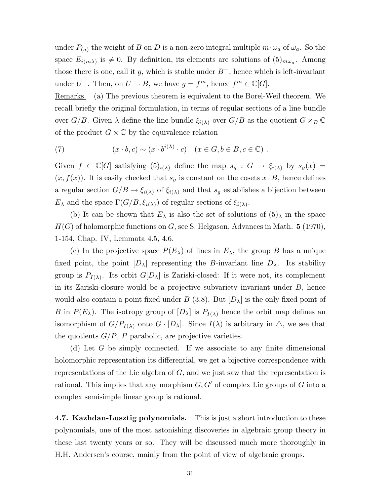under  $P_{(a)}$  the weight of B on D is a non-zero integral multiple  $m \cdot \omega_a$  of  $\omega_a$ . So the space  $E_{i(m\lambda)}$  is  $\neq 0$ . By definition, its elements are solutions of  $(5)_{m\omega_a}$ . Among those there is one, call it g, which is stable under  $B^-$ , hence which is left-invariant under  $U^-$ . Then, on  $U^- \cdot B$ , we have  $g = f^m$ , hence  $f^m \in \mathbb{C}[G]$ .

Remarks. (a) The previous theorem is equivalent to the Borel-Weil theorem. We recall briefly the original formulation, in terms of regular sections of a line bundle over  $G/B$ . Given  $\lambda$  define the line bundle  $\xi_{i(\lambda)}$  over  $G/B$  as the quotient  $G \times_B \mathbb{C}$ of the product  $G \times \mathbb{C}$  by the equivalence relation

(7) 
$$
(x \cdot b, c) \sim (x \cdot b^{i(\lambda)} \cdot c) \quad (x \in G, b \in B, c \in \mathbb{C}) .
$$

Given  $f \in \mathbb{C}[G]$  satisfying  $(5)_{i(\lambda)}$  define the map  $s_g : G \to \xi_{i(\lambda)}$  by  $s_g(x) =$  $(x, f(x))$ . It is easily checked that  $s<sub>g</sub>$  is constant on the cosets  $x \cdot B$ , hence defines a regular section  $G/B \to \xi_{i(\lambda)}$  of  $\xi_{i(\lambda)}$  and that  $s_g$  establishes a bijection between  $E_{\lambda}$  and the space  $\Gamma(G/B, \xi_{i(\lambda)})$  of regular sections of  $\xi_{i(\lambda)}$ .

(b) It can be shown that  $E_{\lambda}$  is also the set of solutions of  $(5)_{\lambda}$  in the space  $H(G)$  of holomorphic functions on G, see S. Helgason, Advances in Math. 5 (1970), 1-154, Chap. IV, Lemmata 4.5, 4.6.

(c) In the projective space  $P(E_\lambda)$  of lines in  $E_\lambda$ , the group B has a unique fixed point, the point  $[D_\lambda]$  representing the B-invariant line  $D_\lambda$ . Its stability group is  $P_{I(\lambda)}$ . Its orbit  $G[D_{\lambda}]$  is Zariski-closed: If it were not, its complement in its Zariski-closure would be a projective subvariety invariant under B, hence would also contain a point fixed under  $B(3.8)$ . But  $[D_\lambda]$  is the only fixed point of B in  $P(E_\lambda)$ . The isotropy group of  $[D_\lambda]$  is  $P_{I(\lambda)}$  hence the orbit map defines an isomorphism of  $G/P_{I(\lambda)}$  onto  $G \cdot [D_{\lambda}]$ . Since  $I(\lambda)$  is arbitrary in  $\triangle$ , we see that the quotients  $G/P$ , P parabolic, are projective varieties.

(d) Let G be simply connected. If we associate to any finite dimensional holomorphic representation its differential, we get a bijective correspondence with representations of the Lie algebra of G, and we just saw that the representation is rational. This implies that any morphism  $G, G'$  of complex Lie groups of G into a complex semisimple linear group is rational.

4.7. Kazhdan-Lusztig polynomials. This is just a short introduction to these polynomials, one of the most astonishing discoveries in algebraic group theory in these last twenty years or so. They will be discussed much more thoroughly in H.H. Andersen's course, mainly from the point of view of algebraic groups.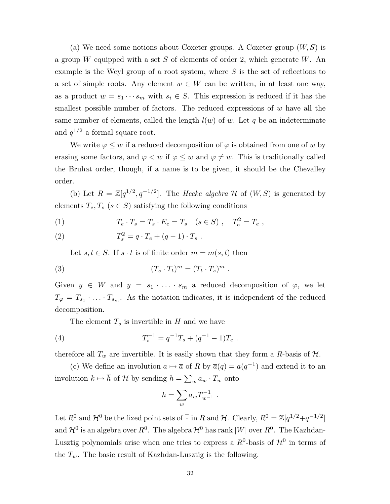(a) We need some notions about Coxeter groups. A Coxeter group  $(W, S)$  is a group W equipped with a set S of elements of order 2, which generate W. An example is the Weyl group of a root system, where  $S$  is the set of reflections to a set of simple roots. Any element  $w \in W$  can be written, in at least one way, as a product  $w = s_1 \cdots s_m$  with  $s_i \in S$ . This expression is reduced if it has the smallest possible number of factors. The reduced expressions of  $w$  have all the same number of elements, called the length  $l(w)$  of w. Let q be an indeterminate and  $q^{1/2}$  a formal square root.

We write  $\varphi \leq w$  if a reduced decomposition of  $\varphi$  is obtained from one of w by erasing some factors, and  $\varphi < w$  if  $\varphi \leq w$  and  $\varphi \neq w$ . This is traditionally called the Bruhat order, though, if a name is to be given, it should be the Chevalley order.

(b) Let  $R = \mathbb{Z}[q^{1/2}, q^{-1/2}]$ . The *Hecke algebra*  $\mathcal H$  of  $(W, S)$  is generated by elements  $T_e, T_s$  ( $s \in S$ ) satisfying the following conditions

(1) 
$$
T_e \cdot T_s = T_s \cdot E_e = T_s \quad (s \in S) , \quad T_e^2 = T_e ,
$$

(2) 
$$
T_s^2 = q \cdot T_e + (q-1) \cdot T_s \; .
$$

Let  $s, t \in S$ . If  $s \cdot t$  is of finite order  $m = m(s, t)$  then

(3) 
$$
(T_s \cdot T_t)^m = (T_t \cdot T_s)^m.
$$

Given  $y \in W$  and  $y = s_1 \cdot \ldots \cdot s_m$  a reduced decomposition of  $\varphi$ , we let  $T_{\varphi} = T_{s_1} \cdot \ldots \cdot T_{s_m}$ . As the notation indicates, it is independent of the reduced decomposition.

The element  $T_s$  is invertible in H and we have

(4) 
$$
T_s^{-1} = q^{-1}T_s + (q^{-1} - 1)T_e.
$$

therefore all  $T_w$  are invertible. It is easily shown that they form a R-basis of  $H$ .

(c) We define an involution  $a \mapsto \overline{a}$  of R by  $\overline{a}(q) = a(q^{-1})$  and extend it to an involution  $k \mapsto \bar{h}$  of H by sending  $h = \sum_{w} a_w \cdot T_w$  onto

$$
\overline{h} = \sum_{w} \overline{a}_{w} T_{w^{-1}}^{-1} .
$$

Let  $R^0$  and  $\mathcal{H}^0$  be the fixed point sets of  $\overline{\cdot}$  in R and  $\mathcal{H}$ . Clearly,  $R^0 = \mathbb{Z}[q^{1/2} + q^{-1/2}]$ and  $\mathcal{H}^0$  is an algebra over  $R^0$ . The algebra  $\mathcal{H}^0$  has rank  $|W|$  over  $R^0$ . The Kazhdan-Lusztig polynomials arise when one tries to express a  $R^0$ -basis of  $\mathcal{H}^0$  in terms of the  $T_w$ . The basic result of Kazhdan-Lusztig is the following.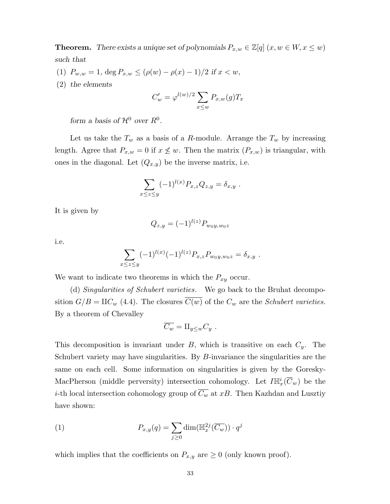**Theorem.** There exists a unique set of polynomials  $P_{x,w} \in \mathbb{Z}[q]$   $(x, w \in W, x \leq w)$ such that

- (1)  $P_{w,w} = 1$ , deg  $P_{x,w} \leq (\rho(w) \rho(x) 1)/2$  if  $x < w$ ,
- (2) the elements

$$
C'_{w} = \varphi^{l(w)/2} \sum_{x \leq w} P_{x,w}(g) T_x
$$

form a basis of  $\mathcal{H}^0$  over  $R^0$ .

Let us take the  $T_w$  as a basis of a R-module. Arrange the  $T_w$  by increasing length. Agree that  $P_{x,w} = 0$  if  $x \not\leq w$ . Then the matrix  $(P_{x,w})$  is triangular, with ones in the diagonal. Let  $(Q_{x,y})$  be the inverse matrix, i.e.

$$
\sum_{x\leq z\leq y} (-1)^{l(x)} P_{x,z} Q_{z,y} = \delta_{x,y} .
$$

It is given by

$$
Q_{z,y} = (-1)^{l(z)} P_{w_0y, w_0z}
$$

i.e.

$$
\sum_{1 \leq z \leq y} (-1)^{l(x)} (-1)^{l(z)} P_{x,z} P_{w_0 y, w_0 z} = \delta_{x,y}.
$$

We want to indicate two theorems in which the  $P_{xy}$  occur.

 $\boldsymbol{x}$ 

(d) Singularities of Schubert varieties. We go back to the Bruhat decomposition  $G/B = \mathop{\rm HC}\nolimits_w (4.4)$ . The closures  $\overline{C(w)}$  of the  $C_w$  are the Schubert varieties. By a theorem of Chevalley

$$
\overline{C_w} = \amalg_{y \leq w} C_y \; .
$$

This decomposition is invariant under  $B$ , which is transitive on each  $C_y$ . The Schubert variety may have singularities. By B-invariance the singularities are the same on each cell. Some information on singularities is given by the Goresky-MacPherson (middle perversity) intersection cohomology. Let  $I\mathbb{H}^i_x(\overline{C}_w)$  be the *i*-th local intersection cohomology group of  $\overline{C_w}$  at xB. Then Kazhdan and Lusztiy have shown:

(1) 
$$
P_{x,y}(q) = \sum_{j\geq 0} \dim(\mathbb{H}_x^{2j}(\overline{C_w})) \cdot q^j
$$

which implies that the coefficients on  $P_{x,y}$  are  $\geq 0$  (only known proof).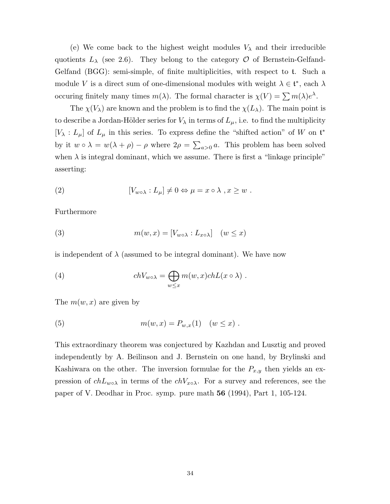(e) We come back to the highest weight modules  $V_{\lambda}$  and their irreducible quotients  $L_{\lambda}$  (see 2.6). They belong to the category O of Bernstein-Gelfand-Gelfand (BGG): semi-simple, of finite multiplicities, with respect to t. Such a module V is a direct sum of one-dimensional modules with weight  $\lambda \in \mathfrak{t}^*$ , each  $\lambda$ occuring finitely many times  $m(\lambda)$ . The formal character is  $\chi(V) = \sum m(\lambda)e^{\lambda}$ .

The  $\chi(V_\lambda)$  are known and the problem is to find the  $\chi(L_\lambda)$ . The main point is to describe a Jordan-Hölder series for  $V_{\lambda}$  in terms of  $L_{\mu}$ , i.e. to find the multiplicity  $[V_\lambda: L_\mu]$  of  $L_\mu$  in this series. To express define the "shifted action" of W on  $\mathfrak{t}^*$ by it  $w \circ \lambda = w(\lambda + \rho) - \rho$  where  $2\rho = \sum_{a>0} a$ . This problem has been solved when  $\lambda$  is integral dominant, which we assume. There is first a "linkage principle" asserting:

(2) 
$$
[V_{w\circ\lambda}:L_{\mu}]\neq 0 \Leftrightarrow \mu=x\circ\lambda , x\geq w .
$$

Furthermore

(3) 
$$
m(w, x) = [V_{w \circ \lambda} : L_{x \circ \lambda}] \quad (w \leq x)
$$

is independent of  $\lambda$  (assumed to be integral dominant). We have now

(4) 
$$
chV_{w\circ\lambda} = \bigoplus_{w\leq x} m(w,x)chL(x\circ\lambda).
$$

The  $m(w, x)$  are given by

(5) 
$$
m(w, x) = P_{w,x}(1) \quad (w \le x) .
$$

This extraordinary theorem was conjectured by Kazhdan and Lusztig and proved independently by A. Beilinson and J. Bernstein on one hand, by Brylinski and Kashiwara on the other. The inversion formulae for the  $P_{x,y}$  then yields an expression of  $chL_{w\circ\lambda}$  in terms of the  $chV_{x\circ\lambda}$ . For a survey and references, see the paper of V. Deodhar in Proc. symp. pure math 56 (1994), Part 1, 105-124.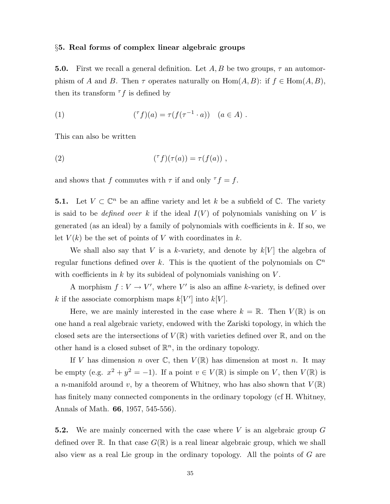#### §5. Real forms of complex linear algebraic groups

**5.0.** First we recall a general definition. Let  $A, B$  be two groups,  $\tau$  an automorphism of A and B. Then  $\tau$  operates naturally on  $\text{Hom}(A, B)$ : if  $f \in \text{Hom}(A, B)$ , then its transform  $\tau f$  is defined by

(1) 
$$
({}^{\tau}f)(a) = \tau(f(\tau^{-1} \cdot a)) \quad (a \in A) .
$$

This can also be written

(2) 
$$
({}^{\tau}f)(\tau(a)) = \tau(f(a)) ,
$$

and shows that f commutes with  $\tau$  if and only  $\tau f = f$ .

**5.1.** Let  $V \subset \mathbb{C}^n$  be an affine variety and let k be a subfield of  $\mathbb{C}$ . The variety is said to be *defined over* k if the ideal  $I(V)$  of polynomials vanishing on V is generated (as an ideal) by a family of polynomials with coefficients in  $k$ . If so, we let  $V(k)$  be the set of points of V with coordinates in k.

We shall also say that V is a k-variety, and denote by  $k[V]$  the algebra of regular functions defined over k. This is the quotient of the polynomials on  $\mathbb{C}^n$ with coefficients in  $k$  by its subideal of polynomials vanishing on  $V$ .

A morphism  $f: V \to V'$ , where V' is also an affine k-variety, is defined over k if the associate comorphism maps  $k[V']$  into  $k[V]$ .

Here, we are mainly interested in the case where  $k = \mathbb{R}$ . Then  $V(\mathbb{R})$  is on one hand a real algebraic variety, endowed with the Zariski topology, in which the closed sets are the intersections of  $V(\mathbb{R})$  with varieties defined over  $\mathbb{R}$ , and on the other hand is a closed subset of  $\mathbb{R}^n$ , in the ordinary topology.

If V has dimension n over  $\mathbb{C}$ , then  $V(\mathbb{R})$  has dimension at most n. It may be empty (e.g.  $x^2 + y^2 = -1$ ). If a point  $v \in V(\mathbb{R})$  is simple on V, then  $V(\mathbb{R})$  is a n-manifold around v, by a theorem of Whitney, who has also shown that  $V(\mathbb{R})$ has finitely many connected components in the ordinary topology (cf H. Whitney, Annals of Math. 66, 1957, 545-556).

**5.2.** We are mainly concerned with the case where  $V$  is an algebraic group  $G$ defined over R. In that case  $G(\mathbb{R})$  is a real linear algebraic group, which we shall also view as a real Lie group in the ordinary topology. All the points of G are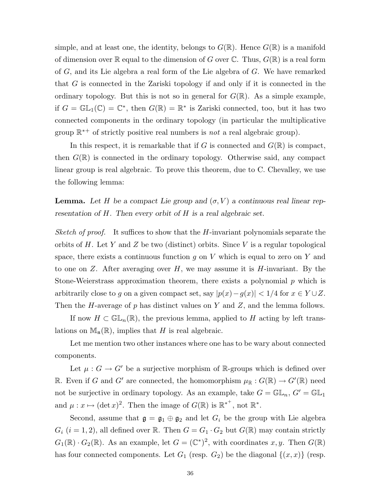simple, and at least one, the identity, belongs to  $G(\mathbb{R})$ . Hence  $G(\mathbb{R})$  is a manifold of dimension over  $\mathbb R$  equal to the dimension of G over  $\mathbb C$ . Thus,  $G(\mathbb R)$  is a real form of G, and its Lie algebra a real form of the Lie algebra of G. We have remarked that G is connected in the Zariski topology if and only if it is connected in the ordinary topology. But this is not so in general for  $G(\mathbb{R})$ . As a simple example, if  $G = \mathbb{GL}_1(\mathbb{C}) = \mathbb{C}^*$ , then  $G(\mathbb{R}) = \mathbb{R}^*$  is Zariski connected, too, but it has two connected components in the ordinary topology (in particular the multiplicative group  $\mathbb{R}^{*+}$  of strictly positive real numbers is *not* a real algebraic group).

In this respect, it is remarkable that if G is connected and  $G(\mathbb{R})$  is compact, then  $G(\mathbb{R})$  is connected in the ordinary topology. Otherwise said, any compact linear group is real algebraic. To prove this theorem, due to C. Chevalley, we use the following lemma:

**Lemma.** Let H be a compact Lie group and  $(\sigma, V)$  a continuous real linear representation of H. Then every orbit of H is a real algebraic set.

Sketch of proof. It suffices to show that the H-invariant polynomials separate the orbits of H. Let Y and Z be two (distinct) orbits. Since V is a regular topological space, there exists a continuous function g on V which is equal to zero on Y and to one on  $Z$ . After averaging over  $H$ , we may assume it is  $H$ -invariant. By the Stone-Weierstrass approximation theorem, there exists a polynomial  $p$  which is arbitrarily close to g on a given compact set, say  $|p(x)-g(x)| < 1/4$  for  $x \in Y \cup Z$ . Then the H-average of p has distinct values on Y and Z, and the lemma follows.

If now  $H \subset \mathbb{GL}_n(\mathbb{R})$ , the previous lemma, applied to H acting by left translations on  $\mathbb{M}_{n}(\mathbb{R})$ , implies that H is real algebraic.

Let me mention two other instances where one has to be wary about connected components.

Let  $\mu : G \to G'$  be a surjective morphism of R-groups which is defined over R. Even if G and G' are connected, the homomorphism  $\mu_{\mathbb{R}} : G(\mathbb{R}) \to G'(\mathbb{R})$  need not be surjective in ordinary topology. As an example, take  $G = \mathbb{GL}_n$ ,  $G' = \mathbb{GL}_1$ and  $\mu: x \mapsto (\det x)^2$ . Then the image of  $G(\mathbb{R})$  is  $\mathbb{R}^{*^+}$ , not  $\mathbb{R}^*$ .

Second, assume that  $\mathfrak{g} = \mathfrak{g}_1 \oplus \mathfrak{g}_2$  and let  $G_i$  be the group with Lie algebra  $G_i$   $(i = 1, 2)$ , all defined over R. Then  $G = G_1 \cdot G_2$  but  $G(\mathbb{R})$  may contain strictly  $G_1(\mathbb{R}) \cdot G_2(\mathbb{R})$ . As an example, let  $G = (\mathbb{C}^*)^2$ , with coordinates  $x, y$ . Then  $G(\mathbb{R})$ has four connected components. Let  $G_1$  (resp.  $G_2$ ) be the diagonal  $\{(x, x)\}$  (resp.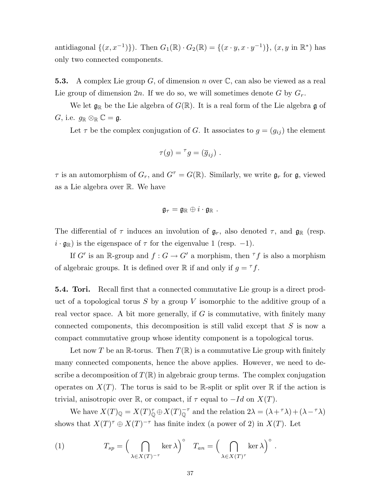antidiagonal  $\{(x, x^{-1})\}$ ). Then  $G_1(\mathbb{R}) \cdot G_2(\mathbb{R}) = \{(x \cdot y, x \cdot y^{-1})\}$ ,  $(x, y \text{ in } \mathbb{R}^*)$  has only two connected components.

**5.3.** A complex Lie group G, of dimension n over  $\mathbb{C}$ , can also be viewed as a real Lie group of dimension  $2n$ . If we do so, we will sometimes denote G by  $G_r$ .

We let  $\mathfrak{g}_{\mathbb{R}}$  be the Lie algebra of  $G(\mathbb{R})$ . It is a real form of the Lie algebra g of  $G$ , i.e.  $g_{\mathbb{R}} \otimes_{\mathbb{R}} \mathbb{C} = \mathfrak{g}$ .

Let  $\tau$  be the complex conjugation of G. It associates to  $g = (g_{ij})$  the element

$$
\tau(g) = {}^{\tau}g = (\overline{g}_{ij}) \ .
$$

 $\tau$  is an automorphism of  $G_r$ , and  $G^{\tau} = G(\mathbb{R})$ . Similarly, we write  $\mathfrak{g}_r$  for  $\mathfrak{g}$ , viewed as a Lie algebra over R. We have

$$
\mathfrak{g}_\tau = \mathfrak{g}_\mathbb{R} \oplus i \cdot \mathfrak{g}_\mathbb{R} .
$$

The differential of  $\tau$  induces an involution of  $\mathfrak{g}_r$ , also denoted  $\tau$ , and  $\mathfrak{g}_\mathbb{R}$  (resp.  $i \cdot \mathfrak{g}_{\mathbb{R}}$ ) is the eigenspace of  $\tau$  for the eigenvalue 1 (resp. -1).

If  $G'$  is an R-group and  $f: G \to G'$  a morphism, then  $\tau f$  is also a morphism of algebraic groups. It is defined over  $\mathbb R$  if and only if  $g = \tau f$ .

5.4. Tori. Recall first that a connected commutative Lie group is a direct product of a topological torus  $S$  by a group  $V$  isomorphic to the additive group of a real vector space. A bit more generally, if  $G$  is commutative, with finitely many connected components, this decomposition is still valid except that S is now a compact commutative group whose identity component is a topological torus.

Let now T be an R-torus. Then  $T(\mathbb{R})$  is a commutative Lie group with finitely many connected components, hence the above applies. However, we need to describe a decomposition of  $T(\mathbb{R})$  in algebraic group terms. The complex conjugation operates on  $X(T)$ . The torus is said to be R-split or split over R if the action is trivial, anisotropic over R, or compact, if  $\tau$  equal to  $-Id$  on  $X(T)$ .

We have  $X(T)_{\mathbb{Q}} = X(T)_{\mathbb{Q}}^{\tau} \oplus X(T)_{\mathbb{Q}}^{-\tau}$  and the relation  $2\lambda = (\lambda + \tau \lambda) + (\lambda - \tau \lambda)$ shows that  $X(T)^{\tau} \oplus X(T)^{-\tau}$  has finite index (a power of 2) in  $X(T)$ . Let

.

(1) 
$$
T_{sp} = \left(\bigcap_{\lambda \in X(T)^{-\tau}} \ker \lambda\right)^{\circ} \quad T_{an} = \left(\bigcap_{\lambda \in X(T)^{\tau}} \ker \lambda\right)^{\circ}
$$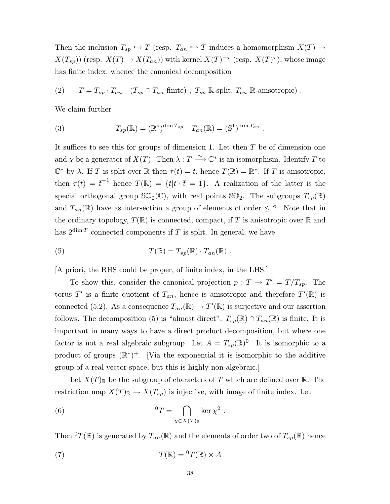Then the inclusion  $T_{sp} \hookrightarrow T$  (resp.  $T_{an} \hookrightarrow T$  induces a homomorphism  $X(T) \to T$  $X(T_{sp})$ ) (resp.  $X(T) \to X(T_{an})$ ) with kernel  $X(T)^{-\tau}$  (resp.  $X(T)^{\tau}$ ), whose image has finite index, whence the canonical decomposition

(2)  $T = T_{sp} \cdot T_{an}$   $(T_{sp} \cap T_{an}$  finite),  $T_{sp}$  R-split,  $T_{an}$  R-anisotropic).

We claim further

(3) 
$$
T_{sp}(\mathbb{R}) = (\mathbb{R}^*)^{\dim T_{sp}} \quad T_{an}(\mathbb{R}) = (\mathbb{S}^1)^{\dim T_{an}}.
$$

It suffices to see this for groups of dimension 1. Let then  $T$  be of dimension one and  $\chi$  be a generator of  $X(T)$ . Then  $\lambda : T \longrightarrow \mathbb{C}^*$  is an isomorphism. Identify T to  $\mathbb{C}^*$  by  $\lambda$ . If T is split over  $\mathbb R$  then  $\tau(t) = \overline{t}$ , hence  $T(\mathbb{R}) = \mathbb{R}^*$ . If T is anisotropic, then  $\tau(t) = \overline{t}^{-1}$  hence  $T(\mathbb{R}) = \{t | t \cdot \overline{t} = 1\}$ . A realization of the latter is the special orthogonal group  $\mathbb{SO}_2(\mathbb{C})$ , with real points  $\mathbb{SO}_2$ . The subgroups  $T_{sp}(\mathbb{R})$ and  $T_{an}(\mathbb{R})$  have as intersection a group of elements of order  $\leq 2$ . Note that in the ordinary topology,  $T(\mathbb{R})$  is connected, compact, if T is anisotropic over  $\mathbb R$  and has  $2^{\dim T}$  connected components if T is split. In general, we have

(5) 
$$
T(\mathbb{R}) = T_{sp}(\mathbb{R}) \cdot T_{an}(\mathbb{R}) .
$$

[A priori, the RHS could be proper, of finite index, in the LHS.]

To show this, consider the canonical projection  $p: T \to T' = T/T_{sp}$ . The torus T' is a finite quotient of  $T_{an}$ , hence is anisotropic and therefore  $T'(\mathbb{R})$  is connected (5.2). As a consequence  $T_{an}(\mathbb{R}) \to T'(\mathbb{R})$  is surjective and our assertion follows. The decomposition (5) is "almost direct":  $T_{sp}(\mathbb{R}) \cap T_{an}(\mathbb{R})$  is finite. It is important in many ways to have a direct product decomposition, but where one factor is not a real algebraic subgroup. Let  $A = T_{sp}(\mathbb{R})^0$ . It is isomorphic to a product of groups  $(\mathbb{R}^*)^+$ . [Via the exponential it is isomorphic to the additive group of a real vector space, but this is highly non-algebraic.]

Let  $X(T)_{\mathbb{R}}$  be the subgroup of characters of T which are defined over  $\mathbb{R}$ . The restriction map  $X(T)_{\mathbb{R}} \to X(T_{sp})$  is injective, with image of finite index. Let

(6) 
$$
{}^{0}T = \bigcap_{\chi \in X(T)_{\mathbb{R}}} \ker \chi^{2}.
$$

Then  ${}^{0}T(\mathbb{R})$  is generated by  $T_{an}(\mathbb{R})$  and the elements of order two of  $T_{sp}(\mathbb{R})$  hence

(7) 
$$
T(\mathbb{R}) = {}^{0}T(\mathbb{R}) \times A
$$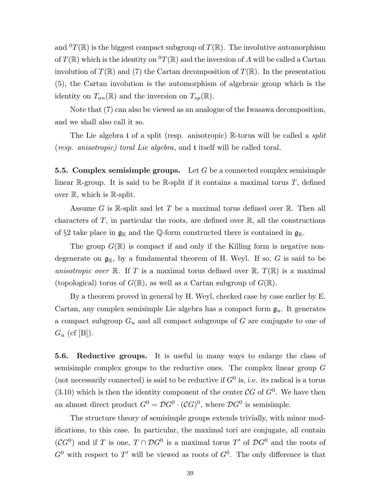and  ${}^{0}T(\mathbb{R})$  is the biggest compact subgroup of  $T(\mathbb{R})$ . The involutive automorphism of  $T(\mathbb{R})$  which is the identity on  $^0T(\mathbb{R})$  and the inversion of A will be called a Cartan involution of  $T(\mathbb{R})$  and (7) the Cartan decomposition of  $T(\mathbb{R})$ . In the presentation (5), the Cartan involution is the automorphism of algebraic group which is the identity on  $T_{an}(\mathbb{R})$  and the inversion on  $T_{sp}(\mathbb{R})$ .

Note that (7) can also be viewed as an analogue of the Iwasawa decomposition, and we shall also call it so.

The Lie algebra t of a split (resp. anisotropic) R-torus will be called a *split* (resp. anisotropic) toral Lie algebra, and t itself will be called toral.

**5.5. Complex semisimple groups.** Let  $G$  be a connected complex semisimple linear R-group. It is said to be R-split if it contains a maximal torus  $T$ , defined over  $\mathbb{R}$ , which is  $\mathbb{R}$ -split.

Assume G is R-split and let T be a maximal torus defined over  $\mathbb R$ . Then all characters of  $T$ , in particular the roots, are defined over  $\mathbb{R}$ , all the constructions of §2 take place in  $\mathfrak{g}_{\mathbb{R}}$  and the Q-form constructed there is contained in  $\mathfrak{g}_{\mathbb{R}}$ .

The group  $G(\mathbb{R})$  is compact if and only if the Killing form is negative nondegenerate on  $\mathfrak{g}_{\mathbb{R}}$ , by a fundamental theorem of H. Weyl. If so, G is said to be anisotropic over R. If T is a maximal torus defined over R,  $T(\mathbb{R})$  is a maximal (topological) torus of  $G(\mathbb{R})$ , as well as a Cartan subgroup of  $G(\mathbb{R})$ .

By a theorem proved in general by H. Weyl, checked case by case earlier by E. Cartan, any complex semisimple Lie algebra has a compact form  $\mathfrak{g}_u$ . It generates a compact subgroup  $G_u$  and all compact subgroups of G are conjugate to one of  $G_u$  (cf [B]).

5.6. Reductive groups. It is useful in many ways to enlarge the class of semisimple complex groups to the reductive ones. The complex linear group G (not necessarily connected) is said to be reductive if  $G^0$  is, i.e. its radical is a torus  $(3.10)$  which is then the identity component of the center  $\mathcal{C}G$  of  $G^0$ . We have then an almost direct product  $G^0 = \mathcal{D}G^0 \cdot (\mathcal{C}G)^0$ , where  $\mathcal{D}G^0$  is semisimple.

The structure theory of semisimple groups extends trivially, with minor modifications, to this case. In particular, the maximal tori are conjugate, all contain  $(CG^0)$  and if T is one,  $T \cap \mathcal{D}G^0$  is a maximal torus T' of  $\mathcal{D}G^0$  and the roots of  $G^0$  with respect to T' will be viewed as roots of  $G^0$ . The only difference is that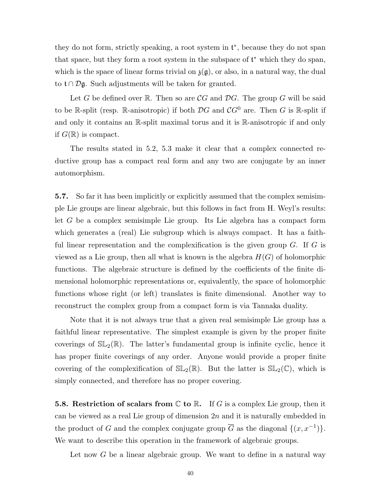they do not form, strictly speaking, a root system in  $t^*$ , because they do not span that space, but they form a root system in the subspace of t <sup>∗</sup> which they do span, which is the space of linear forms trivial on  $\mathfrak{z}(\mathfrak{g})$ , or also, in a natural way, the dual to  $t \cap \mathcal{D}$ g. Such adjustments will be taken for granted.

Let G be defined over R. Then so are  $\mathcal{C}G$  and  $\mathcal{D}G$ . The group G will be said to be R-split (resp. R-anisotropic) if both  $\mathcal{D}G$  and  $\mathcal{C}G^0$  are. Then G is R-split if and only it contains an R-split maximal torus and it is R-anisotropic if and only if  $G(\mathbb{R})$  is compact.

The results stated in 5.2, 5.3 make it clear that a complex connected reductive group has a compact real form and any two are conjugate by an inner automorphism.

5.7. So far it has been implicitly or explicitly assumed that the complex semisimple Lie groups are linear algebraic, but this follows in fact from H. Weyl's results: let G be a complex semisimple Lie group. Its Lie algebra has a compact form which generates a (real) Lie subgroup which is always compact. It has a faithful linear representation and the complexification is the given group  $G$ . If  $G$  is viewed as a Lie group, then all what is known is the algebra  $H(G)$  of holomorphic functions. The algebraic structure is defined by the coefficients of the finite dimensional holomorphic representations or, equivalently, the space of holomorphic functions whose right (or left) translates is finite dimensional. Another way to reconstruct the complex group from a compact form is via Tannaka duality.

Note that it is not always true that a given real semisimple Lie group has a faithful linear representative. The simplest example is given by the proper finite coverings of  $SL_2(\mathbb{R})$ . The latter's fundamental group is infinite cyclic, hence it has proper finite coverings of any order. Anyone would provide a proper finite covering of the complexification of  $SL_2(\mathbb{R})$ . But the latter is  $SL_2(\mathbb{C})$ , which is simply connected, and therefore has no proper covering.

**5.8. Restriction of scalars from C to R.** If G is a complex Lie group, then it can be viewed as a real Lie group of dimension  $2n$  and it is naturally embedded in the product of G and the complex conjugate group  $\overline{G}$  as the diagonal  $\{(x, x^{-1})\}$ . We want to describe this operation in the framework of algebraic groups.

Let now G be a linear algebraic group. We want to define in a natural way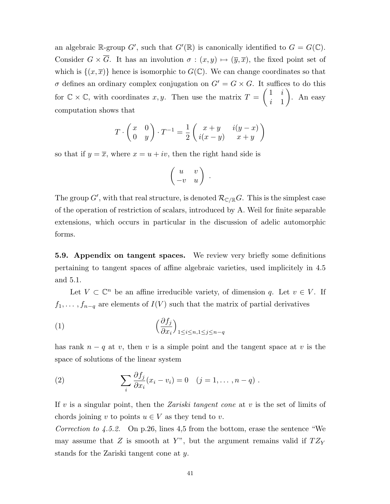an algebraic R-group G', such that  $G'(\mathbb{R})$  is canonically identified to  $G = G(\mathbb{C})$ . Consider  $G \times \overline{G}$ . It has an involution  $\sigma : (x, y) \mapsto (\overline{y}, \overline{x})$ , the fixed point set of which is  $\{(x,\overline{x})\}$  hence is isomorphic to  $G(\mathbb{C})$ . We can change coordinates so that  $\sigma$  defines an ordinary complex conjugation on  $G' = G \times G$ . It suffices to do this for  $\mathbb{C} \times \mathbb{C}$ , with coordinates  $x, y$ . Then use the matrix  $T =$  $\begin{pmatrix} 1 & i \end{pmatrix}$ i 1  $\setminus$ . An easy computation shows that

$$
T \cdot \begin{pmatrix} x & 0 \\ 0 & y \end{pmatrix} \cdot T^{-1} = \frac{1}{2} \begin{pmatrix} x+y & i(y-x) \\ i(x-y) & x+y \end{pmatrix}
$$

so that if  $y = \overline{x}$ , where  $x = u + iv$ , then the right hand side is

$$
\left(\begin{array}{cc} u & v \\ -v & u \end{array}\right) \ .
$$

The group  $G'$ , with that real structure, is denoted  $\mathcal{R}_{\mathbb{C}/\mathbb{R}}G$ . This is the simplest case of the operation of restriction of scalars, introduced by A. Weil for finite separable extensions, which occurs in particular in the discussion of adelic automorphic forms.

5.9. Appendix on tangent spaces. We review very briefly some definitions pertaining to tangent spaces of affine algebraic varieties, used implicitely in 4.5 and 5.1.

Let  $V \subset \mathbb{C}^n$  be an affine irreducible variety, of dimension q. Let  $v \in V$ . If  $f_1, \ldots, f_{n-q}$  are elements of  $I(V)$  such that the matrix of partial derivatives

(1) 
$$
\left(\frac{\partial f_j}{\partial x_i}\right)_{1 \leq i \leq n, 1 \leq j \leq n-q}
$$

has rank  $n - q$  at v, then v is a simple point and the tangent space at v is the space of solutions of the linear system

(2) 
$$
\sum_{i} \frac{\partial f_j}{\partial x_i}(x_i - v_i) = 0 \quad (j = 1, \dots, n-q) .
$$

If v is a singular point, then the Zariski tangent cone at v is the set of limits of chords joining v to points  $u \in V$  as they tend to v.

Correction to 4.5.2. On p.26, lines 4,5 from the bottom, erase the sentence "We may assume that  $Z$  is smooth at  $Y$ ", but the argument remains valid if  $TZ_Y$ stands for the Zariski tangent cone at y.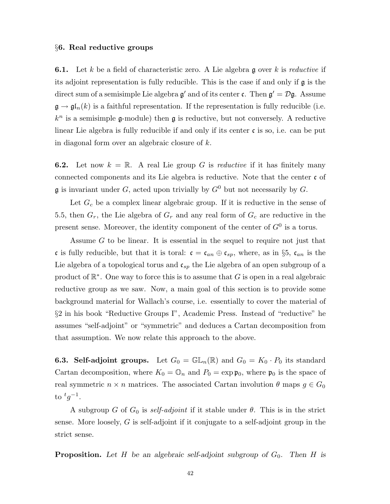#### §6. Real reductive groups

**6.1.** Let k be a field of characteristic zero. A Lie algebra g over k is reductive if its adjoint representation is fully reducible. This is the case if and only if  $\mathfrak g$  is the direct sum of a semisimple Lie algebra  $\mathfrak{g}'$  and of its center  $\mathfrak{c}$ . Then  $\mathfrak{g}' = \mathcal{D}\mathfrak{g}$ . Assume  $\mathfrak{g} \to \mathfrak{gl}_n(k)$  is a faithful representation. If the representation is fully reducible (i.e.  $k^n$  is a semisimple g-module) then g is reductive, but not conversely. A reductive linear Lie algebra is fully reducible if and only if its center  $\mathfrak{c}$  is so, i.e. can be put in diagonal form over an algebraic closure of k.

**6.2.** Let now  $k = \mathbb{R}$ . A real Lie group G is *reductive* if it has finitely many connected components and its Lie algebra is reductive. Note that the center c of  $\mathfrak g$  is invariant under G, acted upon trivially by  $G^0$  but not necessarily by G.

Let  $G_c$  be a complex linear algebraic group. If it is reductive in the sense of 5.5, then  $G_r$ , the Lie algebra of  $G_r$  and any real form of  $G_c$  are reductive in the present sense. Moreover, the identity component of the center of  $G^0$  is a torus.

Assume G to be linear. It is essential in the sequel to require not just that c is fully reducible, but that it is toral:  $\mathfrak{c} = \mathfrak{c}_{an} \oplus \mathfrak{c}_{sp}$ , where, as in §5,  $\mathfrak{c}_{an}$  is the Lie algebra of a topological torus and  $\mathfrak{c}_{sp}$  the Lie algebra of an open subgroup of a product of  $\mathbb{R}^*$ . One way to force this is to assume that G is open in a real algebraic reductive group as we saw. Now, a main goal of this section is to provide some background material for Wallach's course, i.e. essentially to cover the material of §2 in his book "Reductive Groups I", Academic Press. Instead of "reductive" he assumes "self-adjoint" or "symmetric" and deduces a Cartan decomposition from that assumption. We now relate this approach to the above.

**6.3. Self-adjoint groups.** Let  $G_0 = \mathbb{GL}_n(\mathbb{R})$  and  $G_0 = K_0 \cdot P_0$  its standard Cartan decomposition, where  $K_0 = \mathbb{O}_n$  and  $P_0 = \exp \mathfrak{p}_0$ , where  $\mathfrak{p}_0$  is the space of real symmetric  $n \times n$  matrices. The associated Cartan involution  $\theta$  maps  $g \in G_0$ to  ${}^t g^{-1}$ .

A subgroup G of  $G_0$  is self-adjoint if it stable under  $\theta$ . This is in the strict sense. More loosely,  $G$  is self-adjoint if it conjugate to a self-adjoint group in the strict sense.

**Proposition.** Let H be an algebraic self-adjoint subgroup of  $G_0$ . Then H is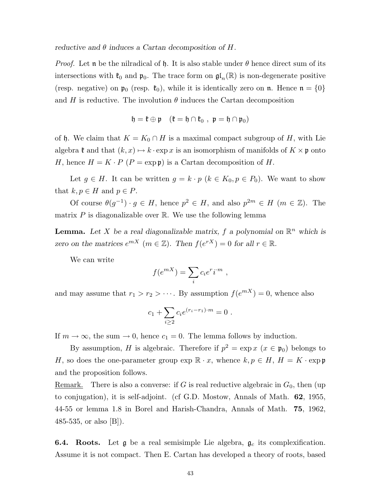reductive and  $\theta$  induces a Cartan decomposition of H.

*Proof.* Let **n** be the nilradical of h. It is also stable under  $\theta$  hence direct sum of its intersections with  $\mathfrak{k}_0$  and  $\mathfrak{p}_0$ . The trace form on  $\mathfrak{gl}_n(\mathbb{R})$  is non-degenerate positive (resp. negative) on  $\mathfrak{p}_0$  (resp.  $\mathfrak{k}_0$ ), while it is identically zero on **n**. Hence  $\mathfrak{n} = \{0\}$ and H is reductive. The involution  $\theta$  induces the Cartan decomposition

$$
\mathfrak{h}=\mathfrak{k}\oplus\mathfrak{p}\quad(\mathfrak{k}=\mathfrak{h}\cap\mathfrak{k}_0\;,\;\mathfrak{p}=\mathfrak{h}\cap\mathfrak{p}_0)
$$

of h. We claim that  $K = K_0 \cap H$  is a maximal compact subgroup of H, with Lie algebra  $\mathfrak k$  and that  $(k, x) \mapsto k \cdot \exp x$  is an isomorphism of manifolds of  $K \times \mathfrak p$  onto H, hence  $H = K \cdot P (P = \exp \mathfrak{p})$  is a Cartan decomposition of H.

Let  $g \in H$ . It can be written  $g = k \cdot p$   $(k \in K_0, p \in P_0)$ . We want to show that  $k, p \in H$  and  $p \in P$ .

Of course  $\theta(g^{-1}) \cdot g \in H$ , hence  $p^2 \in H$ , and also  $p^{2m} \in H$   $(m \in \mathbb{Z})$ . The matrix  $P$  is diagonalizable over  $\mathbb R$ . We use the following lemma

**Lemma.** Let X be a real diagonalizable matrix, f a polynomial on  $\mathbb{R}^n$  which is zero on the matrices  $e^{mX}$   $(m \in \mathbb{Z})$ . Then  $f(e^{rX}) = 0$  for all  $r \in \mathbb{R}$ .

We can write

$$
f(e^{mX}) = \sum_i c_i e^r i^{m} ,
$$

and may assume that  $r_1 > r_2 > \cdots$ . By assumption  $f(e^{mX}) = 0$ , whence also

$$
c_1 + \sum_{i \ge 2} c_i e^{(r_i - r_1) \cdot m} = 0.
$$

If  $m \to \infty$ , the sum  $\to 0$ , hence  $c_1 = 0$ . The lemma follows by induction.

By assumption, H is algebraic. Therefore if  $p^2 = \exp x$   $(x \in \mathfrak{p}_0)$  belongs to H, so does the one-parameter group  $\exp \mathbb{R} \cdot x$ , whence  $k, p \in H$ ,  $H = K \cdot \exp \mathfrak{p}$ and the proposition follows.

Remark. There is also a converse: if G is real reductive algebraic in  $G_0$ , then (up to conjugation), it is self-adjoint. (cf G.D. Mostow, Annals of Math. 62, 1955, 44-55 or lemma 1.8 in Borel and Harish-Chandra, Annals of Math. 75, 1962, 485-535, or also  $|B|$ ).

**6.4. Roots.** Let  $\mathfrak{g}$  be a real semisimple Lie algebra,  $\mathfrak{g}_c$  its complexification. Assume it is not compact. Then E. Cartan has developed a theory of roots, based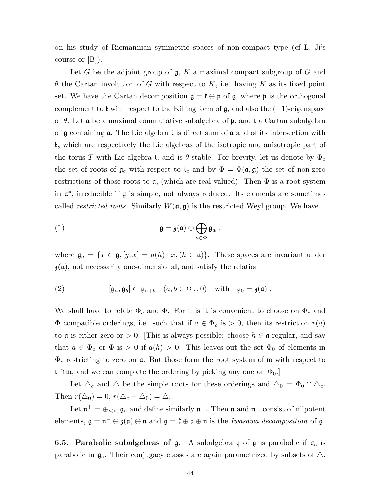on his study of Riemannian symmetric spaces of non-compact type (cf L. Ji's course or [B]).

Let  $G$  be the adjoint group of  $\mathfrak{g}, K$  a maximal compact subgroup of  $G$  and  $\theta$  the Cartan involution of G with respect to K, i.e. having K as its fixed point set. We have the Cartan decomposition  $\mathfrak{g} = \mathfrak{k} \oplus \mathfrak{p}$  of  $\mathfrak{g}$ , where  $\mathfrak{p}$  is the orthogonal complement to  $\mathfrak k$  with respect to the Killing form of  $\mathfrak g$ , and also the  $(-1)$ -eigenspace of  $\theta$ . Let **a** be a maximal commutative subalgebra of **p**, and **t** a Cartan subalgebra of  $\mathfrak g$  containing  $\mathfrak a$ . The Lie algebra  $\mathfrak t$  is direct sum of  $\mathfrak a$  and of its intersection with k, which are respectively the Lie algebras of the isotropic and anisotropic part of the torus T with Lie algebra t, and is  $\theta$ -stable. For brevity, let us denote by  $\Phi_c$ the set of roots of  $\mathfrak{g}_c$  with respect to  $\mathfrak{t}_c$  and by  $\Phi = \Phi(\mathfrak{a}, \mathfrak{g})$  the set of non-zero restrictions of those roots to  $a$ , (which are real valued). Then  $\Phi$  is a root system in a ∗ , irreducible if g is simple, not always reduced. Its elements are sometimes called *restricted roots*. Similarly  $W(\mathfrak{a}, \mathfrak{g})$  is the restricted Weyl group. We have

(1) 
$$
\mathfrak{g} = \mathfrak{z}(\mathfrak{a}) \oplus \bigoplus_{a \in \Phi} \mathfrak{g}_a ,
$$

where  $\mathfrak{g}_a = \{x \in \mathfrak{g}, [y, x] = a(h) \cdot x, (h \in \mathfrak{a})\}\.$  These spaces are invariant under  $\mathfrak{z}(\mathfrak{a})$ , not necessarily one-dimensional, and satisfy the relation

(2) 
$$
[\mathfrak{g}_a, \mathfrak{g}_b] \subset \mathfrak{g}_{a+b} \quad (a, b \in \Phi \cup 0) \quad \text{with} \quad \mathfrak{g}_0 = \mathfrak{z}(\mathfrak{a}) \; .
$$

We shall have to relate  $\Phi_c$  and  $\Phi$ . For this it is convenient to choose on  $\Phi_c$  and  $\Phi$  compatible orderings, i.e. such that if  $a \in \Phi_c$  is  $> 0$ , then its restriction  $r(a)$ to **a** is either zero or  $> 0$ . [This is always possible: choose  $h \in \mathfrak{a}$  regular, and say that  $a \in \Phi_c$  or  $\Phi$  is > 0 if  $a(h) > 0$ . This leaves out the set  $\Phi_0$  of elements in  $\Phi_c$  restricting to zero on **a**. But those form the root system of **m** with respect to t∩m, and we can complete the ordering by picking any one on  $\Phi_0$ .

Let  $\Delta_c$  and  $\Delta$  be the simple roots for these orderings and  $\Delta_0 = \Phi_0 \cap \Delta_c$ . Then  $r(\Delta_0) = 0$ ,  $r(\Delta_c - \Delta_0) = \Delta$ .

Let  $\mathfrak{n}^+ = \bigoplus_{a>0} \mathfrak{g}_a$  and define similarly  $\mathfrak{n}^-$ . Then  $\mathfrak{n}$  and  $\mathfrak{n}^-$  consist of nilpotent elements,  $\mathfrak{g} = \mathfrak{n}^- \oplus \mathfrak{z}(\mathfrak{a}) \oplus \mathfrak{n}$  and  $\mathfrak{g} = \mathfrak{k} \oplus \mathfrak{a} \oplus \mathfrak{n}$  is the *Iwasawa decomposition* of  $\mathfrak{g}$ .

**6.5. Parabolic subalgebras of g.** A subalgebra  $\mathfrak q$  of  $\mathfrak g$  is parabolic if  $\mathfrak q_c$  is parabolic in  $\mathfrak{g}_c$ . Their conjugacy classes are again parametrized by subsets of  $\triangle$ .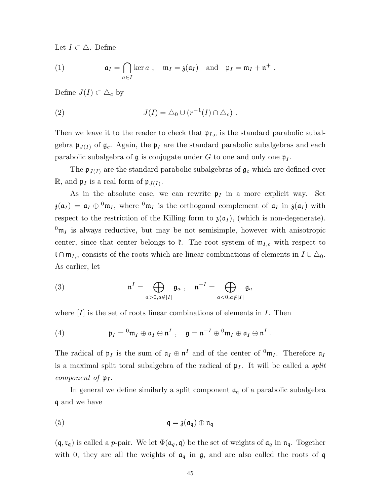Let  $I \subset \triangle$ . Define

(1) 
$$
\mathfrak{a}_I = \bigcap_{a \in I} \ker a, \quad \mathfrak{m}_I = \mathfrak{z}(\mathfrak{a}_I) \text{ and } \mathfrak{p}_I = \mathfrak{m}_I + \mathfrak{n}^+.
$$

Define  $J(I) \subset \Delta_c$  by

(2) 
$$
J(I) = \Delta_0 \cup (r^{-1}(I) \cap \Delta_c).
$$

Then we leave it to the reader to check that  $\mathfrak{p}_{I,c}$  is the standard parabolic subalgebra  $\mathfrak{p}_{J(I)}$  of  $\mathfrak{g}_c$ . Again, the  $\mathfrak{p}_I$  are the standard parabolic subalgebras and each parabolic subalgebra of  $\mathfrak g$  is conjugate under G to one and only one  $\mathfrak p_I$ .

The  $\mathfrak{p}_{J(I)}$  are the standard parabolic subalgebras of  $\mathfrak{g}_c$  which are defined over  $\mathbb{R}$ , and  $\mathfrak{p}_I$  is a real form of  $\mathfrak{p}_{J(I)}$ .

As in the absolute case, we can rewrite  $\mathfrak{p}_I$  in a more explicit way. Set  $\mathfrak{z}(\mathfrak{a}_I) = \mathfrak{a}_I \oplus \mathfrak{a}_{I}$ , where  $\mathfrak{a}_{I}$  is the orthogonal complement of  $\mathfrak{a}_I$  in  $\mathfrak{z}(\mathfrak{a}_I)$  with respect to the restriction of the Killing form to  $\mathfrak{z}(\mathfrak{a}_I)$ , (which is non-degenerate).  $^{0}$ m<sub>I</sub> is always reductive, but may be not semisimple, however with anisotropic center, since that center belongs to  $\mathfrak{k}$ . The root system of  $\mathfrak{m}_{I,c}$  with respect to t∩ $m_{I,c}$  consists of the roots which are linear combinations of elements in  $I \cup \Delta_0$ . As earlier, let

(3) 
$$
\mathfrak{n}^I = \bigoplus_{a>0, a \notin [I]} \mathfrak{g}_a , \quad \mathfrak{n}^{-I} = \bigoplus_{a<0, a \notin [I]} \mathfrak{g}_a
$$

where  $[I]$  is the set of roots linear combinations of elements in  $I$ . Then

(4) 
$$
\mathfrak{p}_I = {}^0\mathfrak{m}_I \oplus \mathfrak{a}_I \oplus \mathfrak{n}^I \ , \quad \mathfrak{g} = \mathfrak{n}^{-I} \oplus {}^0\mathfrak{m}_I \oplus \mathfrak{a}_I \oplus \mathfrak{n}^I \ .
$$

The radical of  $\mathfrak{p}_I$  is the sum of  $\mathfrak{a}_I \oplus \mathfrak{n}^I$  and of the center of  ${}^0\mathfrak{m}_I$ . Therefore  $\mathfrak{a}_I$ is a maximal split toral subalgebra of the radical of  $\mathfrak{p}_I$ . It will be called a *split* component of  $\mathfrak{p}_I$ .

In general we define similarly a split component  $a_q$  of a parabolic subalgebra q and we have

(5) 
$$
\mathfrak{q} = \mathfrak{z}(\mathfrak{a}_{\mathfrak{q}}) \oplus \mathfrak{n}_{\mathfrak{q}}
$$

 $(q, r_q)$  is called a *p*-pair. We let  $\Phi(\mathfrak{a}_q, \mathfrak{q})$  be the set of weights of  $\mathfrak{a}_q$  in  $\mathfrak{n}_q$ . Together with 0, they are all the weights of  $a_q$  in  $g$ , and are also called the roots of q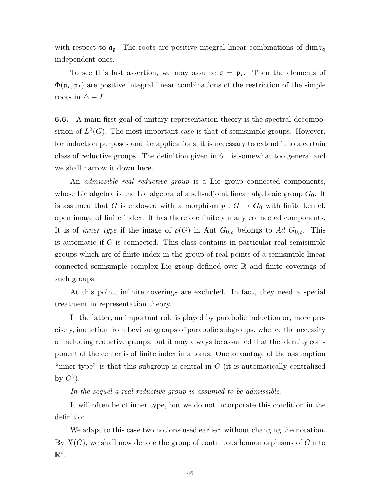with respect to  $\mathfrak{a}_{\mathfrak{g}}$  . The roots are positive integral linear combinations of  $\dim \mathfrak{r}_{\mathfrak{q}}$ independent ones.

To see this last assertion, we may assume  $q = p_I$ . Then the elements of  $\Phi(\mathfrak{a}_I, \mathfrak{p}_I)$  are positive integral linear combinations of the restriction of the simple roots in  $\triangle$  - I.

6.6. A main first goal of unitary representation theory is the spectral decomposition of  $L^2(G)$ . The most important case is that of semisimple groups. However, for induction purposes and for applications, it is necessary to extend it to a certain class of reductive groups. The definition given in 6.1 is somewhat too general and we shall narrow it down here.

An *admissible real reductive group* is a Lie group connected components, whose Lie algebra is the Lie algebra of a self-adjoint linear algebraic group  $G_0$ . It is assumed that G is endowed with a morphism  $p : G \to G_0$  with finite kernel, open image of finite index. It has therefore finitely many connected components. It is of *inner type* if the image of  $p(G)$  in Aut  $G_{0,c}$  belongs to Ad  $G_{0,c}$ . This is automatic if  $G$  is connected. This class contains in particular real semisimple groups which are of finite index in the group of real points of a semisimple linear connected semisimple complex Lie group defined over R and finite coverings of such groups.

At this point, infinite coverings are excluded. In fact, they need a special treatment in representation theory.

In the latter, an important role is played by parabolic induction or, more precisely, induction from Levi subgroups of parabolic subgroups, whence the necessity of including reductive groups, but it may always be assumed that the identity component of the center is of finite index in a torus. One advantage of the assumption "inner type" is that this subgroup is central in  $G$  (it is automatically centralized by  $G^0$ ).

In the sequel a real reductive group is assumed to be admissible.

It will often be of inner type, but we do not incorporate this condition in the definition.

We adapt to this case two notions used earlier, without changing the notation. By  $X(G)$ , we shall now denote the group of continuous homomorphisms of G into  $\mathbb{R}^*$ .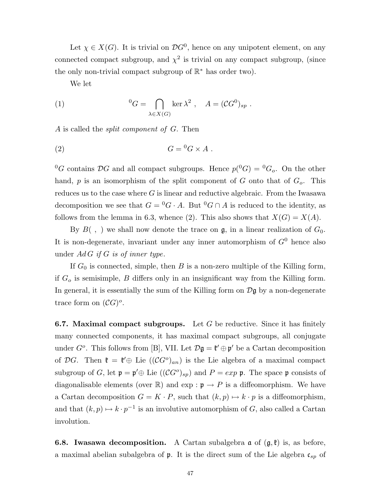Let  $\chi \in X(G)$ . It is trivial on  ${\mathcal{D}G}^0$ , hence on any unipotent element, on any connected compact subgroup, and  $\chi^2$  is trivial on any compact subgroup, (since the only non-trivial compact subgroup of  $\mathbb{R}^*$  has order two).

We let

(1) 
$$
{}^{0}G = \bigcap_{\lambda \in X(G)} \ker \lambda^{2}, \quad A = (CG^{0})_{sp}.
$$

A is called the split component of G. Then

$$
(2) \tG = {}^{0}G \times A .
$$

 ${}^{0}G$  contains  $\mathcal{D}G$  and all compact subgroups. Hence  $p({}^{0}G) = {}^{0}G_{o}$ . On the other hand,  $p$  is an isomorphism of the split component of  $G$  onto that of  $G_o$ . This reduces us to the case where  $G$  is linear and reductive algebraic. From the Iwasawa decomposition we see that  $G = {}^{0}G \cdot A$ . But  ${}^{0}G \cap A$  is reduced to the identity, as follows from the lemma in 6.3, whence (2). This also shows that  $X(G) = X(A)$ .

By  $B( , )$  we shall now denote the trace on  $\mathfrak{g}$ , in a linear realization of  $G_0$ . It is non-degenerate, invariant under any inner automorphism of  $G^0$  hence also under  $AdG$  if G is of inner type.

If  $G_0$  is connected, simple, then B is a non-zero multiple of the Killing form, if  $G_o$  is semisimple,  $B$  differs only in an insignificant way from the Killing form. In general, it is essentially the sum of the Killing form on  $\mathcal{D}$ g by a non-degenerate trace form on  $({\mathcal{C}}G)^o$ .

**6.7.** Maximal compact subgroups. Let G be reductive. Since it has finitely many connected components, it has maximal compact subgroups, all conjugate under  $G^o$ . This follows from [B], VII. Let  $\mathcal{D}\mathfrak{g} = \mathfrak{k}' \oplus \mathfrak{p}'$  be a Cartan decomposition of DG. Then  $\mathfrak{k} = \mathfrak{k}' \oplus$  Lie  $((\mathcal{C}G^o)_{an})$  is the Lie algebra of a maximal compact subgroup of G, let  $\mathfrak{p} = \mathfrak{p}' \oplus$  Lie  $((\mathcal{C}G^o)_{sp})$  and  $P = exp \mathfrak{p}$ . The space  $\mathfrak{p}$  consists of diagonalisable elements (over  $\mathbb{R}$ ) and  $\exp : \mathfrak{p} \to P$  is a diffeomorphism. We have a Cartan decomposition  $G = K \cdot P$ , such that  $(k, p) \mapsto k \cdot p$  is a diffeomorphism, and that  $(k, p) \mapsto k \cdot p^{-1}$  is an involutive automorphism of G, also called a Cartan involution.

**6.8. Iwasawa decomposition.** A Cartan subalgebra  $\alpha$  of  $(\mathfrak{g}, \mathfrak{k})$  is, as before, a maximal abelian subalgebra of  $\mathfrak p$ . It is the direct sum of the Lie algebra  $\mathfrak c_{sp}$  of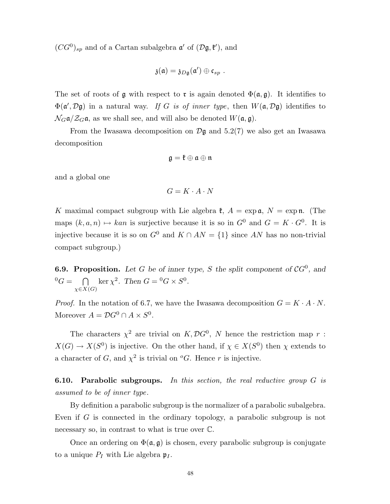$(CG^0)_{sp}$  and of a Cartan subalgebra  $\mathfrak{a}'$  of  $(\mathcal{D}\mathfrak{g}, \mathfrak{k}')$ , and

$$
\mathfrak{z}(\mathfrak{a})=\mathfrak{z}_{D\mathfrak{g}}(\mathfrak{a}')\oplus \mathfrak{c}_{sp}.
$$

The set of roots of g with respect to r is again denoted  $\Phi(\mathfrak{a}, \mathfrak{g})$ . It identifies to  $\Phi(\mathfrak{a}', \mathcal{D}\mathfrak{g})$  in a natural way. If G is of inner type, then  $W(\mathfrak{a}, \mathcal{D}\mathfrak{g})$  identifies to  $\mathcal{N}_G$  $\mathfrak{a}/\mathcal{Z}_G$  $\mathfrak{a}$ , as we shall see, and will also be denoted  $W(\mathfrak{a}, \mathfrak{g})$ .

From the Iwasawa decomposition on  $\mathcal{D}g$  and 5.2(7) we also get an Iwasawa decomposition

$$
\mathfrak{g}=\mathfrak{k}\oplus\mathfrak{a}\oplus\mathfrak{n}
$$

and a global one

$$
G = K \cdot A \cdot N
$$

K maximal compact subgroup with Lie algebra  $\mathfrak{k}$ ,  $A = \exp \mathfrak{a}$ ,  $N = \exp \mathfrak{n}$ . (The maps  $(k, a, n) \mapsto kan$  is surjective because it is so in  $G^0$  and  $G = K \cdot G^0$ . It is injective because it is so on  $G^0$  and  $K \cap AN = \{1\}$  since AN has no non-trivial compact subgroup.)

**6.9. Proposition.** Let G be of inner type, S the split component of  $CG^0$ , and  ${}^{0}G = \bigcap$  $\chi{\in}X(G)$ ker  $\chi^2$ . Then  $G = {}^0G \times S^0$ .

*Proof.* In the notation of 6.7, we have the Iwasawa decomposition  $G = K \cdot A \cdot N$ . Moreover  $A = \mathcal{D}G^0 \cap A \times S^0$ .

The characters  $\chi^2$  are trivial on  $K, \mathcal{D}G^0$ , N hence the restriction map r:  $X(G) \to X(S^0)$  is injective. On the other hand, if  $\chi \in X(S^0)$  then  $\chi$  extends to a character of G, and  $\chi^2$  is trivial on <sup>o</sup>G. Hence r is injective.

**6.10. Parabolic subgroups.** In this section, the real reductive group  $G$  is assumed to be of inner type.

By definition a parabolic subgroup is the normalizer of a parabolic subalgebra. Even if G is connected in the ordinary topology, a parabolic subgroup is not necessary so, in contrast to what is true over  $\mathbb{C}$ .

Once an ordering on  $\Phi(\mathfrak{a}, \mathfrak{g})$  is chosen, every parabolic subgroup is conjugate to a unique  $P_I$  with Lie algebra  $\mathfrak{p}_I$ .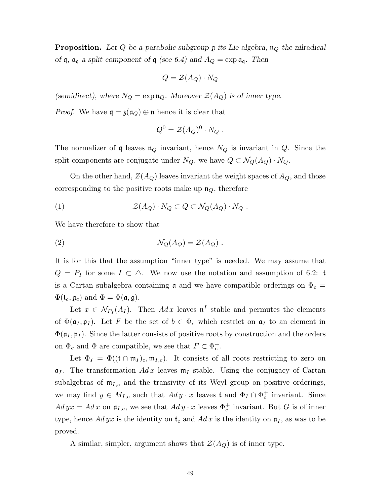**Proposition.** Let Q be a parabolic subgroup  $\mathfrak g$  its Lie algebra,  $\mathfrak n_Q$  the nilradical of q,  $\mathfrak{a}_{\mathfrak{q}}$  a split component of  $\mathfrak{q}$  (see 6.4) and  $A_Q = \exp \mathfrak{a}_{\mathfrak{q}}$ . Then

$$
Q = \mathcal{Z}(A_Q) \cdot N_Q
$$

(semidirect), where  $N_Q = \exp \mathfrak{n}_Q$ . Moreover  $\mathcal{Z}(A_Q)$  is of inner type.

*Proof.* We have  $q = \mathfrak{z}(\mathfrak{a}_Q) \oplus \mathfrak{n}$  hence it is clear that

$$
Q^0 = \mathcal{Z}(A_Q)^0 \cdot N_Q \; .
$$

The normalizer of q leaves  $\mathfrak{n}_Q$  invariant, hence  $N_Q$  is invariant in  $Q$ . Since the split components are conjugate under  $N_Q$ , we have  $Q \subset \mathcal{N}_Q(A_Q) \cdot N_Q$ .

On the other hand,  $Z(A_Q)$  leaves invariant the weight spaces of  $A_Q$ , and those corresponding to the positive roots make up  $\mathfrak{n}_Q$ , therefore

(1) 
$$
\mathcal{Z}(A_Q) \cdot N_Q \subset Q \subset \mathcal{N}_Q(A_Q) \cdot N_Q .
$$

We have therefore to show that

(2) 
$$
\mathcal{N}_Q(A_Q) = \mathcal{Z}(A_Q) .
$$

It is for this that the assumption "inner type" is needed. We may assume that  $Q = P_I$  for some  $I \subset \Delta$ . We now use the notation and assumption of 6.2: t is a Cartan subalgebra containing  $\mathfrak a$  and we have compatible orderings on  $\Phi_c =$  $\Phi(\mathfrak{t}_c, \mathfrak{g}_c)$  and  $\Phi = \Phi(\mathfrak{a}, \mathfrak{g}).$ 

Let  $x \in \mathcal{N}_{P_I}(A_I)$ . Then  $Ad\,x$  leaves  $\mathfrak{n}^I$  stable and permutes the elements of  $\Phi(\mathfrak{a}_I, \mathfrak{p}_I)$ . Let F be the set of  $b \in \Phi_c$  which restrict on  $\mathfrak{a}_I$  to an element in  $\Phi(\mathfrak{a}_I, \mathfrak{p}_I)$ . Since the latter consists of positive roots by construction and the orders on  $\Phi_c$  and  $\Phi$  are compatible, we see that  $F \subset \Phi_c^+$ .

Let  $\Phi_I = \Phi((\mathfrak{t} \cap \mathfrak{m}_I)_c, \mathfrak{m}_{I,c})$ . It consists of all roots restricting to zero on  $a_I$ . The transformation  $Adx$  leaves  $m_I$  stable. Using the conjugacy of Cartan subalgebras of  $m_{I,c}$  and the transivity of its Weyl group on positive orderings, we may find  $y \in M_{I,c}$  such that  $Ad y \cdot x$  leaves t and  $\Phi_I \cap \Phi_c^+$  invariant. Since  $Ad yx = Ad x$  on  $\mathfrak{a}_{I,c}$ , we see that  $Ad y \cdot x$  leaves  $\Phi_c^+$  invariant. But G is of inner type, hence  $Ad yx$  is the identity on  $t_c$  and  $Ad x$  is the identity on  $a<sub>I</sub>$ , as was to be proved.

A similar, simpler, argument shows that  $\mathcal{Z}(A_Q)$  is of inner type.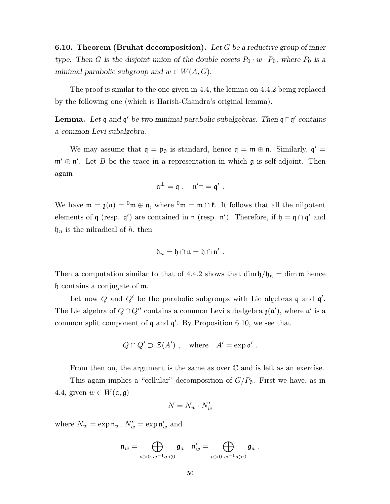**6.10. Theorem (Bruhat decomposition).** Let G be a reductive group of inner type. Then G is the disjoint union of the double cosets  $P_0 \cdot w \cdot P_0$ , where  $P_0$  is a minimal parabolic subgroup and  $w \in W(A, G)$ .

The proof is similar to the one given in 4.4, the lemma on 4.4.2 being replaced by the following one (which is Harish-Chandra's original lemma).

**Lemma.** Let  $\mathfrak{q}$  and  $\mathfrak{q}'$  be two minimal parabolic subalgebras. Then  $\mathfrak{q} \cap \mathfrak{q}'$  contains a common Levi subalgebra.

We may assume that  $\mathfrak{q} = \mathfrak{p}_{\emptyset}$  is standard, hence  $\mathfrak{q} = \mathfrak{m} \oplus \mathfrak{n}$ . Similarly,  $\mathfrak{q}' =$  $\mathfrak{m}' \oplus \mathfrak{n}'$ . Let B be the trace in a representation in which  $\mathfrak{g}$  is self-adjoint. Then again

$$
\mathfrak{n}^{\perp}=\mathfrak{q}\ ,\quad \mathfrak{n}'^{\perp}=\mathfrak{q}'\ .
$$

We have  $m = \mathfrak{z}(\mathfrak{a}) = 0$   $m \oplus \mathfrak{a}$ , where  $0$   $m = m \cap \mathfrak{k}$ . It follows that all the nilpotent elements of  $\mathfrak q$  (resp.  $\mathfrak q'$ ) are contained in  $\mathfrak n$  (resp.  $\mathfrak n'$ ). Therefore, if  $\mathfrak h = \mathfrak q \cap \mathfrak q'$  and  $\mathfrak{h}_n$  is the nilradical of h, then

$$
\mathfrak{h}_n=\mathfrak{h}\cap\mathfrak{n}=\mathfrak{h}\cap\mathfrak{n}'\ .
$$

Then a computation similar to that of 4.4.2 shows that dim  $\frac{\theta}{h} = \dim \mathfrak{m}$  hence h contains a conjugate of m.

Let now Q and Q' be the parabolic subgroups with Lie algebras q and  $\mathfrak{q}'$ . The Lie algebra of  $Q \cap Q''$  contains a common Levi subalgebra  $\mathfrak{z}(\mathfrak{a}')$ , where  $\mathfrak{a}'$  is a common split component of  $\mathfrak q$  and  $\mathfrak q'$ . By Proposition 6.10, we see that

$$
Q \cap Q' \supset \mathcal{Z}(A') , \quad \text{where} \quad A' = \exp \mathfrak{a}' .
$$

From then on, the argument is the same as over  $\mathbb C$  and is left as an exercise.

This again implies a "cellular" decomposition of  $G/P_{\emptyset}$ . First we have, as in 4.4, given  $w \in W(\mathfrak{a}, \mathfrak{g})$ 

$$
N = N_w \cdot N'_w
$$

where  $N_w = \exp \mathfrak{n}_w$ ,  $N'_w = \exp \mathfrak{n}'_w$  and

$$
\mathfrak{n}_w=\bigoplus_{a>0,w^{-1}a<0}\mathfrak{g}_a\quad \mathfrak{n}_w'=\bigoplus_{a>0,w^{-1}a>0}\mathfrak{g}_a\ .
$$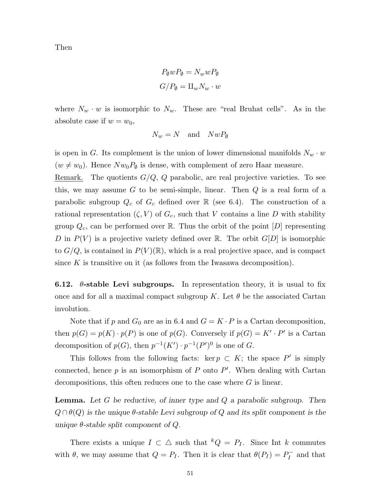Then

$$
P_{\emptyset}wP_{\emptyset} = N_wwP_{\emptyset}
$$

$$
G/P_{\emptyset} = \amalg_w N_w \cdot w
$$

where  $N_w \cdot w$  is isomorphic to  $N_w$ . These are "real Bruhat cells". As in the absolute case if  $w = w_0$ ,

$$
N_w = N \quad \text{and} \quad NwP_{\emptyset}
$$

is open in G. Its complement is the union of lower dimensional manifolds  $N_w \cdot w$  $(w \neq w_0)$ . Hence  $Nw_0P_{\emptyset}$  is dense, with complement of zero Haar measure.

Remark. The quotients  $G/Q$ , Q parabolic, are real projective varieties. To see this, we may assume  $G$  to be semi-simple, linear. Then  $Q$  is a real form of a parabolic subgroup  $Q_c$  of  $G_c$  defined over  $\mathbb R$  (see 6.4). The construction of a rational representation  $(\zeta, V)$  of  $G_c$ , such that V contains a line D with stability group  $Q_c$ , can be performed over R. Thus the orbit of the point  $[D]$  representing D in  $P(V)$  is a projective variety defined over R. The orbit  $G[D]$  is isomorphic to  $G/Q$ , is contained in  $P(V)(\mathbb{R})$ , which is a real projective space, and is compact since  $K$  is transitive on it (as follows from the Iwasawa decomposition).

**6.12.**  $\theta$ -stable Levi subgroups. In representation theory, it is usual to fix once and for all a maximal compact subgroup K. Let  $\theta$  be the associated Cartan involution.

Note that if p and  $G_0$  are as in 6.4 and  $G = K \cdot P$  is a Cartan decomposition, then  $p(G) = p(K) \cdot p(P)$  is one of  $p(G)$ . Conversely if  $p(G) = K' \cdot P'$  is a Cartan decomposition of  $p(G)$ , then  $p^{-1}(K') \cdot p^{-1}(P')^0$  is one of G.

This follows from the following facts: ker  $p \subset K$ ; the space  $P'$  is simply connected, hence  $p$  is an isomorphism of  $P$  onto  $P'$ . When dealing with Cartan decompositions, this often reduces one to the case where  $G$  is linear.

**Lemma.** Let  $G$  be reductive, of inner type and  $Q$  a parabolic subgroup. Then  $Q \cap \theta(Q)$  is the unique  $\theta$ -stable Levi subgroup of Q and its split component is the unique  $\theta$ -stable split component of  $Q$ .

There exists a unique  $I \subset \Delta$  such that  ${}^kQ = P_I$ . Since Int k commutes with  $\theta$ , we may assume that  $Q = P_I$ . Then it is clear that  $\theta(P_I) = P_I^-$  and that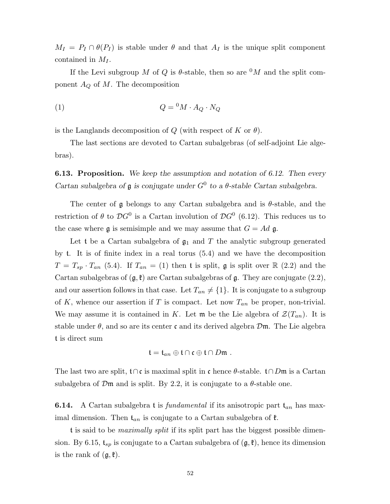$M_I = P_I \cap \theta(P_I)$  is stable under  $\theta$  and that  $A_I$  is the unique split component contained in  $M_I$ .

If the Levi subgroup M of Q is  $\theta$ -stable, then so are  $^0M$  and the split component  $A_Q$  of M. The decomposition

$$
(1) \tQ = {}^{0}M \cdot A_{Q} \cdot N_{Q}
$$

is the Langlands decomposition of Q (with respect of K or  $\theta$ ).

The last sections are devoted to Cartan subalgebras (of self-adjoint Lie algebras).

**6.13. Proposition.** We keep the assumption and notation of 6.12. Then every Cartan subalgebra of  $\mathfrak g$  is conjugate under  $G^0$  to a  $\theta$ -stable Cartan subalgebra.

The center of  $\mathfrak g$  belongs to any Cartan subalgebra and is  $\theta$ -stable, and the restriction of  $\theta$  to  $\mathcal{D}G^0$  is a Cartan involution of  $\mathcal{D}G^0$  (6.12). This reduces us to the case where  $\mathfrak g$  is semisimple and we may assume that  $G=Ad$   $\mathfrak g$ .

Let t be a Cartan subalgebra of  $\mathfrak{g}_1$  and T the analytic subgroup generated by t. It is of finite index in a real torus (5.4) and we have the decomposition  $T = T_{sp} \cdot T_{an}$  (5.4). If  $T_{an} = (1)$  then t is split, g is split over  $\mathbb{R}$  (2.2) and the Cartan subalgebras of  $(\mathfrak{g}, \mathfrak{k})$  are Cartan subalgebras of  $\mathfrak{g}$ . They are conjugate  $(2.2)$ , and our assertion follows in that case. Let  $T_{an} \neq \{1\}$ . It is conjugate to a subgroup of K, whence our assertion if T is compact. Let now  $T_{an}$  be proper, non-trivial. We may assume it is contained in K. Let m be the Lie algebra of  $\mathcal{Z}(T_{an})$ . It is stable under  $\theta$ , and so are its center c and its derived algebra  $\mathcal{D}\mathfrak{m}$ . The Lie algebra t is direct sum

$$
\mathfrak{t}=\mathfrak{t}_{an}\oplus\mathfrak{t}\cap\mathfrak{c}\oplus\mathfrak{t}\cap D\mathfrak{m} .
$$

The last two are split,  $t \cap c$  is maximal split in c hence  $\theta$ -stable.  $t \cap Dm$  is a Cartan subalgebra of  $\mathcal{D}\mathfrak{m}$  and is split. By 2.2, it is conjugate to a  $\theta$ -stable one.

**6.14.** A Cartan subalgebra **t** is *fundamental* if its anisotropic part  $t_{an}$  has maximal dimension. Then  $t_{an}$  is conjugate to a Cartan subalgebra of  $\mathfrak{k}$ .

t is said to be *maximally split* if its split part has the biggest possible dimension. By 6.15,  $t_{sp}$  is conjugate to a Cartan subalgebra of  $(\mathfrak{g}, \mathfrak{k})$ , hence its dimension is the rank of  $(\mathfrak{g}, \mathfrak{k})$ .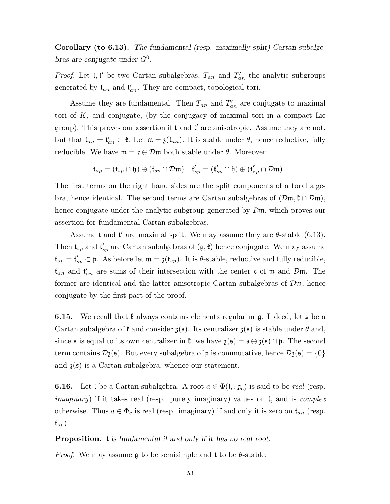Corollary (to 6.13). The fundamental (resp. maximally split) Cartan subalgebras are conjugate under  $G^0$ .

*Proof.* Let  $\mathfrak{t}, \mathfrak{t}'$  be two Cartan subalgebras,  $T_{an}$  and  $T'_{an}$  the analytic subgroups generated by  $\mathfrak{t}_{an}$  and  $\mathfrak{t}'_{an}$ . They are compact, topological tori.

Assume they are fundamental. Then  $T_{an}$  and  $T'_{an}$  are conjugate to maximal tori of  $K$ , and conjugate, (by the conjugacy of maximal tori in a compact Lie group). This proves our assertion if  $t$  and  $t'$  are anisotropic. Assume they are not, but that  $\mathfrak{t}_{an} = \mathfrak{t}'_{an} \subset \mathfrak{k}$ . Let  $\mathfrak{m} = \mathfrak{z}(\mathfrak{t}_{an})$ . It is stable under  $\theta$ , hence reductive, fully reducible. We have  $\mathfrak{m} = \mathfrak{c} \oplus \mathcal{D}\mathfrak{m}$  both stable under  $\theta$ . Moreover

$$
\mathfrak{t}_{sp}=(\mathfrak{t}_{sp}\cap\mathfrak{h})\oplus(\mathfrak{t}_{sp}\cap\mathcal{D}\mathfrak{m})\quad \mathfrak{t}'_{sp}=(\mathfrak{t}'_{sp}\cap\mathfrak{h})\oplus(\mathfrak{t}'_{sp}\cap\mathcal{D}\mathfrak{m})\ .
$$

The first terms on the right hand sides are the split components of a toral algebra, hence identical. The second terms are Cartan subalgebras of  $(\mathcal{Dm}, \mathfrak{k} \cap \mathcal{Dm})$ , hence conjugate under the analytic subgroup generated by  $\mathcal{D}\mathfrak{m}$ , which proves our assertion for fundamental Cartan subalgebras.

Assume t and t' are maximal split. We may assume they are  $\theta$ -stable (6.13). Then  $\mathfrak{t}_{sp}$  and  $\mathfrak{t}'_{sp}$  are Cartan subalgebras of  $(\mathfrak{g}, \mathfrak{k})$  hence conjugate. We may assume  $\mathfrak{t}_{sp} = \mathfrak{t}'_{sp} \subset \mathfrak{p}$ . As before let  $\mathfrak{m} = \mathfrak{z}(\mathfrak{t}_{sp})$ . It is  $\theta$ -stable, reductive and fully reducible,  $t_{an}$  and  $t'_{an}$  are sums of their intersection with the center c of m and  $\mathcal{D}\mathfrak{m}$ . The former are identical and the latter anisotropic Cartan subalgebras of  $\mathcal{D}\mathfrak{m}$ , hence conjugate by the first part of the proof.

**6.15.** We recall that  $\mathfrak{k}$  always contains elements regular in g. Indeed, let  $\mathfrak{s}$  be a Cartan subalgebra of  $\mathfrak k$  and consider  $\mathfrak z(\mathfrak s)$ . Its centralizer  $\mathfrak z(\mathfrak s)$  is stable under  $\theta$  and, since  $\mathfrak s$  is equal to its own centralizer in  $\mathfrak k$ , we have  $\mathfrak z(\mathfrak s) = \mathfrak s \oplus \mathfrak z(\mathfrak s) \cap \mathfrak p$ . The second term contains  $\mathcal{D}_{3}(\mathfrak{s})$ . But every subalgebra of p is commutative, hence  $\mathcal{D}_{3}(\mathfrak{s}) = \{0\}$ and  $\mathfrak{z}(s)$  is a Cartan subalgebra, whence our statement.

**6.16.** Let t be a Cartan subalgebra. A root  $a \in \Phi(t_c, \mathfrak{g}_c)$  is said to be *real* (resp. *imaginary*) if it takes real (resp. purely imaginary) values on  $t$ , and is *complex* otherwise. Thus  $a \in \Phi_c$  is real (resp. imaginary) if and only it is zero on  $\mathfrak{t}_{an}$  (resp.  $\mathfrak{t}_{sp}$ ).

### Proposition. t is fundamental if and only if it has no real root.

*Proof.* We may assume  $\mathfrak g$  to be semisimple and t to be  $\theta$ -stable.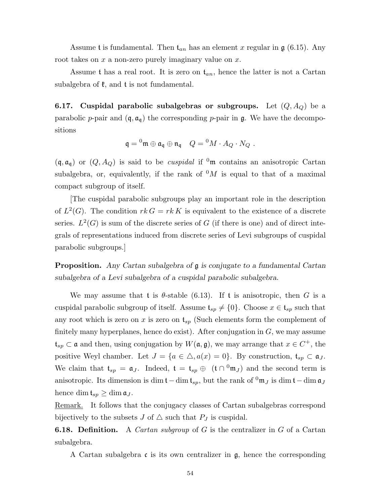Assume t is fundamental. Then  $t_{an}$  has an element x regular in  $\mathfrak{g}$  (6.15). Any root takes on  $x$  a non-zero purely imaginary value on  $x$ .

Assume t has a real root. It is zero on  $t_{an}$ , hence the latter is not a Cartan subalgebra of  $\mathfrak{k}$ , and  $\mathfrak{t}$  is not fundamental.

6.17. Cuspidal parabolic subalgebras or subgroups. Let  $(Q, A_Q)$  be a parabolic p-pair and  $(\mathfrak{q}, \mathfrak{a}_{\mathfrak{q}})$  the corresponding p-pair in  $\mathfrak{g}$ . We have the decompositions

$$
\mathfrak{q} = {}^0\mathfrak{m} \oplus \mathfrak{a}_{\mathfrak{q}} \oplus \mathfrak{n}_{\mathfrak{q}} \quad Q = {}^0M \cdot A_Q \cdot N_Q \ .
$$

 $(q, \mathfrak{a}_{q})$  or  $(Q, A_{Q})$  is said to be *cuspidal* if <sup>0</sup>m contains an anisotropic Cartan subalgebra, or, equivalently, if the rank of  $\delta M$  is equal to that of a maximal compact subgroup of itself.

[The cuspidal parabolic subgroups play an important role in the description of  $L^2(G)$ . The condition  $rk G = rk K$  is equivalent to the existence of a discrete series.  $L^2(G)$  is sum of the discrete series of G (if there is one) and of direct integrals of representations induced from discrete series of Levi subgroups of cuspidal parabolic subgroups.]

Proposition. Any Cartan subalgebra of  $\mathfrak g$  is conjugate to a fundamental Cartan subalgebra of a Levi subalgebra of a cuspidal parabolic subalgebra.

We may assume that t is  $\theta$ -stable (6.13). If t is anisotropic, then G is a cuspidal parabolic subgroup of itself. Assume  $\mathfrak{t}_{sp} \neq \{0\}$ . Choose  $x \in \mathfrak{t}_{sp}$  such that any root which is zero on x is zero on  $\mathfrak{t}_{sp}$  (Such elements form the complement of finitely many hyperplanes, hence do exist). After conjugation in  $G$ , we may assume  $\mathfrak{t}_{sp} \subset \mathfrak{a}$  and then, using conjugation by  $W(\mathfrak{a}, \mathfrak{g})$ , we may arrange that  $x \in C^+$ , the positive Weyl chamber. Let  $J = \{a \in \triangle, a(x) = 0\}$ . By construction,  $t_{sp} \subset \mathfrak{a}_J$ . We claim that  $\mathfrak{t}_{sp} = \mathfrak{a}_J$ . Indeed,  $\mathfrak{t} = \mathfrak{t}_{sp} \oplus (\mathfrak{t} \cap {}^0\mathfrak{m}_J)$  and the second term is anisotropic. Its dimension is dim t – dim  $t_{sp}$ , but the rank of  ${}^{0}$ m<sub>J</sub> is dim t – dim  $\mathfrak{a}_J$ hence dim  $\mathfrak{t}_{sp} \geq \dim \mathfrak{a}_J$ .

Remark. It follows that the conjugacy classes of Cartan subalgebras correspond bijectively to the subsets J of  $\triangle$  such that  $P_J$  is cuspidal.

**6.18. Definition.** A *Cartan subgroup* of  $G$  is the centralizer in  $G$  of a Cartan subalgebra.

A Cartan subalgebra  $\mathfrak c$  is its own centralizer in  $\mathfrak g$ , hence the corresponding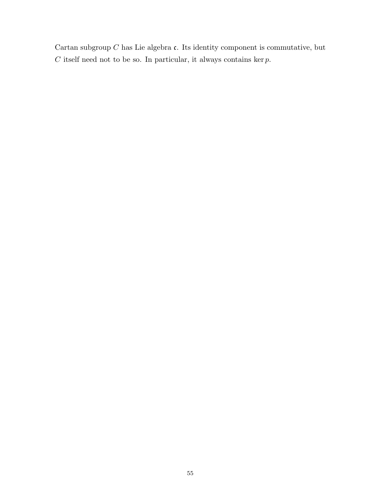Cartan subgroup  $C$  has Lie algebra  $c$ . Its identity component is commutative, but  $C$  itself need not to be so. In particular, it always contains ker  $p$ .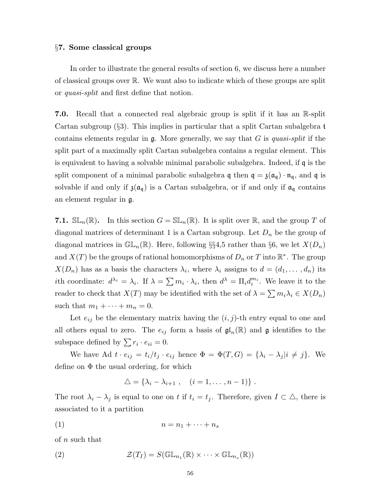#### §7. Some classical groups

In order to illustrate the general results of section 6, we discuss here a number of classical groups over R. We want also to indicate which of these groups are split or quasi-split and first define that notion.

7.0. Recall that a connected real algebraic group is split if it has an R-split Cartan subgroup (§3). This implies in particular that a split Cartan subalgebra t contains elements regular in  $\mathfrak{g}$ . More generally, we say that G is quasi-split if the split part of a maximally split Cartan subalgebra contains a regular element. This is equivalent to having a solvable minimal parabolic subalgebra. Indeed, if q is the split component of a minimal parabolic subalgebra  $\mathfrak{q}$  then  $\mathfrak{q} = \mathfrak{z}(\mathfrak{a}_{\mathfrak{q}}) \cdot \mathfrak{n}_{\mathfrak{q}}$ , and  $\mathfrak{q}$  is solvable if and only if  $\mathfrak{z}(\mathfrak{a}_{\mathfrak{q}})$  is a Cartan subalgebra, or if and only if  $\mathfrak{a}_{\mathfrak{q}}$  contains an element regular in g.

**7.1.**  $SL_n(\mathbb{R})$ . In this section  $G = SL_n(\mathbb{R})$ . It is split over  $\mathbb{R}$ , and the group T of diagonal matrices of determinant 1 is a Cartan subgroup. Let  $D_n$  be the group of diagonal matrices in  $\mathbb{GL}_n(\mathbb{R})$ . Here, following §§4,5 rather than §6, we let  $X(D_n)$ and  $X(T)$  be the groups of rational homomorphisms of  $D_n$  or  $T$  into  $\mathbb{R}^*$ . The group  $X(D_n)$  has as a basis the characters  $\lambda_i$ , where  $\lambda_i$  assigns to  $d = (d_1, \ldots, d_n)$  its *i*th coordinate:  $d^{\lambda_i} = \lambda_i$ . If  $\lambda = \sum m_i \cdot \lambda_i$ , then  $d^{\lambda} = \prod_i d_i^{m_i}$ . We leave it to the reader to check that  $X(T)$  may be identified with the set of  $\lambda = \sum m_i \lambda_i \in X(D_n)$ such that  $m_1 + \cdots + m_n = 0$ .

Let  $e_{ij}$  be the elementary matrix having the  $(i, j)$ -th entry equal to one and all others equal to zero. The  $e_{ij}$  form a basis of  $\mathfrak{gl}_n(\mathbb{R})$  and  $\mathfrak g$  identifies to the subspace defined by  $\sum r_i \cdot e_{ii} = 0$ .

We have Ad  $t \cdot e_{ij} = t_i/t_j \cdot e_{ij}$  hence  $\Phi = \Phi(T, G) = {\lambda_i - \lambda_j | i \neq j}.$  We define on  $\Phi$  the usual ordering, for which

$$
\triangle = \{\lambda_i - \lambda_{i+1} , \quad (i = 1, \ldots, n-1)\} .
$$

The root  $\lambda_i - \lambda_j$  is equal to one on t if  $t_i = t_j$ . Therefore, given  $I \subset \Delta$ , there is associated to it a partition

$$
(1) \t n = n_1 + \cdots + n_s
$$

of n such that

(2) 
$$
\mathcal{Z}(T_I) = S(\mathbb{GL}_{n_1}(\mathbb{R}) \times \cdots \times \mathbb{GL}_{n_s}(\mathbb{R}))
$$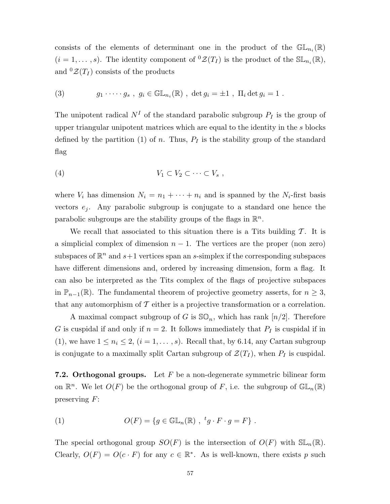consists of the elements of determinant one in the product of the  $\mathbb{GL}_{n_i}(\mathbb{R})$  $(i = 1, \ldots, s)$ . The identity component of  ${}^0\mathcal{Z}(T_I)$  is the product of the  $\mathbb{SL}_{n_i}(\mathbb{R})$ , and  ${}^{0}\mathcal{Z}(T_I)$  consists of the products

(3) 
$$
g_1 \cdot \cdots \cdot g_s
$$
,  $g_i \in \mathbb{GL}_{n_i}(\mathbb{R})$ ,  $\det g_i = \pm 1$ ,  $\Pi_i \det g_i = 1$ .

The unipotent radical  $N^I$  of the standard parabolic subgroup  $P_I$  is the group of upper triangular unipotent matrices which are equal to the identity in the s blocks defined by the partition (1) of n. Thus,  $P_I$  is the stability group of the standard flag

$$
(4) \t V_1 \subset V_2 \subset \cdots \subset V_s ,
$$

where  $V_i$  has dimension  $N_i = n_1 + \cdots + n_i$  and is spanned by the  $N_i$ -first basis vectors  $e_i$ . Any parabolic subgroup is conjugate to a standard one hence the parabolic subgroups are the stability groups of the flags in  $\mathbb{R}^n$ .

We recall that associated to this situation there is a Tits building  $\mathcal T$ . It is a simplicial complex of dimension  $n - 1$ . The vertices are the proper (non zero) subspaces of  $\mathbb{R}^n$  and  $s+1$  vertices span an s-simplex if the corresponding subspaces have different dimensions and, ordered by increasing dimension, form a flag. It can also be interpreted as the Tits complex of the flags of projective subspaces in  $\mathbb{P}_{n-1}(\mathbb{R})$ . The fundamental theorem of projective geometry asserts, for  $n \geq 3$ , that any automorphism of  $\mathcal T$  either is a projective transformation or a correlation.

A maximal compact subgroup of G is  $\mathcal{SO}_n$ , which has rank  $[n/2]$ . Therefore G is cuspidal if and only if  $n = 2$ . It follows immediately that  $P_I$  is cuspidal if in (1), we have  $1 \leq n_i \leq 2$ ,  $(i = 1, ..., s)$ . Recall that, by 6.14, any Cartan subgroup is conjugate to a maximally split Cartan subgroup of  $\mathcal{Z}(T_I)$ , when  $P_I$  is cuspidal.

**7.2. Orthogonal groups.** Let  $F$  be a non-degenerate symmetric bilinear form on  $\mathbb{R}^n$ . We let  $O(F)$  be the orthogonal group of F, i.e. the subgroup of  $\mathbb{GL}_n(\mathbb{R})$ preserving  $F$ :

(1) 
$$
O(F) = \{ g \in \mathbb{GL}_n(\mathbb{R}) , f g \cdot F \cdot g = F \} .
$$

The special orthogonal group  $SO(F)$  is the intersection of  $O(F)$  with  $\mathbb{SL}_n(\mathbb{R})$ . Clearly,  $O(F) = O(c \cdot F)$  for any  $c \in \mathbb{R}^*$ . As is well-known, there exists p such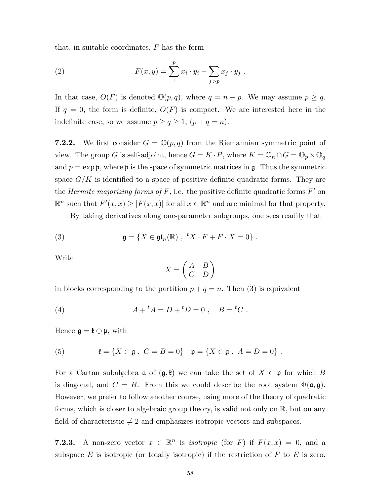that, in suitable coordinates, F has the form

(2) 
$$
F(x,y) = \sum_{1}^{p} x_i \cdot y_i - \sum_{j > p} x_j \cdot y_j.
$$

In that case,  $O(F)$  is denoted  $\mathbb{O}(p,q)$ , where  $q = n - p$ . We may assume  $p \geq q$ . If  $q = 0$ , the form is definite,  $O(F)$  is compact. We are interested here in the indefinite case, so we assume  $p \ge q \ge 1$ ,  $(p+q=n)$ .

**7.2.2.** We first consider  $G = \mathbb{O}(p,q)$  from the Riemannian symmetric point of view. The group G is self-adjoint, hence  $G = K \cdot P$ , where  $K = \mathbb{O}_n \cap G = \mathbb{O}_p \times \mathbb{O}_q$ and  $p = \exp \varphi$ , where  $\varphi$  is the space of symmetric matrices in  $\varphi$ . Thus the symmetric space  $G/K$  is identified to a space of positive definite quadratic forms. They are the *Hermite majorizing forms of F*, i.e. the positive definite quadratic forms  $F'$  on  $\mathbb{R}^n$  such that  $F'(x, x) \ge |F(x, x)|$  for all  $x \in \mathbb{R}^n$  and are minimal for that property.

By taking derivatives along one-parameter subgroups, one sees readily that

(3) 
$$
\mathfrak{g} = \{ X \in \mathfrak{gl}_n(\mathbb{R}) , t X \cdot F + F \cdot X = 0 \} .
$$

Write

$$
X = \begin{pmatrix} A & B \\ C & D \end{pmatrix}
$$

in blocks corresponding to the partition  $p + q = n$ . Then (3) is equivalent

(4) 
$$
A + {}^{t}A = D + {}^{t}D = 0 , B = {}^{t}C .
$$

Hence  $\mathfrak{g} = \mathfrak{k} \oplus \mathfrak{p}$ , with

(5) 
$$
\qquad \qquad \mathfrak{k} = \{ X \in \mathfrak{g} \; , \; C = B = 0 \} \quad \mathfrak{p} = \{ X \in \mathfrak{g} \; , \; A = D = 0 \} \; .
$$

For a Cartan subalgebra  $\mathfrak a$  of  $(\mathfrak g,\mathfrak k)$  we can take the set of  $X \in \mathfrak p$  for which B is diagonal, and  $C = B$ . From this we could describe the root system  $\Phi(\mathfrak{a}, \mathfrak{g})$ . However, we prefer to follow another course, using more of the theory of quadratic forms, which is closer to algebraic group theory, is valid not only on R, but on any field of characteristic  $\neq 2$  and emphasizes isotropic vectors and subspaces.

**7.2.3.** A non-zero vector  $x \in \mathbb{R}^n$  is *isotropic* (for F) if  $F(x, x) = 0$ , and a subspace  $E$  is isotropic (or totally isotropic) if the restriction of  $F$  to  $E$  is zero.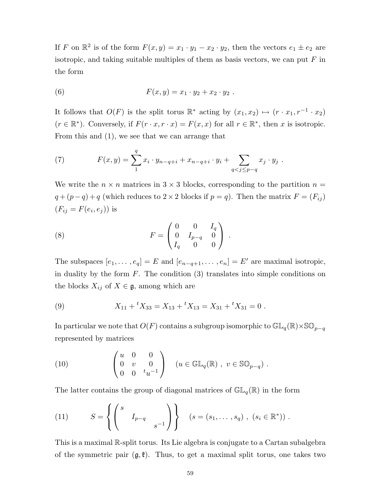If F on  $\mathbb{R}^2$  is of the form  $F(x, y) = x_1 \cdot y_1 - x_2 \cdot y_2$ , then the vectors  $e_1 \pm e_2$  are isotropic, and taking suitable multiples of them as basis vectors, we can put  $F$  in the form

(6) 
$$
F(x,y) = x_1 \cdot y_2 + x_2 \cdot y_2.
$$

It follows that  $O(F)$  is the split torus  $\mathbb{R}^*$  acting by  $(x_1, x_2) \mapsto (r \cdot x_1, r^{-1} \cdot x_2)$  $(r \in \mathbb{R}^*)$ . Conversely, if  $F(r \cdot x, r \cdot x) = F(x, x)$  for all  $r \in \mathbb{R}^*$ , then x is isotropic. From this and (1), we see that we can arrange that

(7) 
$$
F(x,y) = \sum_{1}^{q} x_i \cdot y_{n-q+i} + x_{n-q+i} \cdot y_i + \sum_{q < j \leq p-q} x_j \cdot y_j.
$$

We write the  $n \times n$  matrices in  $3 \times 3$  blocks, corresponding to the partition  $n =$  $q + (p - q) + q$  (which reduces to 2 × 2 blocks if  $p = q$ ). Then the matrix  $F = (F_{ij})$  $(F_{ij} = F(e_i, e_j))$  is

(8) 
$$
F = \begin{pmatrix} 0 & 0 & I_q \\ 0 & I_{p-q} & 0 \\ I_q & 0 & 0 \end{pmatrix} .
$$

The subspaces  $[e_1, \ldots, e_q] = E$  and  $[e_{n-q+1}, \ldots, e_n] = E'$  are maximal isotropic, in duality by the form  $F$ . The condition  $(3)$  translates into simple conditions on the blocks  $X_{ij}$  of  $X \in \mathfrak{g}$ , among which are

(9) 
$$
X_{11} + {}^{t}X_{33} = X_{13} + {}^{t}X_{13} = X_{31} + {}^{t}X_{31} = 0.
$$

In particular we note that  $O(F)$  contains a subgroup isomorphic to  $\mathbb{GL}_q(\mathbb{R})\times \mathbb{SO}_{p-q}$ represented by matrices

(10) 
$$
\begin{pmatrix} u & 0 & 0 \ 0 & v & 0 \ 0 & 0 & t_{u^{-1}} \end{pmatrix} \quad (u \in \mathbb{GL}_q(\mathbb{R}), v \in \mathbb{SO}_{p-q}).
$$

The latter contains the group of diagonal matrices of  $GL_q(\mathbb{R})$  in the form

(11) 
$$
S = \left\{ \begin{pmatrix} s & & \\ & I_{p-q} & \\ & & s^{-1} \end{pmatrix} \right\} \quad (s = (s_1, \ldots, s_q) , (s_i \in \mathbb{R}^*)) .
$$

This is a maximal R-split torus. Its Lie algebra is conjugate to a Cartan subalgebra of the symmetric pair  $(g, \ell)$ . Thus, to get a maximal split torus, one takes two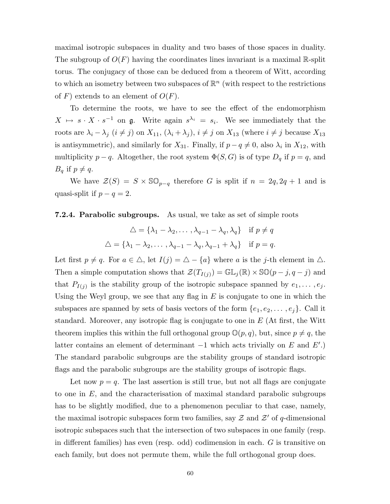maximal isotropic subspaces in duality and two bases of those spaces in duality. The subgroup of  $O(F)$  having the coordinates lines invariant is a maximal R-split torus. The conjugacy of those can be deduced from a theorem of Witt, according to which an isometry between two subspaces of  $\mathbb{R}^n$  (with respect to the restrictions of F) extends to an element of  $O(F)$ .

To determine the roots, we have to see the effect of the endomorphism  $X \mapsto s \cdot X \cdot s^{-1}$  on  $\mathfrak{g}$ . Write again  $s^{\lambda_i} = s_i$ . We see immediately that the roots are  $\lambda_i - \lambda_j$   $(i \neq j)$  on  $X_{11}$ ,  $(\lambda_i + \lambda_j)$ ,  $i \neq j$  on  $X_{13}$  (where  $i \neq j$  because  $X_{13}$ is antisymmetric), and similarly for  $X_{31}$ . Finally, if  $p - q \neq 0$ , also  $\lambda_i$  in  $X_{12}$ , with multiplicity  $p - q$ . Altogether, the root system  $\Phi(S, G)$  is of type  $D_q$  if  $p = q$ , and  $B_q$  if  $p \neq q$ .

We have  $\mathcal{Z}(S) = S \times \mathbb{SO}_{p-q}$  therefore G is split if  $n = 2q, 2q + 1$  and is quasi-split if  $p - q = 2$ .

#### **7.2.4. Parabolic subgroups.** As usual, we take as set of simple roots

$$
\triangle = \{\lambda_1 - \lambda_2, \dots, \lambda_{q-1} - \lambda_q, \lambda_q\} \text{ if } p \neq q
$$
  

$$
\triangle = \{\lambda_1 - \lambda_2, \dots, \lambda_{q-1} - \lambda_q, \lambda_{q-1} + \lambda_q\} \text{ if } p = q.
$$

Let first  $p \neq q$ . For  $a \in \Delta$ , let  $I(j) = \Delta - \{a\}$  where a is the j-th element in  $\Delta$ . Then a simple computation shows that  $\mathcal{Z}(T_{I(j)}) = \mathbb{GL}_j(\mathbb{R}) \times \mathbb{SO}(p-j, q-j)$  and that  $P_{I(j)}$  is the stability group of the isotropic subspace spanned by  $e_1, \ldots, e_j$ . Using the Weyl group, we see that any flag in  $E$  is conjugate to one in which the subspaces are spanned by sets of basis vectors of the form  $\{e_1, e_2, \ldots, e_j\}$ . Call it standard. Moreover, any isotropic flag is conjugate to one in  $E$  (At first, the Witt theorem implies this within the full orthogonal group  $\mathbb{O}(p, q)$ , but, since  $p \neq q$ , the latter contains an element of determinant  $-1$  which acts trivially on E and E'.) The standard parabolic subgroups are the stability groups of standard isotropic flags and the parabolic subgroups are the stability groups of isotropic flags.

Let now  $p = q$ . The last assertion is still true, but not all flags are conjugate to one in  $E$ , and the characterisation of maximal standard parabolic subgroups has to be slightly modified, due to a phenomenon peculiar to that case, namely, the maximal isotropic subspaces form two families, say  $\mathcal Z$  and  $\mathcal Z'$  of q-dimensional isotropic subspaces such that the intersection of two subspaces in one family (resp. in different families) has even (resp. odd) codimension in each. G is transitive on each family, but does not permute them, while the full orthogonal group does.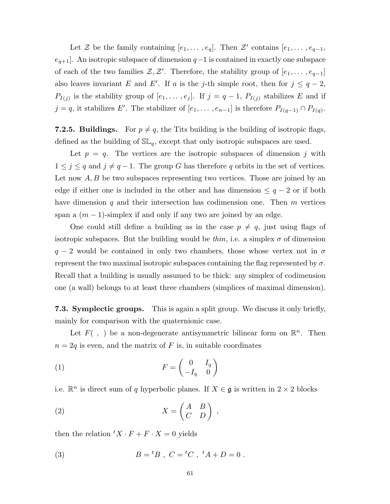Let Z be the family containing  $[e_1, \ldots, e_q]$ . Then Z' contains  $[e_1, \ldots, e_{q-1},$  $e_{q+1}$ . An isotropic subspace of dimension  $q-1$  is contained in exactly one subspace of each of the two families  $\mathcal{Z}, \mathcal{Z}'$ . Therefore, the stability group of  $[e_1, \ldots, e_{q-1}]$ also leaves invariant E and E'. If a is the j-th simple root, then for  $j \leq q-2$ ,  $P_{I(j)}$  is the stability group of  $[e_1, \ldots, e_j]$ . If  $j = q - 1$ ,  $P_{I(j)}$  stabilizes E and if  $j = q$ , it stabilizes E'. The stabilizer of  $[e_1, \ldots, e_{n-1}]$  is therefore  $P_{I(q-1)} \cap P_{I(q)}$ .

**7.2.5. Buildings.** For  $p \neq q$ , the Tits building is the building of isotropic flags, defined as the building of  $SL_q$ , except that only isotropic subspaces are used.

Let  $p = q$ . The vertices are the isotropic subspaces of dimension j with  $1 \leq j \leq q$  and  $j \neq q-1$ . The group G has therefore q orbits in the set of vertices. Let now  $A, B$  be two subspaces representing two vertices. Those are joined by an edge if either one is included in the other and has dimension  $\leq q-2$  or if both have dimension  $q$  and their intersection has codimension one. Then  $m$  vertices span a  $(m-1)$ -simplex if and only if any two are joined by an edge.

One could still define a building as in the case  $p \neq q$ , just using flags of isotropic subspaces. But the building would be *thin*, i.e. a simplex  $\sigma$  of dimension  $q - 2$  would be contained in only two chambers, those whose vertex not in  $\sigma$ represent the two maximal isotropic subspaces containing the flag represented by  $\sigma$ . Recall that a building is usually assumed to be thick: any simplex of codimension one (a wall) belongs to at least three chambers (simplices of maximal dimension).

7.3. Symplectic groups. This is again a split group. We discuss it only briefly, mainly for comparison with the quaternionic case.

Let  $F($ ,  $)$  be a non-degenerate antisymmetric bilinear form on  $\mathbb{R}^{n}$ . Then  $n = 2q$  is even, and the matrix of F is, in suitable coordinates

$$
(1) \t\t F = \begin{pmatrix} 0 & I_q \\ -I_q & 0 \end{pmatrix}
$$

i.e.  $\mathbb{R}^n$  is direct sum of q hyperbolic planes. If  $X \in \mathfrak{g}$  is written in  $2 \times 2$  blocks

$$
(2) \t\t X = \begin{pmatrix} A & B \\ C & D \end{pmatrix} ,
$$

then the relation  ${}^{t}X \cdot F + F \cdot X = 0$  yields

(3) 
$$
B = {}^{t}B , C = {}^{t}C , {}^{t}A + D = 0 .
$$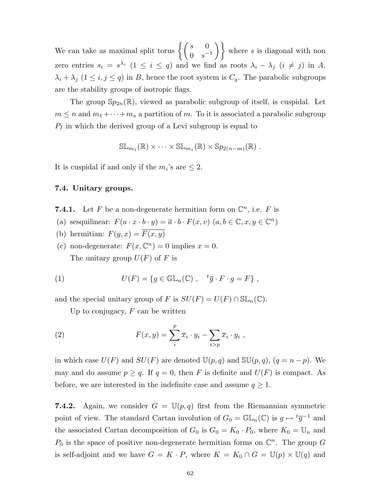We can take as maximal split torus  $\left\{ \begin{pmatrix} s & 0 \\ 0 & s^{-1} \end{pmatrix} \right\}$  where s is diagonal with non zero entries  $s_i = s^{\lambda_i}$  ( $1 \leq i \leq q$ ) and we find as roots  $\lambda_i - \lambda_j$  ( $i \neq j$ ) in A,  $\lambda_i + \lambda_j$  ( $1 \leq i, j \leq q$ ) in B, hence the root system is  $C_q$ . The parabolic subgroups are the stability groups of isotropic flags.

The group  $Sp_{2n}(\mathbb{R})$ , viewed as parabolic subgroup of itself, is cuspidal. Let  $m \leq n$  and  $m_1 + \cdots + m_s$  a partition of m. To it is associated a parabolic subgroup  $P_I$  in which the derived group of a Levi subgroup is equal to

$$
\mathbb{SL}_{m_1}(\mathbb{R}) \times \cdots \times \mathbb{SL}_{m_s}(\mathbb{R}) \times \mathbb{S}p_{2(n-m)}(\mathbb{R}).
$$

It is cuspidal if and only if the  $m_i$ 's are  $\leq 2$ .

## 7.4. Unitary groups.

- **7.4.1.** Let F be a non-degenerate hermitian form on  $\mathbb{C}^n$ , i.e. F is
- (a) sesquilinear:  $F(a \cdot x \cdot b \cdot y) = \overline{a} \cdot b \cdot F(x, v)$   $(a, b \in \mathbb{C}, x, y \in \mathbb{C}^n)$
- (b) hermitian:  $F(y, x) = \overline{F(x, y)}$
- (c) non-degenerate:  $F(x, \mathbb{C}^n) = 0$  implies  $x = 0$ . The unitary group  $U(F)$  of F is

(1) 
$$
U(F) = \{ g \in \mathbb{GL}_n(\mathbb{C}) , \quad {}^t\overline{g} \cdot F \cdot g = F \},
$$

and the special unitary group of F is  $SU(F) = U(F) \cap SL_n(\mathbb{C})$ .

Up to conjugacy,  $F$  can be written

(2) 
$$
F(x,y) = \sum_{i}^{p} \overline{x}_{i} \cdot y_{i} - \sum_{i>p} \overline{x}_{i} \cdot y_{i} ,
$$

in which case  $U(F)$  and  $SU(F)$  are denoted  $\mathbb{U}(p,q)$  and  $\mathbb{SU}(p,q)$ ,  $(q = n - p)$ . We may and do assume  $p \ge q$ . If  $q = 0$ , then F is definite and  $U(F)$  is compact. As before, we are interested in the indefinite case and assume  $q \geq 1$ .

**7.4.2.** Again, we consider  $G = \mathbb{U}(p,q)$  first from the Riemannian symmetric point of view. The standard Cartan involution of  $G_0 = \mathbb{GL}_n(\mathbb{C})$  is  $g \mapsto {}^t\overline{g}^{-1}$  and the associated Cartan decomposition of  $G_0$  is  $G_0 = K_0 \cdot P_0$ , where  $K_0 = \mathbb{U}_n$  and  $P_0$  is the space of positive non-degenerate hermitian forms on  $\mathbb{C}^n$ . The group G is self-adjoint and we have  $G = K \cdot P$ , where  $K = K_0 \cap G = \mathbb{U}(p) \times \mathbb{U}(q)$  and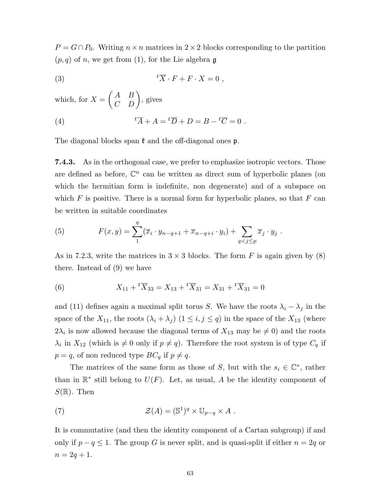$P = G \cap P_0$ . Writing  $n \times n$  matrices in 2 × 2 blocks corresponding to the partition  $(p, q)$  of n, we get from (1), for the Lie algebra g

(3) 
$$
{}^{t}\overline{X} \cdot F + F \cdot X = 0 ,
$$

which, for 
$$
X = \begin{pmatrix} A & B \\ C & D \end{pmatrix}
$$
, gives  
\n(4) 
$$
{}^t\overline{A} + A = {}^t\overline{D} + D = B - {}^t\overline{C} = 0.
$$

The diagonal blocks span  $\mathfrak k$  and the off-diagonal ones  $\mathfrak p$ .

7.4.3. As in the orthogonal case, we prefer to emphasize isotropic vectors. Those are defined as before,  $\mathbb{C}^n$  can be written as direct sum of hyperbolic planes (on which the hermitian form is indefinite, non degenerate) and of a subspace on which  $F$  is positive. There is a normal form for hyperbolic planes, so that  $F$  can be written in suitable coordinates

(5) 
$$
F(x,y) = \sum_{1}^{q} (\overline{x}_i \cdot y_{n-q+1} + \overline{x}_{n-q+i} \cdot y_i) + \sum_{q < j \leq p} \overline{x}_j \cdot y_j.
$$

As in 7.2.3, write the matrices in  $3 \times 3$  blocks. The form F is again given by (8) there. Instead of (9) we have

(6) 
$$
X_{11} + {}^{t}\overline{X}_{33} = X_{13} + {}^{t}\overline{X}_{31} = X_{31} + {}^{t}\overline{X}_{31} = 0
$$

and (11) defines again a maximal split torus S. We have the roots  $\lambda_i - \lambda_j$  in the space of the  $X_{11}$ , the roots  $(\lambda_i + \lambda_j)$   $(1 \leq i, j \leq q)$  in the space of the  $X_{13}$  (where  $2\lambda_i$  is now allowed because the diagonal terms of  $X_{13}$  may be  $\neq 0$ ) and the roots  $\lambda_i$  in  $X_{12}$  (which is  $\neq 0$  only if  $p \neq q$ ). Therefore the root system is of type  $C_q$  if  $p = q$ , of non reduced type  $BC_q$  if  $p \neq q$ .

The matrices of the same form as those of S, but with the  $s_i \in \mathbb{C}^*$ , rather than in  $\mathbb{R}^*$  still belong to  $U(F)$ . Let, as usual, A be the identity component of  $S(\mathbb{R})$ . Then

(7) 
$$
\mathcal{Z}(A) = (\mathbb{S}^1)^q \times \mathbb{U}_{p-q} \times A .
$$

It is commutative (and then the identity component of a Cartan subgroup) if and only if  $p - q \leq 1$ . The group G is never split, and is quasi-split if either  $n = 2q$  or  $n = 2q + 1.$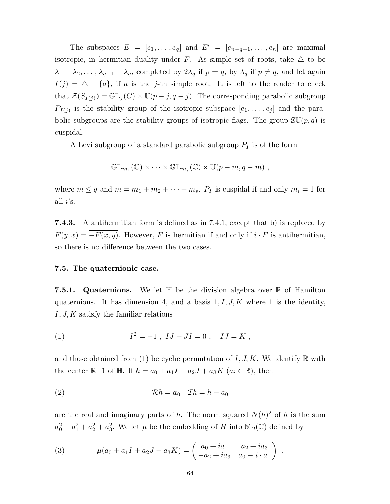The subspaces  $E = [e_1, \ldots, e_q]$  and  $E' = [e_{n-q+1}, \ldots, e_n]$  are maximal isotropic, in hermitian duality under F. As simple set of roots, take  $\triangle$  to be  $\lambda_1 - \lambda_2, \ldots, \lambda_{q-1} - \lambda_q$ , completed by  $2\lambda_q$  if  $p = q$ , by  $\lambda_q$  if  $p \neq q$ , and let again  $I(j) = \triangle - \{a\}$ , if a is the j-th simple root. It is left to the reader to check that  $\mathcal{Z}(S_{I(j)}) = \mathbb{GL}_j(C) \times \mathbb{U}(p-j, q-j)$ . The corresponding parabolic subgroup  $P_{I(j)}$  is the stability group of the isotropic subspace  $[e_1, \ldots, e_j]$  and the parabolic subgroups are the stability groups of isotropic flags. The group  $\mathbb{S}U(p,q)$  is cuspidal.

A Levi subgroup of a standard parabolic subgroup  $P_I$  is of the form

$$
\mathbb{GL}_{m_1}(\mathbb{C}) \times \cdots \times \mathbb{GL}_{m_s}(\mathbb{C}) \times \mathbb{U}(p-m, q-m) ,
$$

where  $m \le q$  and  $m = m_1 + m_2 + \cdots + m_s$ .  $P_I$  is cuspidal if and only  $m_i = 1$  for all  $i$ 's.

7.4.3. A antihermitian form is defined as in 7.4.1, except that b) is replaced by  $F(y, x) = \overline{-F(x, y)}$ . However, F is hermitian if and only if  $i \cdot F$  is antihermitian, so there is no difference between the two cases.

#### 7.5. The quaternionic case.

**7.5.1.** Quaternions. We let  $\mathbb{H}$  be the division algebra over  $\mathbb{R}$  of Hamilton quaternions. It has dimension 4, and a basis  $1, I, J, K$  where 1 is the identity,  $I, J, K$  satisfy the familiar relations

(1) 
$$
I^2 = -1 \, , \, IJ + JI = 0 \, , \quad IJ = K \, ,
$$

and those obtained from (1) be cyclic permutation of  $I, J, K$ . We identify R with the center  $\mathbb{R} \cdot 1$  of  $\mathbb{H}$ . If  $h = a_0 + a_1I + a_2J + a_3K$   $(a_i \in \mathbb{R})$ , then

(2) Rh = a<sup>0</sup> Ih = h − a<sup>0</sup>

are the real and imaginary parts of h. The norm squared  $N(h)^2$  of h is the sum  $a_0^2 + a_1^2 + a_2^2 + a_3^2$ . We let  $\mu$  be the embedding of H into  $\mathbb{M}_2(\mathbb{C})$  defined by

(3) 
$$
\mu(a_0 + a_1 I + a_2 J + a_3 K) = \begin{pmatrix} a_0 + ia_1 & a_2 + ia_3 \\ -a_2 + ia_3 & a_0 - i \cdot a_1 \end{pmatrix}.
$$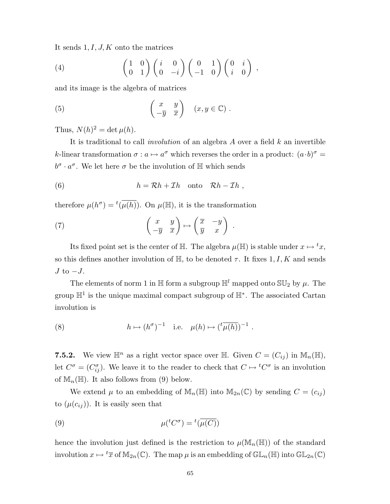It sends  $1, I, J, K$  onto the matrices

(4) 
$$
\begin{pmatrix} 1 & 0 \ 0 & 1 \end{pmatrix} \begin{pmatrix} i & 0 \ 0 & -i \end{pmatrix} \begin{pmatrix} 0 & 1 \ -1 & 0 \end{pmatrix} \begin{pmatrix} 0 & i \ i & 0 \end{pmatrix},
$$

and its image is the algebra of matrices

(5) 
$$
\begin{pmatrix} x & y \\ -\overline{y} & \overline{x} \end{pmatrix}
$$
  $(x, y \in \mathbb{C})$ .

Thus,  $N(h)^2 = \det \mu(h)$ .

It is traditional to call *involution* of an algebra  $A$  over a field  $k$  an invertible k-linear transformation  $\sigma : a \mapsto a^{\sigma}$  which reverses the order in a product:  $(a \cdot b)^{\sigma} =$  $b^{\sigma} \cdot a^{\sigma}$ . We let here  $\sigma$  be the involution of  $\mathbb{H}$  which sends

(6) 
$$
h = \mathcal{R}h + \mathcal{I}h \quad \text{onto} \quad \mathcal{R}h - \mathcal{I}h ,
$$

therefore  $\mu(h^{\sigma}) = {}^{t}(\overline{\mu(h)})$ . On  $\mu(\mathbb{H})$ , it is the transformation

(7) 
$$
\begin{pmatrix} x & y \\ -\overline{y} & \overline{x} \end{pmatrix} \mapsto \begin{pmatrix} \overline{x} & -y \\ \overline{y} & x \end{pmatrix}
$$

Its fixed point set is the center of H. The algebra  $\mu(\mathbb{H})$  is stable under  $x \mapsto {}^t x$ , so this defines another involution of  $\mathbb{H}$ , to be denoted  $\tau$ . It fixes 1, I, K and sends  $J$  to  $-J$ .

.

The elements of norm 1 in H form a subgroup  $\mathbb{H}^l$  mapped onto  $\mathbb{SU}_2$  by  $\mu$ . The group  $\mathbb{H}^1$  is the unique maximal compact subgroup of  $\mathbb{H}^*$ . The associated Cartan involution is

(8) 
$$
h \mapsto (h^{\sigma})^{-1}
$$
 i.e.  $\mu(h) \mapsto (\,^t \overline{\mu(h)})^{-1}$ .

7.5.2. We view  $\mathbb{H}^n$  as a right vector space over  $\mathbb{H}$ . Given  $C = (C_{ij})$  in  $\mathbb{M}_n(\mathbb{H})$ , let  $C^{\sigma} = (C^{\sigma}_{ij})$ . We leave it to the reader to check that  $C \mapsto {}^{t}C^{\sigma}$  is an involution of  $\mathbb{M}_{n}(\mathbb{H})$ . It also follows from (9) below.

We extend  $\mu$  to an embedding of  $\mathbb{M}_{n}(\mathbb{H})$  into  $\mathbb{M}_{2n}(\mathbb{C})$  by sending  $C = (c_{ij})$ to  $(\mu(c_{ij}))$ . It is easily seen that

(9) 
$$
\mu({}^{t}C^{\sigma}) = {}^{t}(\overline{\mu(C)})
$$

hence the involution just defined is the restriction to  $\mu(\mathbb{M}_n(\mathbb{H}))$  of the standard involution  $x \mapsto {}^t\overline{x}$  of  $\mathbb{M}_{2n}(\mathbb{C})$ . The map  $\mu$  is an embedding of  $\mathbb{GL}_n(\mathbb{H})$  into  $\mathbb{GL}_{2n}(\mathbb{C})$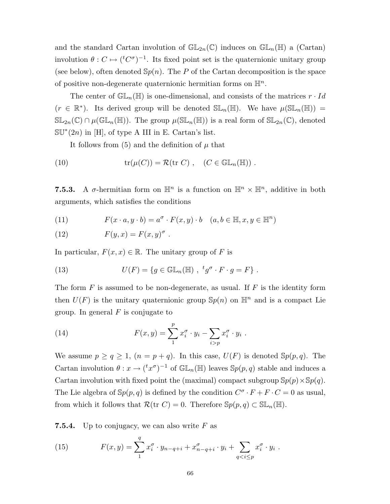and the standard Cartan involution of  $\mathbb{GL}_{2n}(\mathbb{C})$  induces on  $\mathbb{GL}_n(\mathbb{H})$  a (Cartan) involution  $\theta: C \mapsto ({}^tC^{\sigma})^{-1}$ . Its fixed point set is the quaternionic unitary group (see below), often denoted  $\mathbb{S}_p(n)$ . The P of the Cartan decomposition is the space of positive non-degenerate quaternionic hermitian forms on  $\mathbb{H}^n$ .

The center of  $\mathbb{GL}_n(\mathbb{H})$  is one-dimensional, and consists of the matrices  $r \cdot Id$  $(r \in \mathbb{R}^*)$ . Its derived group will be denoted  $\mathbb{SL}_n(\mathbb{H})$ . We have  $\mu(\mathbb{SL}_n(\mathbb{H}))$  =  $\mathbb{SL}_{2n}(\mathbb{C})\cap\mu(\mathbb{GL}_n(\mathbb{H}))$ . The group  $\mu(\mathbb{SL}_n(\mathbb{H}))$  is a real form of  $\mathbb{SL}_{2n}(\mathbb{C})$ , denoted  $\mathbb{S}\mathbb{U}^*(2n)$  in [H], of type A III in E. Cartan's list.

It follows from  $(5)$  and the definition of  $\mu$  that

(10) 
$$
\operatorname{tr}(\mu(C)) = \mathcal{R}(\operatorname{tr} C), \quad (C \in \mathbb{GL}_n(\mathbb{H})).
$$

**7.5.3.** A  $\sigma$ -hermitian form on  $\mathbb{H}^n$  is a function on  $\mathbb{H}^n \times \mathbb{H}^n$ , additive in both arguments, which satisfies the conditions

(11) 
$$
F(x \cdot a, y \cdot b) = a^{\sigma} \cdot F(x, y) \cdot b \quad (a, b \in \mathbb{H}, x, y \in \mathbb{H}^{n})
$$

(12) 
$$
F(y,x) = F(x,y)^{\sigma}.
$$

In particular,  $F(x, x) \in \mathbb{R}$ . The unitary group of F is

(13) 
$$
U(F) = \{ g \in \mathbb{GL}_n(\mathbb{H}) , f^*g^\sigma \cdot F \cdot g = F \} .
$$

The form  $F$  is assumed to be non-degenerate, as usual. If  $F$  is the identity form then  $U(F)$  is the unitary quaternionic group  $\mathbb{S}p(n)$  on  $\mathbb{H}^n$  and is a compact Lie group. In general  $F$  is conjugate to

(14) 
$$
F(x,y) = \sum_{1}^{p} x_i^{\sigma} \cdot y_i - \sum_{i>p} x_i^{\sigma} \cdot y_i.
$$

We assume  $p \ge q \ge 1$ ,  $(n = p + q)$ . In this case,  $U(F)$  is denoted  $\mathcal{S}p(p,q)$ . The Cartan involution  $\theta: x \to ({}^t x^{\sigma})^{-1}$  of  $\mathbb{GL}_n(\mathbb{H})$  leaves  $\mathbb{S}p(p,q)$  stable and induces a Cartan involution with fixed point the (maximal) compact subgroup  $\mathbb{S}p(p)\times\mathbb{S}p(q)$ . The Lie algebra of  $\mathbb{S}p(p,q)$  is defined by the condition  $C^{\sigma} \cdot F + F \cdot C = 0$  as usual, from which it follows that  $\mathcal{R}(\text{tr } C) = 0$ . Therefore  $\mathbb{S}p(p,q) \subset \mathbb{SL}_n(\mathbb{H})$ .

**7.5.4.** Up to conjugacy, we can also write  $F$  as

(15) 
$$
F(x,y) = \sum_{1}^{q} x_i^{\sigma} \cdot y_{n-q+i} + x_{n-q+i}^{\sigma} \cdot y_i + \sum_{q < i \leq p} x_i^{\sigma} \cdot y_i.
$$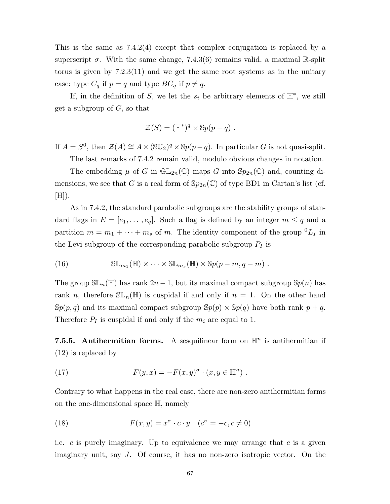This is the same as  $7.4.2(4)$  except that complex conjugation is replaced by a superscript  $\sigma$ . With the same change, 7.4.3(6) remains valid, a maximal R-split torus is given by 7.2.3(11) and we get the same root systems as in the unitary case: type  $C_q$  if  $p = q$  and type  $BC_q$  if  $p \neq q$ .

If, in the definition of S, we let the  $s_i$  be arbitrary elements of  $\mathbb{H}^*$ , we still get a subgroup of  $G$ , so that

$$
\mathcal{Z}(S) = (\mathbb{H}^*)^q \times \mathbb{S}p(p-q) .
$$

If  $A = S^0$ , then  $\mathcal{Z}(A) \cong A \times (\mathbb{SU}_2)^q \times \mathbb{S}p(p-q)$ . In particular G is not quasi-split.

The last remarks of 7.4.2 remain valid, modulo obvious changes in notation.

The embedding  $\mu$  of G in  $\mathbb{GL}_{2n}(\mathbb{C})$  maps G into  $\mathbb{S}p_{2n}(\mathbb{C})$  and, counting dimensions, we see that G is a real form of  $Sp_{2n}(\mathbb{C})$  of type BD1 in Cartan's list (cf.  $[H])$ .

As in 7.4.2, the standard parabolic subgroups are the stability groups of standard flags in  $E = [e_1, \ldots, e_q]$ . Such a flag is defined by an integer  $m \leq q$  and a partition  $m = m_1 + \cdots + m_s$  of m. The identity component of the group  ${}^0L_I$  in the Levi subgroup of the corresponding parabolic subgroup  $P_I$  is

(16) 
$$
\mathbb{SL}_{m_1}(\mathbb{H}) \times \cdots \times \mathbb{SL}_{m_s}(\mathbb{H}) \times \mathbb{S}p(p-m, q-m) .
$$

The group  $\mathbb{SL}_n(\mathbb{H})$  has rank  $2n-1$ , but its maximal compact subgroup  $\mathbb{S}p(n)$  has rank n, therefore  $\mathbb{SL}_n(\mathbb{H})$  is cuspidal if and only if  $n = 1$ . On the other hand  $\mathbb{S}p(p,q)$  and its maximal compact subgroup  $\mathbb{S}p(p) \times \mathbb{S}p(q)$  have both rank  $p+q$ . Therefore  $P_I$  is cuspidal if and only if the  $m_i$  are equal to 1.

7.5.5. Antihermitian forms. A sesquilinear form on  $\mathbb{H}^n$  is antihermitian if (12) is replaced by

(17) 
$$
F(y, x) = -F(x, y)^{\sigma} \cdot (x, y \in \mathbb{H}^{n}).
$$

Contrary to what happens in the real case, there are non-zero antihermitian forms on the one-dimensional space H, namely

(18) 
$$
F(x,y) = x^{\sigma} \cdot c \cdot y \quad (c^{\sigma} = -c, c \neq 0)
$$

i.e.  $c$  is purely imaginary. Up to equivalence we may arrange that  $c$  is a given imaginary unit, say J. Of course, it has no non-zero isotropic vector. On the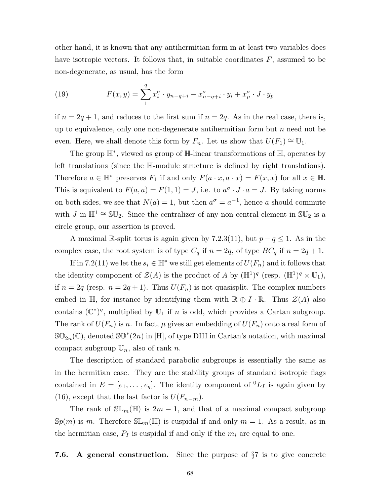other hand, it is known that any antihermitian form in at least two variables does have isotropic vectors. It follows that, in suitable coordinates  $F$ , assumed to be non-degenerate, as usual, has the form

(19) 
$$
F(x,y) = \sum_{1}^{q} x_i^{\sigma} \cdot y_{n-q+i} - x_{n-q+i}^{\sigma} \cdot y_i + x_p^{\sigma} \cdot J \cdot y_p
$$

if  $n = 2q + 1$ , and reduces to the first sum if  $n = 2q$ . As in the real case, there is, up to equivalence, only one non-degenerate antihermitian form but  $n$  need not be even. Here, we shall denote this form by  $F_n$ . Let us show that  $U(F_1) \cong \mathbb{U}_1$ .

The group H<sup>∗</sup> , viewed as group of H-linear transformations of H, operates by left translations (since the H-module structure is defined by right translations). Therefore  $a \in \mathbb{H}^*$  preserves  $F_1$  if and only  $F(a \cdot x, a \cdot x) = F(x, x)$  for all  $x \in \mathbb{H}$ . This is equivalent to  $F(a, a) = F(1, 1) = J$ , i.e. to  $a^{\sigma} \cdot J \cdot a = J$ . By taking norms on both sides, we see that  $N(a) = 1$ , but then  $a^{\sigma} = a^{-1}$ , hence a should commute with J in  $\mathbb{H}^1 \cong \mathbb{SU}_2$ . Since the centralizer of any non central element in  $\mathbb{SU}_2$  is a circle group, our assertion is proved.

A maximal R-split torus is again given by 7.2.3(11), but  $p - q \leq 1$ . As in the complex case, the root system is of type  $C_q$  if  $n = 2q$ , of type  $BC_q$  if  $n = 2q + 1$ .

If in 7.2(11) we let the  $s_i \in \mathbb{H}^*$  we still get elements of  $U(F_n)$  and it follows that the identity component of  $\mathcal{Z}(A)$  is the product of A by  $(\mathbb{H}^1)^q$  (resp.  $(\mathbb{H}^1)^q \times \mathbb{U}_1$ ), if  $n = 2q$  (resp.  $n = 2q + 1$ ). Thus  $U(F_n)$  is not quasisplit. The complex numbers embed in H, for instance by identifying them with  $\mathbb{R} \oplus I \cdot \mathbb{R}$ . Thus  $\mathcal{Z}(A)$  also contains  $(\mathbb{C}^*)^q$ , multiplied by  $\mathbb{U}_1$  if n is odd, which provides a Cartan subgroup. The rank of  $U(F_n)$  is n. In fact,  $\mu$  gives an embedding of  $U(F_n)$  onto a real form of  $\mathbb{SO}_{2n}(\mathbb{C})$ , denoted  $\mathbb{SO}^{*}(2n)$  in [H], of type DIII in Cartan's notation, with maximal compact subgroup  $\mathbb{U}_n$ , also of rank n.

The description of standard parabolic subgroups is essentially the same as in the hermitian case. They are the stability groups of standard isotropic flags contained in  $E = [e_1, \ldots, e_q]$ . The identity component of  ${}^0L_I$  is again given by (16), except that the last factor is  $U(F_{n-m})$ .

The rank of  $\mathbb{SL}_m(\mathbb{H})$  is  $2m-1$ , and that of a maximal compact subgroup  $\mathbb{S}_p(m)$  is m. Therefore  $\mathbb{SL}_m(\mathbb{H})$  is cuspidal if and only  $m = 1$ . As a result, as in the hermitian case,  $P_I$  is cuspidal if and only if the  $m_i$  are equal to one.

7.6. A general construction. Since the purpose of  $\S7$  is to give concrete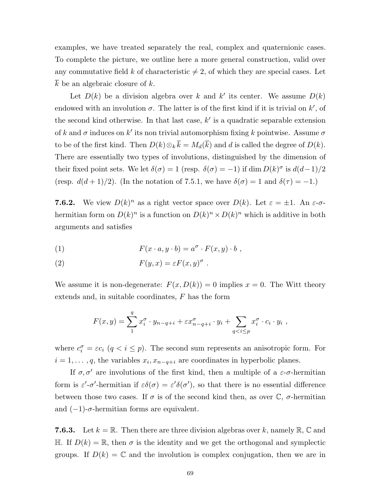examples, we have treated separately the real, complex and quaternionic cases. To complete the picture, we outline here a more general construction, valid over any commutative field k of characteristic  $\neq 2$ , of which they are special cases. Let  $k$  be an algebraic closure of  $k$ .

Let  $D(k)$  be a division algebra over k and k' its center. We assume  $D(k)$ endowed with an involution  $\sigma$ . The latter is of the first kind if it is trivial on  $k'$ , of the second kind otherwise. In that last case,  $k'$  is a quadratic separable extension of k and  $\sigma$  induces on k' its non trivial automorphism fixing k pointwise. Assume  $\sigma$ to be of the first kind. Then  $D(k)\otimes_k \overline{k} = M_d(\overline{k})$  and d is called the degree of  $D(k)$ . There are essentially two types of involutions, distinguished by the dimension of their fixed point sets. We let  $\delta(\sigma) = 1$  (resp.  $\delta(\sigma) = -1$ ) if  $\dim D(k)^{\sigma}$  is  $d(d-1)/2$ (resp.  $d(d+1)/2$ ). (In the notation of 7.5.1, we have  $\delta(\sigma) = 1$  and  $\delta(\tau) = -1$ .)

**7.6.2.** We view  $D(k)^n$  as a right vector space over  $D(k)$ . Let  $\varepsilon = \pm 1$ . An  $\varepsilon$ - $\sigma$ hermitian form on  $D(k)^n$  is a function on  $D(k)^n \times D(k)^n$  which is additive in both arguments and satisfies

(1) 
$$
F(x \cdot a, y \cdot b) = a^{\sigma} \cdot F(x, y) \cdot b,
$$

(2) 
$$
F(y,x) = \varepsilon F(x,y)^{\sigma}.
$$

We assume it is non-degenerate:  $F(x, D(k)) = 0$  implies  $x = 0$ . The Witt theory extends and, in suitable coordinates, F has the form

$$
F(x,y) = \sum_{1}^{q} x_i^{\sigma} \cdot y_{n-q+i} + \varepsilon x_{n-q+i}^{\sigma} \cdot y_i + \sum_{q < i \leq p} x_i^{\sigma} \cdot c_i \cdot y_i ,
$$

where  $c_i^{\sigma} = \varepsilon c_i$   $(q \le i \le p)$ . The second sum represents an anisotropic form. For  $i = 1, \dots, q$ , the variables  $x_i, x_{n-q+i}$  are coordinates in hyperbolic planes.

If  $\sigma, \sigma'$  are involutions of the first kind, then a multiple of a  $\varepsilon$ - $\sigma$ -hermitian form is  $\varepsilon'$ - $\sigma'$ -hermitian if  $\varepsilon \delta(\sigma) = \varepsilon' \delta(\sigma')$ , so that there is no essential difference between those two cases. If  $\sigma$  is of the second kind then, as over  $\mathbb{C}$ ,  $\sigma$ -hermitian and  $(-1)$ - $\sigma$ -hermitian forms are equivalent.

**7.6.3.** Let  $k = \mathbb{R}$ . Then there are three division algebras over k, namely  $\mathbb{R}, \mathbb{C}$  and H. If  $D(k) = \mathbb{R}$ , then  $\sigma$  is the identity and we get the orthogonal and symplectic groups. If  $D(k) = \mathbb{C}$  and the involution is complex conjugation, then we are in